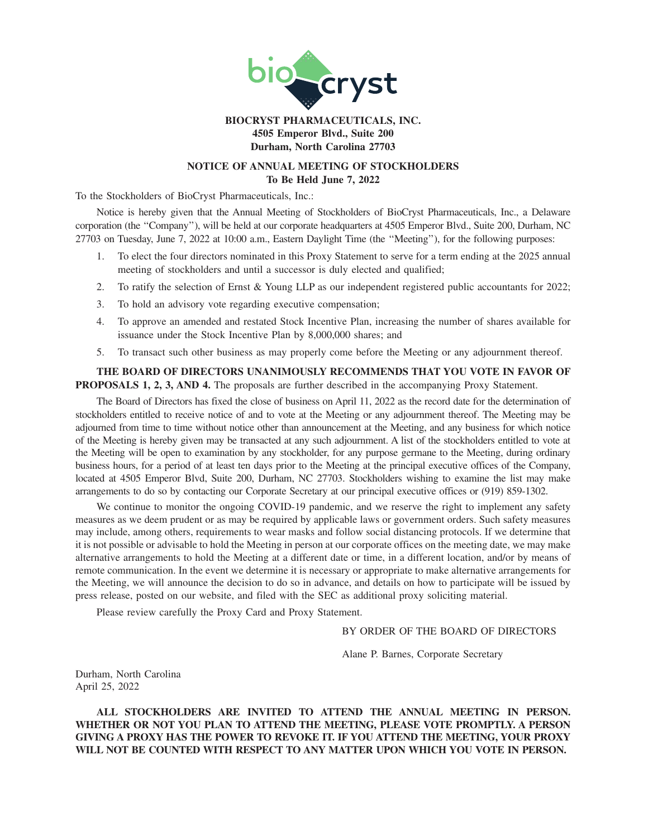

# **BIOCRYST PHARMACEUTICALS, INC. 4505 Emperor Blvd., Suite 200 Durham, North Carolina 27703**

# **NOTICE OF ANNUAL MEETING OF STOCKHOLDERS To Be Held June 7, 2022**

To the Stockholders of BioCryst Pharmaceuticals, Inc.:

Notice is hereby given that the Annual Meeting of Stockholders of BioCryst Pharmaceuticals, Inc., a Delaware corporation (the ''Company''), will be held at our corporate headquarters at 4505 Emperor Blvd., Suite 200, Durham, NC 27703 on Tuesday, June 7, 2022 at 10:00 a.m., Eastern Daylight Time (the ''Meeting''), for the following purposes:

- 1. To elect the four directors nominated in this Proxy Statement to serve for a term ending at the 2025 annual meeting of stockholders and until a successor is duly elected and qualified;
- 2. To ratify the selection of Ernst & Young LLP as our independent registered public accountants for 2022;
- 3. To hold an advisory vote regarding executive compensation;
- 4. To approve an amended and restated Stock Incentive Plan, increasing the number of shares available for issuance under the Stock Incentive Plan by 8,000,000 shares; and
- 5. To transact such other business as may properly come before the Meeting or any adjournment thereof.

**THE BOARD OF DIRECTORS UNANIMOUSLY RECOMMENDS THAT YOU VOTE IN FAVOR OF PROPOSALS 1, 2, 3, AND 4.** The proposals are further described in the accompanying Proxy Statement.

The Board of Directors has fixed the close of business on April 11, 2022 as the record date for the determination of stockholders entitled to receive notice of and to vote at the Meeting or any adjournment thereof. The Meeting may be adjourned from time to time without notice other than announcement at the Meeting, and any business for which notice of the Meeting is hereby given may be transacted at any such adjournment. A list of the stockholders entitled to vote at the Meeting will be open to examination by any stockholder, for any purpose germane to the Meeting, during ordinary business hours, for a period of at least ten days prior to the Meeting at the principal executive offices of the Company, located at 4505 Emperor Blvd, Suite 200, Durham, NC 27703. Stockholders wishing to examine the list may make arrangements to do so by contacting our Corporate Secretary at our principal executive offices or (919) 859-1302.

We continue to monitor the ongoing COVID-19 pandemic, and we reserve the right to implement any safety measures as we deem prudent or as may be required by applicable laws or government orders. Such safety measures may include, among others, requirements to wear masks and follow social distancing protocols. If we determine that it is not possible or advisable to hold the Meeting in person at our corporate offices on the meeting date, we may make alternative arrangements to hold the Meeting at a different date or time, in a different location, and/or by means of remote communication. In the event we determine it is necessary or appropriate to make alternative arrangements for the Meeting, we will announce the decision to do so in advance, and details on how to participate will be issued by press release, posted on our website, and filed with the SEC as additional proxy soliciting material.

Please review carefully the Proxy Card and Proxy Statement.

# BY ORDER OF THE BOARD OF DIRECTORS

Alane P. Barnes, Corporate Secretary

Durham, North Carolina April 25, 2022

**ALL STOCKHOLDERS ARE INVITED TO ATTEND THE ANNUAL MEETING IN PERSON. WHETHER OR NOT YOU PLAN TO ATTEND THE MEETING, PLEASE VOTE PROMPTLY. A PERSON GIVING A PROXY HAS THE POWER TO REVOKE IT. IF YOU ATTEND THE MEETING, YOUR PROXY WILL NOT BE COUNTED WITH RESPECT TO ANY MATTER UPON WHICH YOU VOTE IN PERSON.**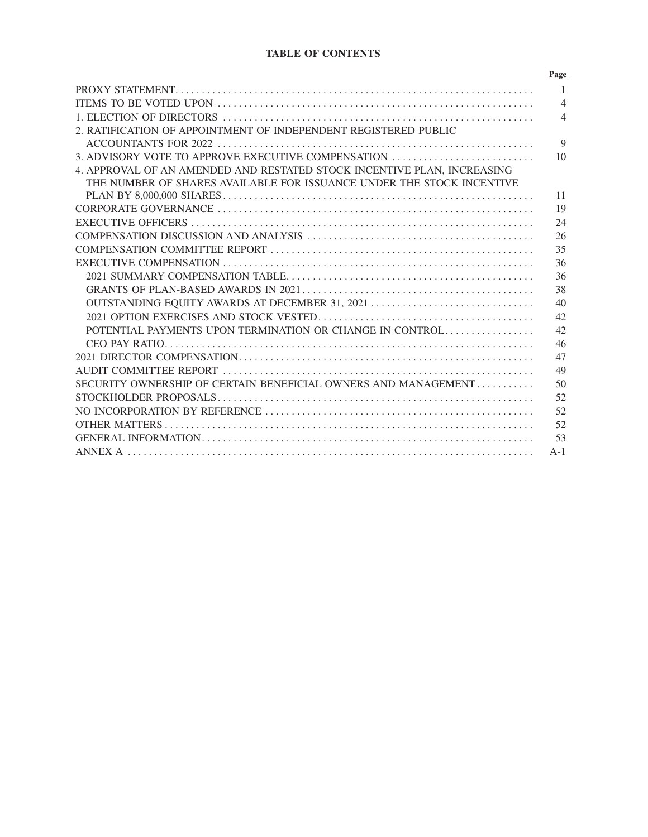# **TABLE OF CONTENTS**

|                                                                         | Page           |
|-------------------------------------------------------------------------|----------------|
|                                                                         | 1              |
|                                                                         | $\overline{4}$ |
|                                                                         | $\overline{4}$ |
| 2. RATIFICATION OF APPOINTMENT OF INDEPENDENT REGISTERED PUBLIC         |                |
|                                                                         | 9              |
| 3. ADVISORY VOTE TO APPROVE EXECUTIVE COMPENSATION                      | 10             |
| 4. APPROVAL OF AN AMENDED AND RESTATED STOCK INCENTIVE PLAN, INCREASING |                |
| THE NUMBER OF SHARES AVAILABLE FOR ISSUANCE UNDER THE STOCK INCENTIVE   |                |
|                                                                         | 11             |
|                                                                         | 19             |
|                                                                         | 24             |
|                                                                         | 26             |
|                                                                         | 35             |
|                                                                         | 36             |
|                                                                         | 36             |
|                                                                         | 38             |
| OUTSTANDING EQUITY AWARDS AT DECEMBER 31, 2021                          | 40             |
|                                                                         | 42             |
| POTENTIAL PAYMENTS UPON TERMINATION OR CHANGE IN CONTROL                | 42             |
|                                                                         | 46             |
|                                                                         | 47             |
|                                                                         | 49             |
| SECURITY OWNERSHIP OF CERTAIN BENEFICIAL OWNERS AND MANAGEMENT          | 50             |
|                                                                         | 52             |
|                                                                         | 52             |
|                                                                         | 52             |
|                                                                         | 53             |
|                                                                         | $A-1$          |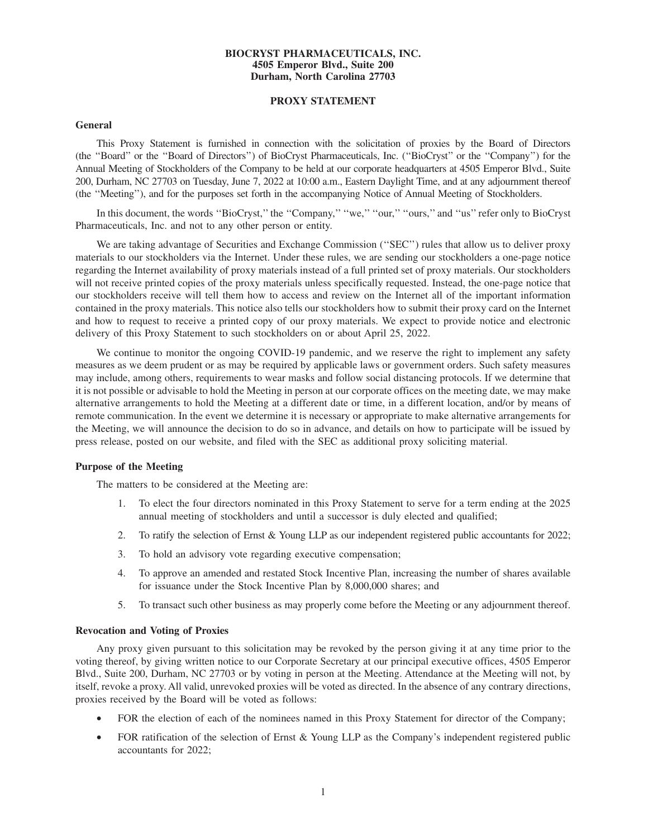## **BIOCRYST PHARMACEUTICALS, INC. 4505 Emperor Blvd., Suite 200 Durham, North Carolina 27703**

# **PROXY STATEMENT**

#### **General**

This Proxy Statement is furnished in connection with the solicitation of proxies by the Board of Directors (the ''Board'' or the ''Board of Directors'') of BioCryst Pharmaceuticals, Inc. (''BioCryst'' or the ''Company'') for the Annual Meeting of Stockholders of the Company to be held at our corporate headquarters at 4505 Emperor Blvd., Suite 200, Durham, NC 27703 on Tuesday, June 7, 2022 at 10:00 a.m., Eastern Daylight Time, and at any adjournment thereof (the ''Meeting''), and for the purposes set forth in the accompanying Notice of Annual Meeting of Stockholders.

In this document, the words "BioCryst," the "Company," "we," "our," "ours," and "us" refer only to BioCryst Pharmaceuticals, Inc. and not to any other person or entity.

We are taking advantage of Securities and Exchange Commission ("SEC") rules that allow us to deliver proxy materials to our stockholders via the Internet. Under these rules, we are sending our stockholders a one-page notice regarding the Internet availability of proxy materials instead of a full printed set of proxy materials. Our stockholders will not receive printed copies of the proxy materials unless specifically requested. Instead, the one-page notice that our stockholders receive will tell them how to access and review on the Internet all of the important information contained in the proxy materials. This notice also tells our stockholders how to submit their proxy card on the Internet and how to request to receive a printed copy of our proxy materials. We expect to provide notice and electronic delivery of this Proxy Statement to such stockholders on or about April 25, 2022.

We continue to monitor the ongoing COVID-19 pandemic, and we reserve the right to implement any safety measures as we deem prudent or as may be required by applicable laws or government orders. Such safety measures may include, among others, requirements to wear masks and follow social distancing protocols. If we determine that it is not possible or advisable to hold the Meeting in person at our corporate offices on the meeting date, we may make alternative arrangements to hold the Meeting at a different date or time, in a different location, and/or by means of remote communication. In the event we determine it is necessary or appropriate to make alternative arrangements for the Meeting, we will announce the decision to do so in advance, and details on how to participate will be issued by press release, posted on our website, and filed with the SEC as additional proxy soliciting material.

#### **Purpose of the Meeting**

The matters to be considered at the Meeting are:

- 1. To elect the four directors nominated in this Proxy Statement to serve for a term ending at the 2025 annual meeting of stockholders and until a successor is duly elected and qualified;
- 2. To ratify the selection of Ernst & Young LLP as our independent registered public accountants for 2022;
- 3. To hold an advisory vote regarding executive compensation;
- 4. To approve an amended and restated Stock Incentive Plan, increasing the number of shares available for issuance under the Stock Incentive Plan by 8,000,000 shares; and
- 5. To transact such other business as may properly come before the Meeting or any adjournment thereof.

#### **Revocation and Voting of Proxies**

Any proxy given pursuant to this solicitation may be revoked by the person giving it at any time prior to the voting thereof, by giving written notice to our Corporate Secretary at our principal executive offices, 4505 Emperor Blvd., Suite 200, Durham, NC 27703 or by voting in person at the Meeting. Attendance at the Meeting will not, by itself, revoke a proxy. All valid, unrevoked proxies will be voted as directed. In the absence of any contrary directions, proxies received by the Board will be voted as follows:

- FOR the election of each of the nominees named in this Proxy Statement for director of the Company;
- FOR ratification of the selection of Ernst & Young LLP as the Company's independent registered public accountants for 2022;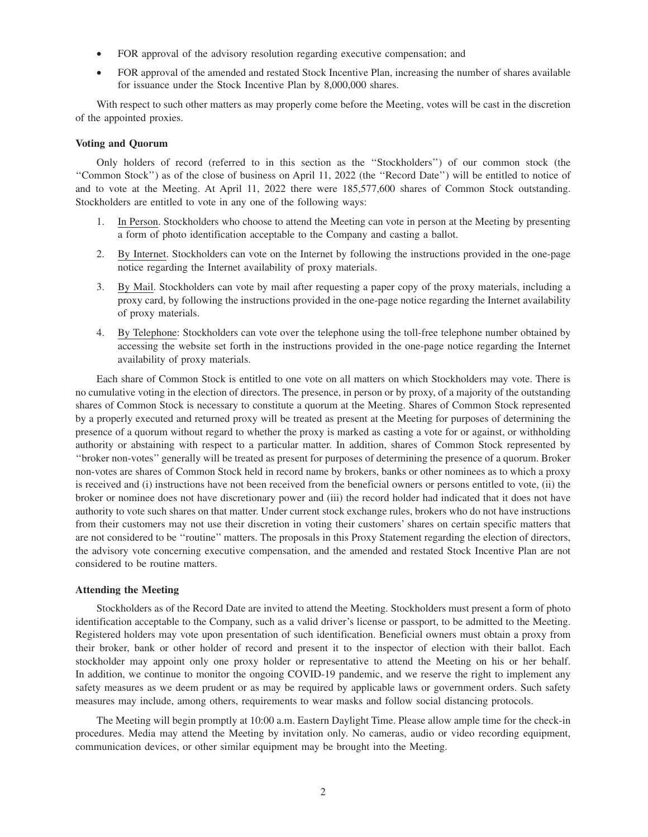- FOR approval of the advisory resolution regarding executive compensation; and
- FOR approval of the amended and restated Stock Incentive Plan, increasing the number of shares available for issuance under the Stock Incentive Plan by 8,000,000 shares.

With respect to such other matters as may properly come before the Meeting, votes will be cast in the discretion of the appointed proxies.

#### **Voting and Quorum**

Only holders of record (referred to in this section as the ''Stockholders'') of our common stock (the ''Common Stock'') as of the close of business on April 11, 2022 (the ''Record Date'') will be entitled to notice of and to vote at the Meeting. At April 11, 2022 there were 185,577,600 shares of Common Stock outstanding. Stockholders are entitled to vote in any one of the following ways:

- 1. In Person. Stockholders who choose to attend the Meeting can vote in person at the Meeting by presenting a form of photo identification acceptable to the Company and casting a ballot.
- 2. By Internet. Stockholders can vote on the Internet by following the instructions provided in the one-page notice regarding the Internet availability of proxy materials.
- 3. By Mail. Stockholders can vote by mail after requesting a paper copy of the proxy materials, including a proxy card, by following the instructions provided in the one-page notice regarding the Internet availability of proxy materials.
- 4. By Telephone: Stockholders can vote over the telephone using the toll-free telephone number obtained by accessing the website set forth in the instructions provided in the one-page notice regarding the Internet availability of proxy materials.

Each share of Common Stock is entitled to one vote on all matters on which Stockholders may vote. There is no cumulative voting in the election of directors. The presence, in person or by proxy, of a majority of the outstanding shares of Common Stock is necessary to constitute a quorum at the Meeting. Shares of Common Stock represented by a properly executed and returned proxy will be treated as present at the Meeting for purposes of determining the presence of a quorum without regard to whether the proxy is marked as casting a vote for or against, or withholding authority or abstaining with respect to a particular matter. In addition, shares of Common Stock represented by ''broker non-votes'' generally will be treated as present for purposes of determining the presence of a quorum. Broker non-votes are shares of Common Stock held in record name by brokers, banks or other nominees as to which a proxy is received and (i) instructions have not been received from the beneficial owners or persons entitled to vote, (ii) the broker or nominee does not have discretionary power and (iii) the record holder had indicated that it does not have authority to vote such shares on that matter. Under current stock exchange rules, brokers who do not have instructions from their customers may not use their discretion in voting their customers' shares on certain specific matters that are not considered to be ''routine'' matters. The proposals in this Proxy Statement regarding the election of directors, the advisory vote concerning executive compensation, and the amended and restated Stock Incentive Plan are not considered to be routine matters.

#### **Attending the Meeting**

Stockholders as of the Record Date are invited to attend the Meeting. Stockholders must present a form of photo identification acceptable to the Company, such as a valid driver's license or passport, to be admitted to the Meeting. Registered holders may vote upon presentation of such identification. Beneficial owners must obtain a proxy from their broker, bank or other holder of record and present it to the inspector of election with their ballot. Each stockholder may appoint only one proxy holder or representative to attend the Meeting on his or her behalf. In addition, we continue to monitor the ongoing COVID-19 pandemic, and we reserve the right to implement any safety measures as we deem prudent or as may be required by applicable laws or government orders. Such safety measures may include, among others, requirements to wear masks and follow social distancing protocols.

The Meeting will begin promptly at 10:00 a.m. Eastern Daylight Time. Please allow ample time for the check-in procedures. Media may attend the Meeting by invitation only. No cameras, audio or video recording equipment, communication devices, or other similar equipment may be brought into the Meeting.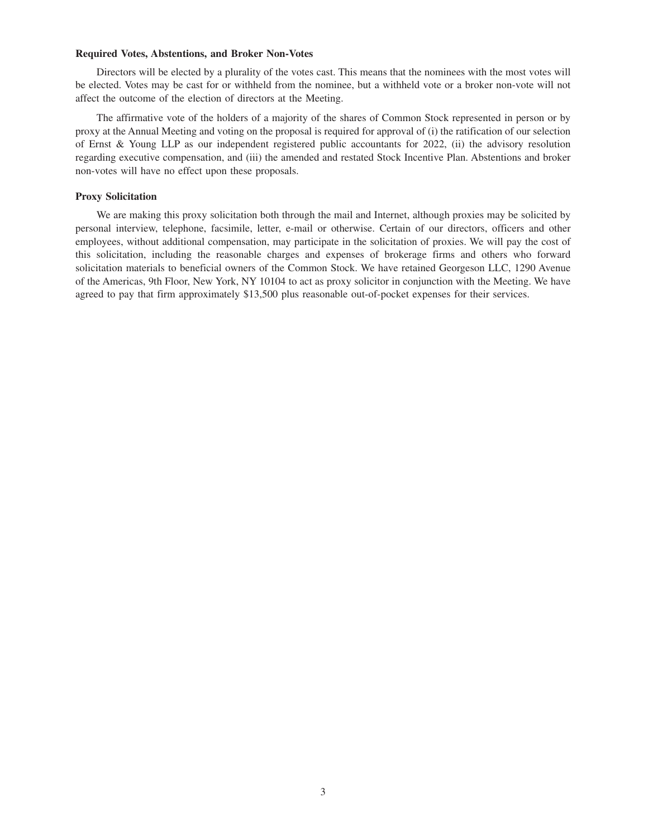#### **Required Votes, Abstentions, and Broker Non-Votes**

Directors will be elected by a plurality of the votes cast. This means that the nominees with the most votes will be elected. Votes may be cast for or withheld from the nominee, but a withheld vote or a broker non-vote will not affect the outcome of the election of directors at the Meeting.

The affirmative vote of the holders of a majority of the shares of Common Stock represented in person or by proxy at the Annual Meeting and voting on the proposal is required for approval of (i) the ratification of our selection of Ernst & Young LLP as our independent registered public accountants for 2022, (ii) the advisory resolution regarding executive compensation, and (iii) the amended and restated Stock Incentive Plan. Abstentions and broker non-votes will have no effect upon these proposals.

## **Proxy Solicitation**

We are making this proxy solicitation both through the mail and Internet, although proxies may be solicited by personal interview, telephone, facsimile, letter, e-mail or otherwise. Certain of our directors, officers and other employees, without additional compensation, may participate in the solicitation of proxies. We will pay the cost of this solicitation, including the reasonable charges and expenses of brokerage firms and others who forward solicitation materials to beneficial owners of the Common Stock. We have retained Georgeson LLC, 1290 Avenue of the Americas, 9th Floor, New York, NY 10104 to act as proxy solicitor in conjunction with the Meeting. We have agreed to pay that firm approximately \$13,500 plus reasonable out-of-pocket expenses for their services.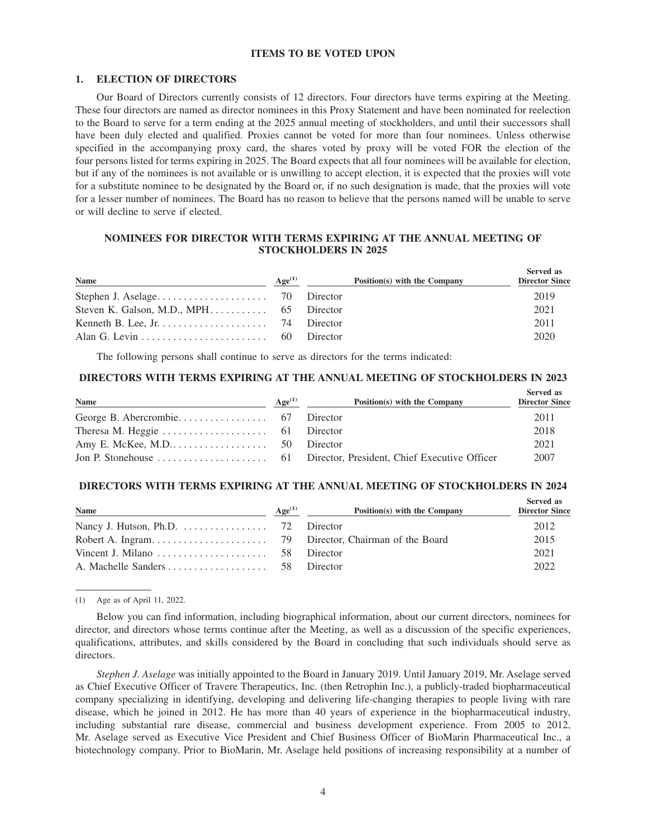## **ITEMS TO BE VOTED UPON**

## **1. ELECTION OF DIRECTORS**

Our Board of Directors currently consists of 12 directors. Four directors have terms expiring at the Meeting. These four directors are named as director nominees in this Proxy Statement and have been nominated for reelection to the Board to serve for a term ending at the 2025 annual meeting of stockholders, and until their successors shall have been duly elected and qualified. Proxies cannot be voted for more than four nominees. Unless otherwise specified in the accompanying proxy card, the shares voted by proxy will be voted FOR the election of the four persons listed for terms expiring in 2025. The Board expects that all four nominees will be available for election, but if any of the nominees is not available or is unwilling to accept election, it is expected that the proxies will vote for a substitute nominee to be designated by the Board or, if no such designation is made, that the proxies will vote for a lesser number of nominees. The Board has no reason to believe that the persons named will be unable to serve or will decline to serve if elected.

# **NOMINEES FOR DIRECTOR WITH TERMS EXPIRING AT THE ANNUAL MEETING OF STOCKHOLDERS IN 2025**

| Name                                                                  | Age <sup>(1)</sup> | Position(s) with the Company | Served as<br><b>Director Since</b> |
|-----------------------------------------------------------------------|--------------------|------------------------------|------------------------------------|
|                                                                       |                    |                              | 2019                               |
|                                                                       |                    |                              | 2021                               |
| Kenneth B. Lee, Jr. $\dots \dots \dots \dots \dots \dots$ 74 Director |                    |                              | 2011                               |
|                                                                       |                    | Director                     | 2020                               |

The following persons shall continue to serve as directors for the terms indicated:

# **DIRECTORS WITH TERMS EXPIRING AT THE ANNUAL MEETING OF STOCKHOLDERS IN 2023**

| <b>Name</b>                                                         | Age <sup>(1)</sup> | Position(s) with the Company | Served as<br><b>Director Since</b> |
|---------------------------------------------------------------------|--------------------|------------------------------|------------------------------------|
|                                                                     |                    |                              | 2011                               |
| Theresa M. Heggie $\dots \dots \dots \dots \dots \dots$ 61 Director |                    |                              | 2018                               |
|                                                                     |                    |                              | 2021                               |
|                                                                     |                    |                              | 2007                               |

#### **DIRECTORS WITH TERMS EXPIRING AT THE ANNUAL MEETING OF STOCKHOLDERS IN 2024**

| <b>Name</b> | Age <sup>(1)</sup> | Position(s) with the Company | Served as<br><b>Director Since</b> |
|-------------|--------------------|------------------------------|------------------------------------|
|             |                    |                              | 2012                               |
|             |                    |                              | 2015                               |
|             |                    | Director                     | 2021                               |
|             |                    | Director                     | 2022                               |

(1) Age as of April 11, 2022.

Below you can find information, including biographical information, about our current directors, nominees for director, and directors whose terms continue after the Meeting, as well as a discussion of the specific experiences, qualifications, attributes, and skills considered by the Board in concluding that such individuals should serve as directors.

*Stephen J. Aselage* was initially appointed to the Board in January 2019. Until January 2019, Mr. Aselage served as Chief Executive Officer of Travere Therapeutics, Inc. (then Retrophin Inc.), a publicly-traded biopharmaceutical company specializing in identifying, developing and delivering life-changing therapies to people living with rare disease, which he joined in 2012. He has more than 40 years of experience in the biopharmaceutical industry, including substantial rare disease, commercial and business development experience. From 2005 to 2012, Mr. Aselage served as Executive Vice President and Chief Business Officer of BioMarin Pharmaceutical Inc., a biotechnology company. Prior to BioMarin, Mr. Aselage held positions of increasing responsibility at a number of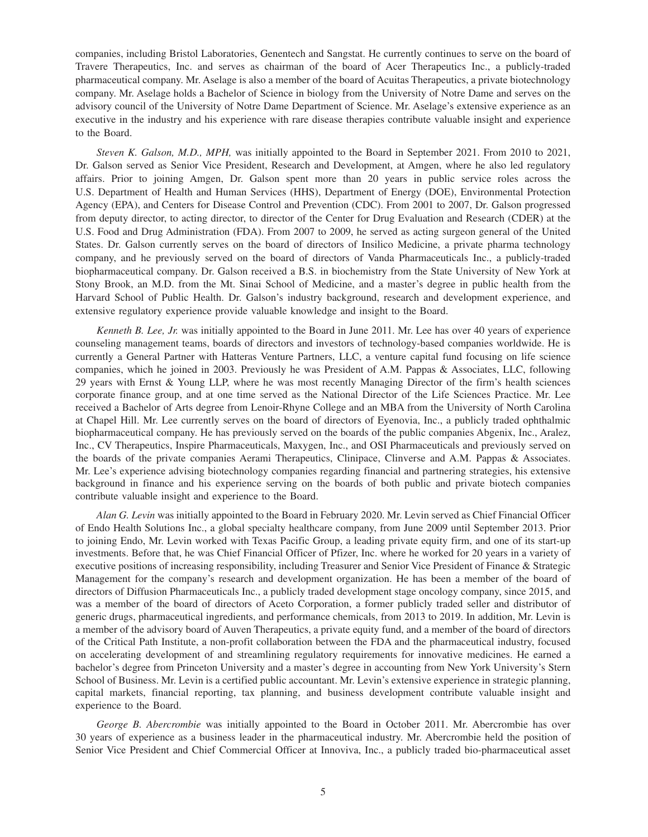companies, including Bristol Laboratories, Genentech and Sangstat. He currently continues to serve on the board of Travere Therapeutics, Inc. and serves as chairman of the board of Acer Therapeutics Inc., a publicly-traded pharmaceutical company. Mr. Aselage is also a member of the board of Acuitas Therapeutics, a private biotechnology company. Mr. Aselage holds a Bachelor of Science in biology from the University of Notre Dame and serves on the advisory council of the University of Notre Dame Department of Science. Mr. Aselage's extensive experience as an executive in the industry and his experience with rare disease therapies contribute valuable insight and experience to the Board.

*Steven K. Galson, M.D., MPH,* was initially appointed to the Board in September 2021. From 2010 to 2021, Dr. Galson served as Senior Vice President, Research and Development, at Amgen, where he also led regulatory affairs. Prior to joining Amgen, Dr. Galson spent more than 20 years in public service roles across the U.S. Department of Health and Human Services (HHS), Department of Energy (DOE), Environmental Protection Agency (EPA), and Centers for Disease Control and Prevention (CDC). From 2001 to 2007, Dr. Galson progressed from deputy director, to acting director, to director of the Center for Drug Evaluation and Research (CDER) at the U.S. Food and Drug Administration (FDA). From 2007 to 2009, he served as acting surgeon general of the United States. Dr. Galson currently serves on the board of directors of Insilico Medicine, a private pharma technology company, and he previously served on the board of directors of Vanda Pharmaceuticals Inc., a publicly-traded biopharmaceutical company. Dr. Galson received a B.S. in biochemistry from the State University of New York at Stony Brook, an M.D. from the Mt. Sinai School of Medicine, and a master's degree in public health from the Harvard School of Public Health. Dr. Galson's industry background, research and development experience, and extensive regulatory experience provide valuable knowledge and insight to the Board.

*Kenneth B. Lee, Jr.* was initially appointed to the Board in June 2011. Mr. Lee has over 40 years of experience counseling management teams, boards of directors and investors of technology-based companies worldwide. He is currently a General Partner with Hatteras Venture Partners, LLC, a venture capital fund focusing on life science companies, which he joined in 2003. Previously he was President of A.M. Pappas & Associates, LLC, following 29 years with Ernst & Young LLP, where he was most recently Managing Director of the firm's health sciences corporate finance group, and at one time served as the National Director of the Life Sciences Practice. Mr. Lee received a Bachelor of Arts degree from Lenoir-Rhyne College and an MBA from the University of North Carolina at Chapel Hill. Mr. Lee currently serves on the board of directors of Eyenovia, Inc., a publicly traded ophthalmic biopharmaceutical company. He has previously served on the boards of the public companies Abgenix, Inc., Aralez, Inc., CV Therapeutics, Inspire Pharmaceuticals, Maxygen, Inc., and OSI Pharmaceuticals and previously served on the boards of the private companies Aerami Therapeutics, Clinipace, Clinverse and A.M. Pappas & Associates. Mr. Lee's experience advising biotechnology companies regarding financial and partnering strategies, his extensive background in finance and his experience serving on the boards of both public and private biotech companies contribute valuable insight and experience to the Board.

*Alan G. Levin* was initially appointed to the Board in February 2020. Mr. Levin served as Chief Financial Officer of Endo Health Solutions Inc., a global specialty healthcare company, from June 2009 until September 2013. Prior to joining Endo, Mr. Levin worked with Texas Pacific Group, a leading private equity firm, and one of its start-up investments. Before that, he was Chief Financial Officer of Pfizer, Inc. where he worked for 20 years in a variety of executive positions of increasing responsibility, including Treasurer and Senior Vice President of Finance & Strategic Management for the company's research and development organization. He has been a member of the board of directors of Diffusion Pharmaceuticals Inc., a publicly traded development stage oncology company, since 2015, and was a member of the board of directors of Aceto Corporation, a former publicly traded seller and distributor of generic drugs, pharmaceutical ingredients, and performance chemicals, from 2013 to 2019. In addition, Mr. Levin is a member of the advisory board of Auven Therapeutics, a private equity fund, and a member of the board of directors of the Critical Path Institute, a non-profit collaboration between the FDA and the pharmaceutical industry, focused on accelerating development of and streamlining regulatory requirements for innovative medicines. He earned a bachelor's degree from Princeton University and a master's degree in accounting from New York University's Stern School of Business. Mr. Levin is a certified public accountant. Mr. Levin's extensive experience in strategic planning, capital markets, financial reporting, tax planning, and business development contribute valuable insight and experience to the Board.

*George B. Abercrombie* was initially appointed to the Board in October 2011. Mr. Abercrombie has over 30 years of experience as a business leader in the pharmaceutical industry. Mr. Abercrombie held the position of Senior Vice President and Chief Commercial Officer at Innoviva, Inc., a publicly traded bio-pharmaceutical asset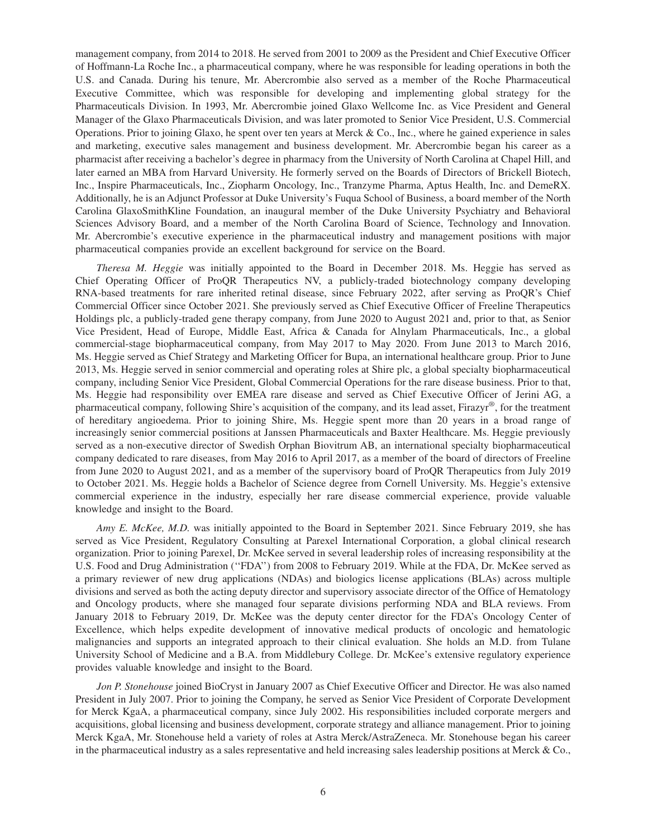management company, from 2014 to 2018. He served from 2001 to 2009 as the President and Chief Executive Officer of Hoffmann-La Roche Inc., a pharmaceutical company, where he was responsible for leading operations in both the U.S. and Canada. During his tenure, Mr. Abercrombie also served as a member of the Roche Pharmaceutical Executive Committee, which was responsible for developing and implementing global strategy for the Pharmaceuticals Division. In 1993, Mr. Abercrombie joined Glaxo Wellcome Inc. as Vice President and General Manager of the Glaxo Pharmaceuticals Division, and was later promoted to Senior Vice President, U.S. Commercial Operations. Prior to joining Glaxo, he spent over ten years at Merck & Co., Inc., where he gained experience in sales and marketing, executive sales management and business development. Mr. Abercrombie began his career as a pharmacist after receiving a bachelor's degree in pharmacy from the University of North Carolina at Chapel Hill, and later earned an MBA from Harvard University. He formerly served on the Boards of Directors of Brickell Biotech, Inc., Inspire Pharmaceuticals, Inc., Ziopharm Oncology, Inc., Tranzyme Pharma, Aptus Health, Inc. and DemeRX. Additionally, he is an Adjunct Professor at Duke University's Fuqua School of Business, a board member of the North Carolina GlaxoSmithKline Foundation, an inaugural member of the Duke University Psychiatry and Behavioral Sciences Advisory Board, and a member of the North Carolina Board of Science, Technology and Innovation. Mr. Abercrombie's executive experience in the pharmaceutical industry and management positions with major pharmaceutical companies provide an excellent background for service on the Board.

*Theresa M. Heggie* was initially appointed to the Board in December 2018. Ms. Heggie has served as Chief Operating Officer of ProQR Therapeutics NV, a publicly-traded biotechnology company developing RNA-based treatments for rare inherited retinal disease, since February 2022, after serving as ProQR's Chief Commercial Officer since October 2021. She previously served as Chief Executive Officer of Freeline Therapeutics Holdings plc, a publicly-traded gene therapy company, from June 2020 to August 2021 and, prior to that, as Senior Vice President, Head of Europe, Middle East, Africa & Canada for Alnylam Pharmaceuticals, Inc., a global commercial-stage biopharmaceutical company, from May 2017 to May 2020. From June 2013 to March 2016, Ms. Heggie served as Chief Strategy and Marketing Officer for Bupa, an international healthcare group. Prior to June 2013, Ms. Heggie served in senior commercial and operating roles at Shire plc, a global specialty biopharmaceutical company, including Senior Vice President, Global Commercial Operations for the rare disease business. Prior to that, Ms. Heggie had responsibility over EMEA rare disease and served as Chief Executive Officer of Jerini AG, a pharmaceutical company, following Shire's acquisition of the company, and its lead asset, Firazyr®, for the treatment of hereditary angioedema. Prior to joining Shire, Ms. Heggie spent more than 20 years in a broad range of increasingly senior commercial positions at Janssen Pharmaceuticals and Baxter Healthcare. Ms. Heggie previously served as a non-executive director of Swedish Orphan Biovitrum AB, an international specialty biopharmaceutical company dedicated to rare diseases, from May 2016 to April 2017, as a member of the board of directors of Freeline from June 2020 to August 2021, and as a member of the supervisory board of ProQR Therapeutics from July 2019 to October 2021. Ms. Heggie holds a Bachelor of Science degree from Cornell University. Ms. Heggie's extensive commercial experience in the industry, especially her rare disease commercial experience, provide valuable knowledge and insight to the Board.

*Amy E. McKee, M.D.* was initially appointed to the Board in September 2021. Since February 2019, she has served as Vice President, Regulatory Consulting at Parexel International Corporation, a global clinical research organization. Prior to joining Parexel, Dr. McKee served in several leadership roles of increasing responsibility at the U.S. Food and Drug Administration (''FDA'') from 2008 to February 2019. While at the FDA, Dr. McKee served as a primary reviewer of new drug applications (NDAs) and biologics license applications (BLAs) across multiple divisions and served as both the acting deputy director and supervisory associate director of the Office of Hematology and Oncology products, where she managed four separate divisions performing NDA and BLA reviews. From January 2018 to February 2019, Dr. McKee was the deputy center director for the FDA's Oncology Center of Excellence, which helps expedite development of innovative medical products of oncologic and hematologic malignancies and supports an integrated approach to their clinical evaluation. She holds an M.D. from Tulane University School of Medicine and a B.A. from Middlebury College. Dr. McKee's extensive regulatory experience provides valuable knowledge and insight to the Board.

*Jon P. Stonehouse* joined BioCryst in January 2007 as Chief Executive Officer and Director. He was also named President in July 2007. Prior to joining the Company, he served as Senior Vice President of Corporate Development for Merck KgaA, a pharmaceutical company, since July 2002. His responsibilities included corporate mergers and acquisitions, global licensing and business development, corporate strategy and alliance management. Prior to joining Merck KgaA, Mr. Stonehouse held a variety of roles at Astra Merck/AstraZeneca. Mr. Stonehouse began his career in the pharmaceutical industry as a sales representative and held increasing sales leadership positions at Merck  $&Co$ ,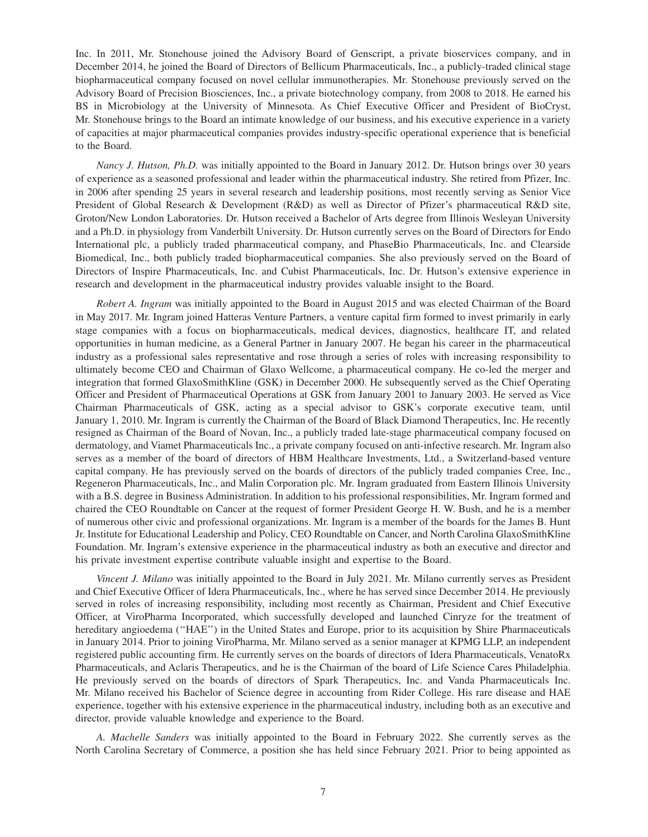Inc. In 2011, Mr. Stonehouse joined the Advisory Board of Genscript, a private bioservices company, and in December 2014, he joined the Board of Directors of Bellicum Pharmaceuticals, Inc., a publicly-traded clinical stage biopharmaceutical company focused on novel cellular immunotherapies. Mr. Stonehouse previously served on the Advisory Board of Precision Biosciences, Inc., a private biotechnology company, from 2008 to 2018. He earned his BS in Microbiology at the University of Minnesota. As Chief Executive Officer and President of BioCryst, Mr. Stonehouse brings to the Board an intimate knowledge of our business, and his executive experience in a variety of capacities at major pharmaceutical companies provides industry-specific operational experience that is beneficial to the Board.

*Nancy J. Hutson, Ph.D.* was initially appointed to the Board in January 2012. Dr. Hutson brings over 30 years of experience as a seasoned professional and leader within the pharmaceutical industry. She retired from Pfizer, Inc. in 2006 after spending 25 years in several research and leadership positions, most recently serving as Senior Vice President of Global Research & Development (R&D) as well as Director of Pfizer's pharmaceutical R&D site, Groton/New London Laboratories. Dr. Hutson received a Bachelor of Arts degree from Illinois Wesleyan University and a Ph.D. in physiology from Vanderbilt University. Dr. Hutson currently serves on the Board of Directors for Endo International plc, a publicly traded pharmaceutical company, and PhaseBio Pharmaceuticals, Inc. and Clearside Biomedical, Inc., both publicly traded biopharmaceutical companies. She also previously served on the Board of Directors of Inspire Pharmaceuticals, Inc. and Cubist Pharmaceuticals, Inc. Dr. Hutson's extensive experience in research and development in the pharmaceutical industry provides valuable insight to the Board.

*Robert A. Ingram* was initially appointed to the Board in August 2015 and was elected Chairman of the Board in May 2017. Mr. Ingram joined Hatteras Venture Partners, a venture capital firm formed to invest primarily in early stage companies with a focus on biopharmaceuticals, medical devices, diagnostics, healthcare IT, and related opportunities in human medicine, as a General Partner in January 2007. He began his career in the pharmaceutical industry as a professional sales representative and rose through a series of roles with increasing responsibility to ultimately become CEO and Chairman of Glaxo Wellcome, a pharmaceutical company. He co-led the merger and integration that formed GlaxoSmithKline (GSK) in December 2000. He subsequently served as the Chief Operating Officer and President of Pharmaceutical Operations at GSK from January 2001 to January 2003. He served as Vice Chairman Pharmaceuticals of GSK, acting as a special advisor to GSK's corporate executive team, until January 1, 2010. Mr. Ingram is currently the Chairman of the Board of Black Diamond Therapeutics, Inc. He recently resigned as Chairman of the Board of Novan, Inc., a publicly traded late-stage pharmaceutical company focused on dermatology, and Viamet Pharmaceuticals Inc., a private company focused on anti-infective research. Mr. Ingram also serves as a member of the board of directors of HBM Healthcare Investments, Ltd., a Switzerland-based venture capital company. He has previously served on the boards of directors of the publicly traded companies Cree, Inc., Regeneron Pharmaceuticals, Inc., and Malin Corporation plc. Mr. Ingram graduated from Eastern Illinois University with a B.S. degree in Business Administration. In addition to his professional responsibilities, Mr. Ingram formed and chaired the CEO Roundtable on Cancer at the request of former President George H. W. Bush, and he is a member of numerous other civic and professional organizations. Mr. Ingram is a member of the boards for the James B. Hunt Jr. Institute for Educational Leadership and Policy, CEO Roundtable on Cancer, and North Carolina GlaxoSmithKline Foundation. Mr. Ingram's extensive experience in the pharmaceutical industry as both an executive and director and his private investment expertise contribute valuable insight and expertise to the Board.

*Vincent J. Milano* was initially appointed to the Board in July 2021. Mr. Milano currently serves as President and Chief Executive Officer of Idera Pharmaceuticals, Inc., where he has served since December 2014. He previously served in roles of increasing responsibility, including most recently as Chairman, President and Chief Executive Officer, at ViroPharma Incorporated, which successfully developed and launched Cinryze for the treatment of hereditary angioedema ("HAE") in the United States and Europe, prior to its acquisition by Shire Pharmaceuticals in January 2014. Prior to joining ViroPharma, Mr. Milano served as a senior manager at KPMG LLP, an independent registered public accounting firm. He currently serves on the boards of directors of Idera Pharmaceuticals, VenatoRx Pharmaceuticals, and Aclaris Therapeutics, and he is the Chairman of the board of Life Science Cares Philadelphia. He previously served on the boards of directors of Spark Therapeutics, Inc. and Vanda Pharmaceuticals Inc. Mr. Milano received his Bachelor of Science degree in accounting from Rider College. His rare disease and HAE experience, together with his extensive experience in the pharmaceutical industry, including both as an executive and director, provide valuable knowledge and experience to the Board.

*A. Machelle Sanders* was initially appointed to the Board in February 2022. She currently serves as the North Carolina Secretary of Commerce, a position she has held since February 2021. Prior to being appointed as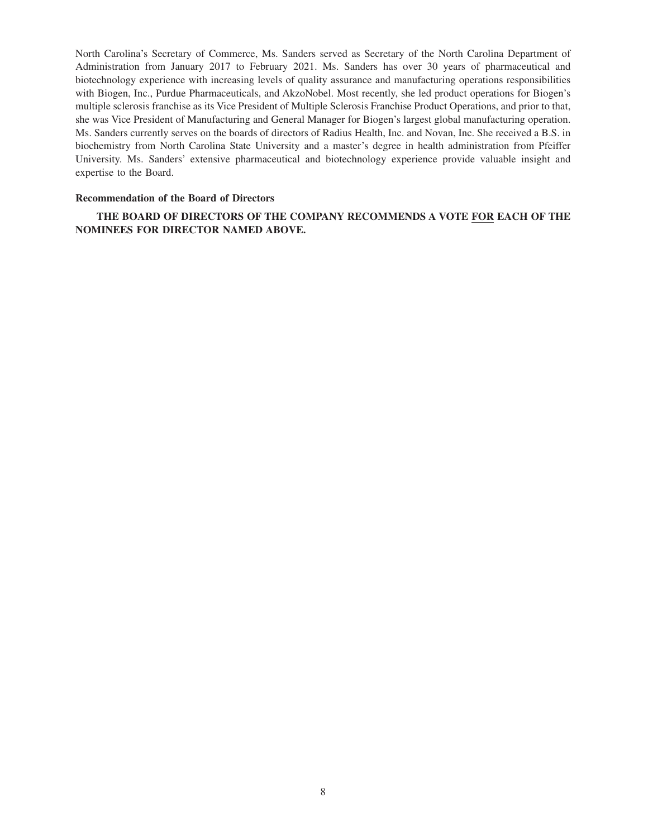North Carolina's Secretary of Commerce, Ms. Sanders served as Secretary of the North Carolina Department of Administration from January 2017 to February 2021. Ms. Sanders has over 30 years of pharmaceutical and biotechnology experience with increasing levels of quality assurance and manufacturing operations responsibilities with Biogen, Inc., Purdue Pharmaceuticals, and AkzoNobel. Most recently, she led product operations for Biogen's multiple sclerosis franchise as its Vice President of Multiple Sclerosis Franchise Product Operations, and prior to that, she was Vice President of Manufacturing and General Manager for Biogen's largest global manufacturing operation. Ms. Sanders currently serves on the boards of directors of Radius Health, Inc. and Novan, Inc. She received a B.S. in biochemistry from North Carolina State University and a master's degree in health administration from Pfeiffer University. Ms. Sanders' extensive pharmaceutical and biotechnology experience provide valuable insight and expertise to the Board.

## **Recommendation of the Board of Directors**

**THE BOARD OF DIRECTORS OF THE COMPANY RECOMMENDS A VOTE FOR EACH OF THE NOMINEES FOR DIRECTOR NAMED ABOVE.**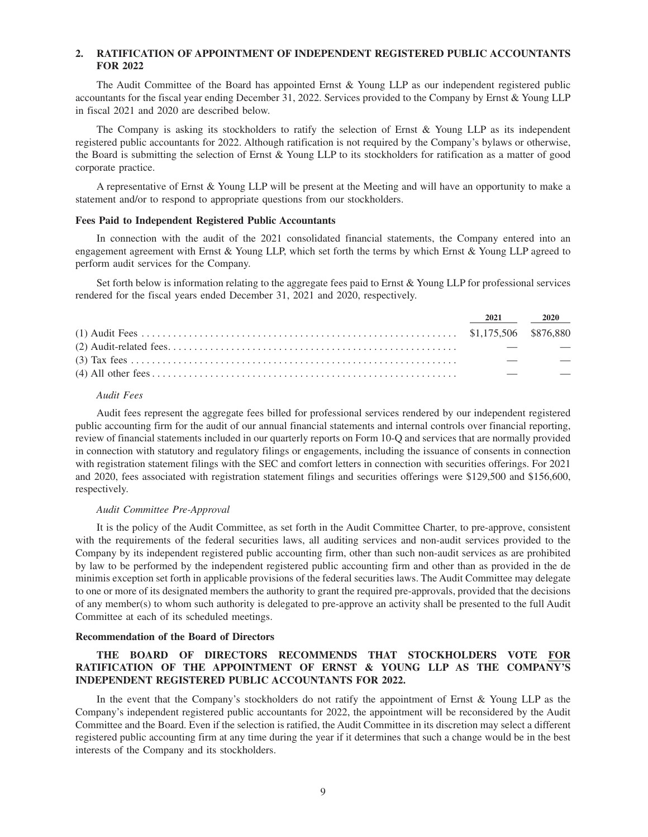## **2. RATIFICATION OF APPOINTMENT OF INDEPENDENT REGISTERED PUBLIC ACCOUNTANTS FOR 2022**

The Audit Committee of the Board has appointed Ernst & Young LLP as our independent registered public accountants for the fiscal year ending December 31, 2022. Services provided to the Company by Ernst & Young LLP in fiscal 2021 and 2020 are described below.

The Company is asking its stockholders to ratify the selection of Ernst  $\&$  Young LLP as its independent registered public accountants for 2022. Although ratification is not required by the Company's bylaws or otherwise, the Board is submitting the selection of Ernst & Young LLP to its stockholders for ratification as a matter of good corporate practice.

A representative of Ernst & Young LLP will be present at the Meeting and will have an opportunity to make a statement and/or to respond to appropriate questions from our stockholders.

## **Fees Paid to Independent Registered Public Accountants**

In connection with the audit of the 2021 consolidated financial statements, the Company entered into an engagement agreement with Ernst & Young LLP, which set forth the terms by which Ernst & Young LLP agreed to perform audit services for the Company.

Set forth below is information relating to the aggregate fees paid to Ernst & Young LLP for professional services rendered for the fiscal years ended December 31, 2021 and 2020, respectively.

| 2021 2020 |  |
|-----------|--|
|           |  |
|           |  |
|           |  |
|           |  |
|           |  |

## *Audit Fees*

Audit fees represent the aggregate fees billed for professional services rendered by our independent registered public accounting firm for the audit of our annual financial statements and internal controls over financial reporting, review of financial statements included in our quarterly reports on Form 10-Q and services that are normally provided in connection with statutory and regulatory filings or engagements, including the issuance of consents in connection with registration statement filings with the SEC and comfort letters in connection with securities offerings. For 2021 and 2020, fees associated with registration statement filings and securities offerings were \$129,500 and \$156,600, respectively.

#### *Audit Committee Pre-Approval*

It is the policy of the Audit Committee, as set forth in the Audit Committee Charter, to pre-approve, consistent with the requirements of the federal securities laws, all auditing services and non-audit services provided to the Company by its independent registered public accounting firm, other than such non-audit services as are prohibited by law to be performed by the independent registered public accounting firm and other than as provided in the de minimis exception set forth in applicable provisions of the federal securities laws. The Audit Committee may delegate to one or more of its designated members the authority to grant the required pre-approvals, provided that the decisions of any member(s) to whom such authority is delegated to pre-approve an activity shall be presented to the full Audit Committee at each of its scheduled meetings.

#### **Recommendation of the Board of Directors**

## **THE BOARD OF DIRECTORS RECOMMENDS THAT STOCKHOLDERS VOTE FOR RATIFICATION OF THE APPOINTMENT OF ERNST & YOUNG LLP AS THE COMPANY'S INDEPENDENT REGISTERED PUBLIC ACCOUNTANTS FOR 2022.**

In the event that the Company's stockholders do not ratify the appointment of Ernst & Young LLP as the Company's independent registered public accountants for 2022, the appointment will be reconsidered by the Audit Committee and the Board. Even if the selection is ratified, the Audit Committee in its discretion may select a different registered public accounting firm at any time during the year if it determines that such a change would be in the best interests of the Company and its stockholders.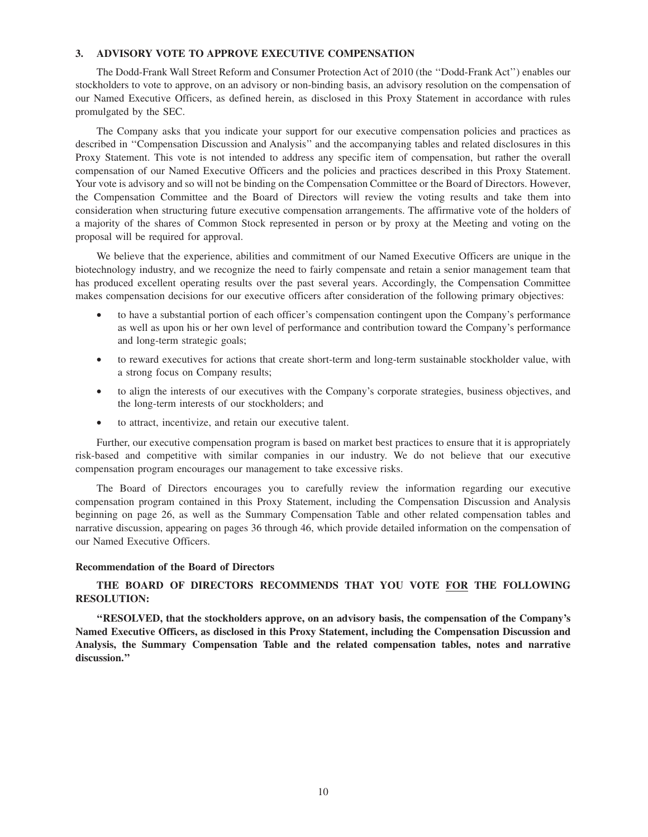## **3. ADVISORY VOTE TO APPROVE EXECUTIVE COMPENSATION**

The Dodd-Frank Wall Street Reform and Consumer Protection Act of 2010 (the ''Dodd-Frank Act'') enables our stockholders to vote to approve, on an advisory or non-binding basis, an advisory resolution on the compensation of our Named Executive Officers, as defined herein, as disclosed in this Proxy Statement in accordance with rules promulgated by the SEC.

The Company asks that you indicate your support for our executive compensation policies and practices as described in ''Compensation Discussion and Analysis'' and the accompanying tables and related disclosures in this Proxy Statement. This vote is not intended to address any specific item of compensation, but rather the overall compensation of our Named Executive Officers and the policies and practices described in this Proxy Statement. Your vote is advisory and so will not be binding on the Compensation Committee or the Board of Directors. However, the Compensation Committee and the Board of Directors will review the voting results and take them into consideration when structuring future executive compensation arrangements. The affirmative vote of the holders of a majority of the shares of Common Stock represented in person or by proxy at the Meeting and voting on the proposal will be required for approval.

We believe that the experience, abilities and commitment of our Named Executive Officers are unique in the biotechnology industry, and we recognize the need to fairly compensate and retain a senior management team that has produced excellent operating results over the past several years. Accordingly, the Compensation Committee makes compensation decisions for our executive officers after consideration of the following primary objectives:

- to have a substantial portion of each officer's compensation contingent upon the Company's performance as well as upon his or her own level of performance and contribution toward the Company's performance and long-term strategic goals;
- to reward executives for actions that create short-term and long-term sustainable stockholder value, with a strong focus on Company results;
- to align the interests of our executives with the Company's corporate strategies, business objectives, and the long-term interests of our stockholders; and
- to attract, incentivize, and retain our executive talent.

Further, our executive compensation program is based on market best practices to ensure that it is appropriately risk-based and competitive with similar companies in our industry. We do not believe that our executive compensation program encourages our management to take excessive risks.

The Board of Directors encourages you to carefully review the information regarding our executive compensation program contained in this Proxy Statement, including the Compensation Discussion and Analysis beginning on page 26, as well as the Summary Compensation Table and other related compensation tables and narrative discussion, appearing on pages 36 through 46, which provide detailed information on the compensation of our Named Executive Officers.

#### **Recommendation of the Board of Directors**

# **THE BOARD OF DIRECTORS RECOMMENDS THAT YOU VOTE FOR THE FOLLOWING RESOLUTION:**

**''RESOLVED, that the stockholders approve, on an advisory basis, the compensation of the Company's Named Executive Officers, as disclosed in this Proxy Statement, including the Compensation Discussion and Analysis, the Summary Compensation Table and the related compensation tables, notes and narrative discussion.''**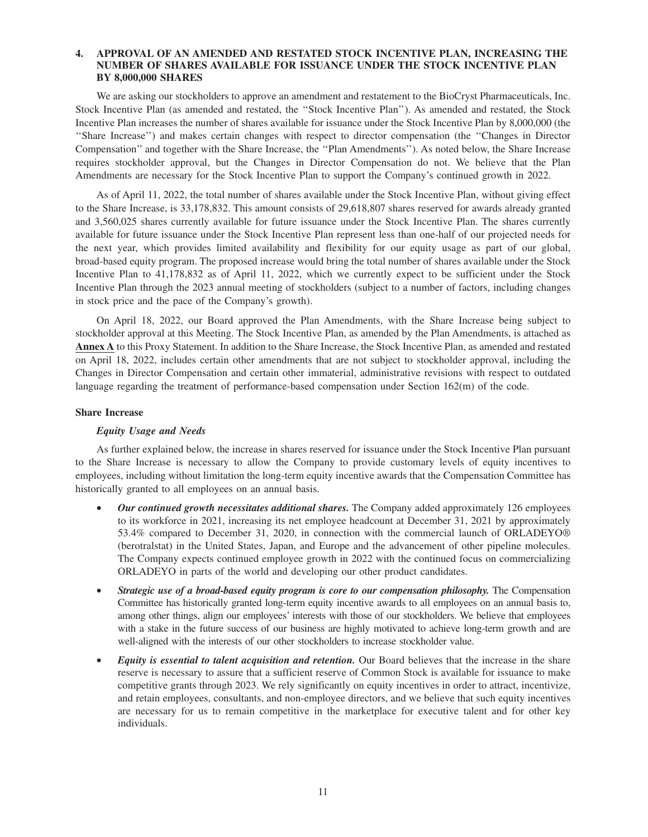## **4. APPROVAL OF AN AMENDED AND RESTATED STOCK INCENTIVE PLAN, INCREASING THE NUMBER OF SHARES AVAILABLE FOR ISSUANCE UNDER THE STOCK INCENTIVE PLAN BY 8,000,000 SHARES**

We are asking our stockholders to approve an amendment and restatement to the BioCryst Pharmaceuticals, Inc. Stock Incentive Plan (as amended and restated, the ''Stock Incentive Plan''). As amended and restated, the Stock Incentive Plan increases the number of shares available for issuance under the Stock Incentive Plan by 8,000,000 (the ''Share Increase'') and makes certain changes with respect to director compensation (the ''Changes in Director Compensation'' and together with the Share Increase, the ''Plan Amendments''). As noted below, the Share Increase requires stockholder approval, but the Changes in Director Compensation do not. We believe that the Plan Amendments are necessary for the Stock Incentive Plan to support the Company's continued growth in 2022.

As of April 11, 2022, the total number of shares available under the Stock Incentive Plan, without giving effect to the Share Increase, is 33,178,832. This amount consists of 29,618,807 shares reserved for awards already granted and 3,560,025 shares currently available for future issuance under the Stock Incentive Plan. The shares currently available for future issuance under the Stock Incentive Plan represent less than one-half of our projected needs for the next year, which provides limited availability and flexibility for our equity usage as part of our global, broad-based equity program. The proposed increase would bring the total number of shares available under the Stock Incentive Plan to 41,178,832 as of April 11, 2022, which we currently expect to be sufficient under the Stock Incentive Plan through the 2023 annual meeting of stockholders (subject to a number of factors, including changes in stock price and the pace of the Company's growth).

On April 18, 2022, our Board approved the Plan Amendments, with the Share Increase being subject to stockholder approval at this Meeting. The Stock Incentive Plan, as amended by the Plan Amendments, is attached as **Annex A** to this Proxy Statement. In addition to the Share Increase, the Stock Incentive Plan, as amended and restated on April 18, 2022, includes certain other amendments that are not subject to stockholder approval, including the Changes in Director Compensation and certain other immaterial, administrative revisions with respect to outdated language regarding the treatment of performance-based compensation under Section 162(m) of the code.

#### **Share Increase**

## *Equity Usage and Needs*

As further explained below, the increase in shares reserved for issuance under the Stock Incentive Plan pursuant to the Share Increase is necessary to allow the Company to provide customary levels of equity incentives to employees, including without limitation the long-term equity incentive awards that the Compensation Committee has historically granted to all employees on an annual basis.

- *Our continued growth necessitates additional shares.* The Company added approximately 126 employees to its workforce in 2021, increasing its net employee headcount at December 31, 2021 by approximately 53.4% compared to December 31, 2020, in connection with the commercial launch of ORLADEYO® (berotralstat) in the United States, Japan, and Europe and the advancement of other pipeline molecules. The Company expects continued employee growth in 2022 with the continued focus on commercializing ORLADEYO in parts of the world and developing our other product candidates.
- *Strategic use of a broad-based equity program is core to our compensation philosophy.* The Compensation Committee has historically granted long-term equity incentive awards to all employees on an annual basis to, among other things, align our employees' interests with those of our stockholders. We believe that employees with a stake in the future success of our business are highly motivated to achieve long-term growth and are well-aligned with the interests of our other stockholders to increase stockholder value.
- *Equity is essential to talent acquisition and retention.* Our Board believes that the increase in the share reserve is necessary to assure that a sufficient reserve of Common Stock is available for issuance to make competitive grants through 2023. We rely significantly on equity incentives in order to attract, incentivize, and retain employees, consultants, and non-employee directors, and we believe that such equity incentives are necessary for us to remain competitive in the marketplace for executive talent and for other key individuals.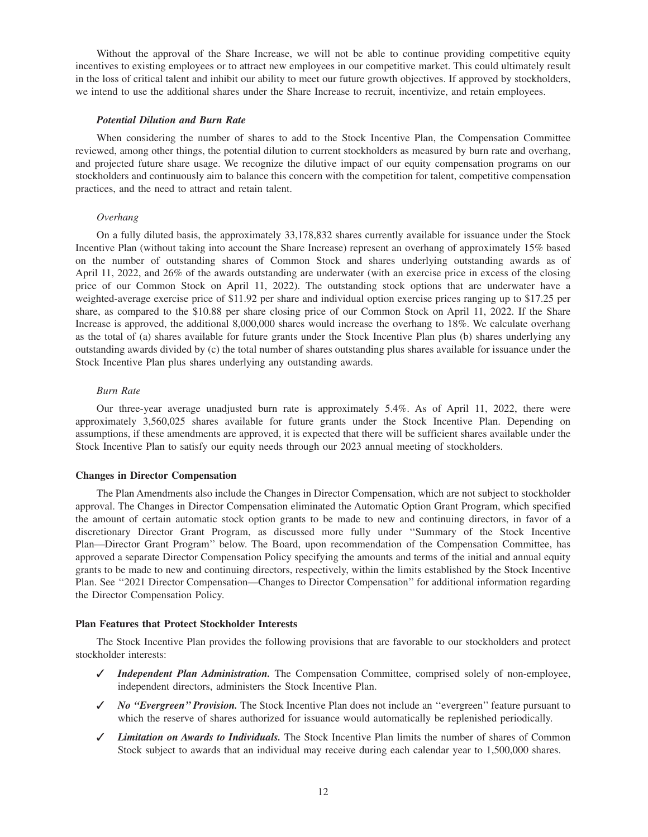Without the approval of the Share Increase, we will not be able to continue providing competitive equity incentives to existing employees or to attract new employees in our competitive market. This could ultimately result in the loss of critical talent and inhibit our ability to meet our future growth objectives. If approved by stockholders, we intend to use the additional shares under the Share Increase to recruit, incentivize, and retain employees.

#### *Potential Dilution and Burn Rate*

When considering the number of shares to add to the Stock Incentive Plan, the Compensation Committee reviewed, among other things, the potential dilution to current stockholders as measured by burn rate and overhang, and projected future share usage. We recognize the dilutive impact of our equity compensation programs on our stockholders and continuously aim to balance this concern with the competition for talent, competitive compensation practices, and the need to attract and retain talent.

#### *Overhang*

On a fully diluted basis, the approximately 33,178,832 shares currently available for issuance under the Stock Incentive Plan (without taking into account the Share Increase) represent an overhang of approximately 15% based on the number of outstanding shares of Common Stock and shares underlying outstanding awards as of April 11, 2022, and 26% of the awards outstanding are underwater (with an exercise price in excess of the closing price of our Common Stock on April 11, 2022). The outstanding stock options that are underwater have a weighted-average exercise price of \$11.92 per share and individual option exercise prices ranging up to \$17.25 per share, as compared to the \$10.88 per share closing price of our Common Stock on April 11, 2022. If the Share Increase is approved, the additional 8,000,000 shares would increase the overhang to 18%. We calculate overhang as the total of (a) shares available for future grants under the Stock Incentive Plan plus (b) shares underlying any outstanding awards divided by (c) the total number of shares outstanding plus shares available for issuance under the Stock Incentive Plan plus shares underlying any outstanding awards.

#### *Burn Rate*

Our three-year average unadjusted burn rate is approximately 5.4%. As of April 11, 2022, there were approximately 3,560,025 shares available for future grants under the Stock Incentive Plan. Depending on assumptions, if these amendments are approved, it is expected that there will be sufficient shares available under the Stock Incentive Plan to satisfy our equity needs through our 2023 annual meeting of stockholders.

#### **Changes in Director Compensation**

The Plan Amendments also include the Changes in Director Compensation, which are not subject to stockholder approval. The Changes in Director Compensation eliminated the Automatic Option Grant Program, which specified the amount of certain automatic stock option grants to be made to new and continuing directors, in favor of a discretionary Director Grant Program, as discussed more fully under ''Summary of the Stock Incentive Plan—Director Grant Program'' below. The Board, upon recommendation of the Compensation Committee, has approved a separate Director Compensation Policy specifying the amounts and terms of the initial and annual equity grants to be made to new and continuing directors, respectively, within the limits established by the Stock Incentive Plan. See ''2021 Director Compensation—Changes to Director Compensation'' for additional information regarding the Director Compensation Policy.

#### **Plan Features that Protect Stockholder Interests**

The Stock Incentive Plan provides the following provisions that are favorable to our stockholders and protect stockholder interests:

- ✓ *Independent Plan Administration.* The Compensation Committee, comprised solely of non-employee, independent directors, administers the Stock Incentive Plan.
- ✓ *No ''Evergreen'' Provision.* The Stock Incentive Plan does not include an ''evergreen'' feature pursuant to which the reserve of shares authorized for issuance would automatically be replenished periodically.
- ✓ *Limitation on Awards to Individuals.* The Stock Incentive Plan limits the number of shares of Common Stock subject to awards that an individual may receive during each calendar year to 1,500,000 shares.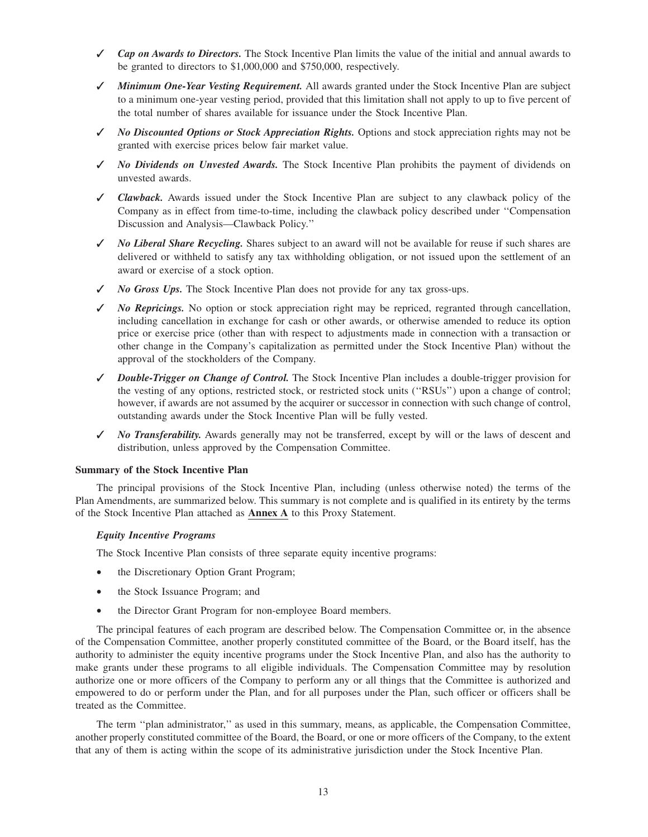- ✓ *Cap on Awards to Directors.* The Stock Incentive Plan limits the value of the initial and annual awards to be granted to directors to \$1,000,000 and \$750,000, respectively.
- ✓ *Minimum One-Year Vesting Requirement.* All awards granted under the Stock Incentive Plan are subject to a minimum one-year vesting period, provided that this limitation shall not apply to up to five percent of the total number of shares available for issuance under the Stock Incentive Plan.
- ✓ *No Discounted Options or Stock Appreciation Rights.* Options and stock appreciation rights may not be granted with exercise prices below fair market value.
- ✓ *No Dividends on Unvested Awards.* The Stock Incentive Plan prohibits the payment of dividends on unvested awards.
- ✓ *Clawback.* Awards issued under the Stock Incentive Plan are subject to any clawback policy of the Company as in effect from time-to-time, including the clawback policy described under ''Compensation Discussion and Analysis—Clawback Policy.''
- ✓ *No Liberal Share Recycling.* Shares subject to an award will not be available for reuse if such shares are delivered or withheld to satisfy any tax withholding obligation, or not issued upon the settlement of an award or exercise of a stock option.
- ✓ *No Gross Ups.* The Stock Incentive Plan does not provide for any tax gross-ups.
- ✓ *No Repricings.* No option or stock appreciation right may be repriced, regranted through cancellation, including cancellation in exchange for cash or other awards, or otherwise amended to reduce its option price or exercise price (other than with respect to adjustments made in connection with a transaction or other change in the Company's capitalization as permitted under the Stock Incentive Plan) without the approval of the stockholders of the Company.
- ✓ *Double-Trigger on Change of Control.* The Stock Incentive Plan includes a double-trigger provision for the vesting of any options, restricted stock, or restricted stock units (''RSUs'') upon a change of control; however, if awards are not assumed by the acquirer or successor in connection with such change of control, outstanding awards under the Stock Incentive Plan will be fully vested.
- ✓ *No Transferability.* Awards generally may not be transferred, except by will or the laws of descent and distribution, unless approved by the Compensation Committee.

## **Summary of the Stock Incentive Plan**

The principal provisions of the Stock Incentive Plan, including (unless otherwise noted) the terms of the Plan Amendments, are summarized below. This summary is not complete and is qualified in its entirety by the terms of the Stock Incentive Plan attached as **Annex A** to this Proxy Statement.

## *Equity Incentive Programs*

The Stock Incentive Plan consists of three separate equity incentive programs:

- the Discretionary Option Grant Program;
- the Stock Issuance Program; and
- the Director Grant Program for non-employee Board members.

The principal features of each program are described below. The Compensation Committee or, in the absence of the Compensation Committee, another properly constituted committee of the Board, or the Board itself, has the authority to administer the equity incentive programs under the Stock Incentive Plan, and also has the authority to make grants under these programs to all eligible individuals. The Compensation Committee may by resolution authorize one or more officers of the Company to perform any or all things that the Committee is authorized and empowered to do or perform under the Plan, and for all purposes under the Plan, such officer or officers shall be treated as the Committee.

The term ''plan administrator,'' as used in this summary, means, as applicable, the Compensation Committee, another properly constituted committee of the Board, the Board, or one or more officers of the Company, to the extent that any of them is acting within the scope of its administrative jurisdiction under the Stock Incentive Plan.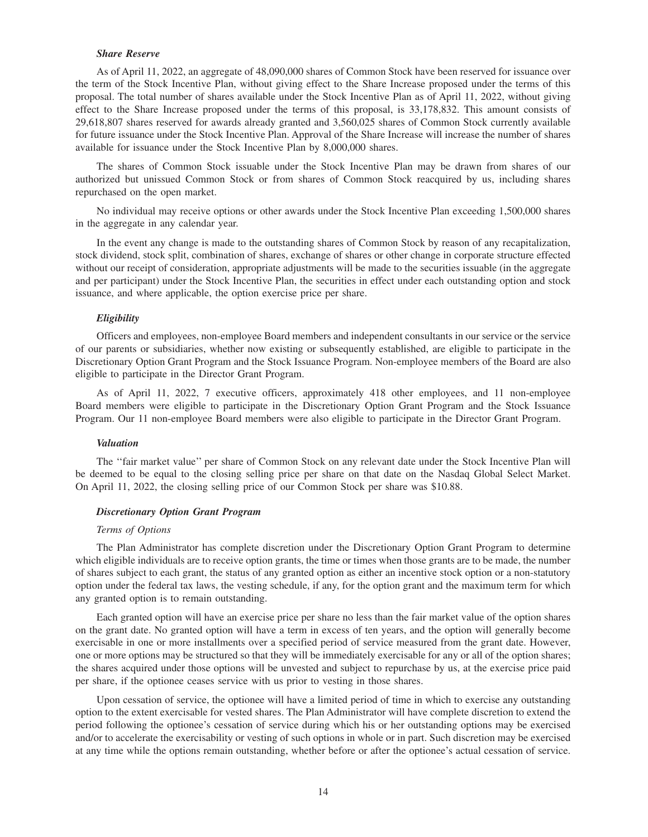#### *Share Reserve*

As of April 11, 2022, an aggregate of 48,090,000 shares of Common Stock have been reserved for issuance over the term of the Stock Incentive Plan, without giving effect to the Share Increase proposed under the terms of this proposal. The total number of shares available under the Stock Incentive Plan as of April 11, 2022, without giving effect to the Share Increase proposed under the terms of this proposal, is 33,178,832. This amount consists of 29,618,807 shares reserved for awards already granted and 3,560,025 shares of Common Stock currently available for future issuance under the Stock Incentive Plan. Approval of the Share Increase will increase the number of shares available for issuance under the Stock Incentive Plan by 8,000,000 shares.

The shares of Common Stock issuable under the Stock Incentive Plan may be drawn from shares of our authorized but unissued Common Stock or from shares of Common Stock reacquired by us, including shares repurchased on the open market.

No individual may receive options or other awards under the Stock Incentive Plan exceeding 1,500,000 shares in the aggregate in any calendar year.

In the event any change is made to the outstanding shares of Common Stock by reason of any recapitalization, stock dividend, stock split, combination of shares, exchange of shares or other change in corporate structure effected without our receipt of consideration, appropriate adjustments will be made to the securities issuable (in the aggregate and per participant) under the Stock Incentive Plan, the securities in effect under each outstanding option and stock issuance, and where applicable, the option exercise price per share.

#### *Eligibility*

Officers and employees, non-employee Board members and independent consultants in our service or the service of our parents or subsidiaries, whether now existing or subsequently established, are eligible to participate in the Discretionary Option Grant Program and the Stock Issuance Program. Non-employee members of the Board are also eligible to participate in the Director Grant Program.

As of April 11, 2022, 7 executive officers, approximately 418 other employees, and 11 non-employee Board members were eligible to participate in the Discretionary Option Grant Program and the Stock Issuance Program. Our 11 non-employee Board members were also eligible to participate in the Director Grant Program.

#### *Valuation*

The ''fair market value'' per share of Common Stock on any relevant date under the Stock Incentive Plan will be deemed to be equal to the closing selling price per share on that date on the Nasdaq Global Select Market. On April 11, 2022, the closing selling price of our Common Stock per share was \$10.88.

#### *Discretionary Option Grant Program*

#### *Terms of Options*

The Plan Administrator has complete discretion under the Discretionary Option Grant Program to determine which eligible individuals are to receive option grants, the time or times when those grants are to be made, the number of shares subject to each grant, the status of any granted option as either an incentive stock option or a non-statutory option under the federal tax laws, the vesting schedule, if any, for the option grant and the maximum term for which any granted option is to remain outstanding.

Each granted option will have an exercise price per share no less than the fair market value of the option shares on the grant date. No granted option will have a term in excess of ten years, and the option will generally become exercisable in one or more installments over a specified period of service measured from the grant date. However, one or more options may be structured so that they will be immediately exercisable for any or all of the option shares; the shares acquired under those options will be unvested and subject to repurchase by us, at the exercise price paid per share, if the optionee ceases service with us prior to vesting in those shares.

Upon cessation of service, the optionee will have a limited period of time in which to exercise any outstanding option to the extent exercisable for vested shares. The Plan Administrator will have complete discretion to extend the period following the optionee's cessation of service during which his or her outstanding options may be exercised and/or to accelerate the exercisability or vesting of such options in whole or in part. Such discretion may be exercised at any time while the options remain outstanding, whether before or after the optionee's actual cessation of service.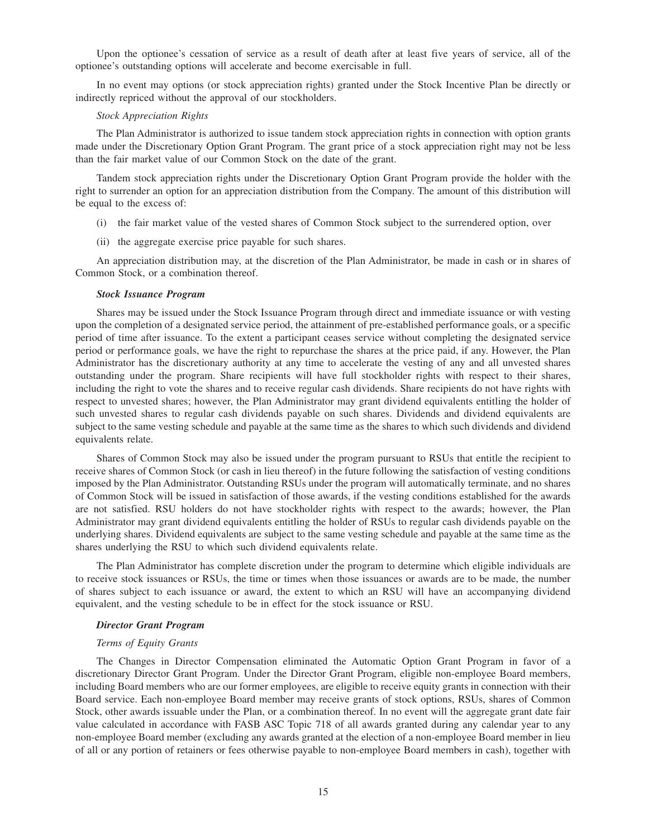Upon the optionee's cessation of service as a result of death after at least five years of service, all of the optionee's outstanding options will accelerate and become exercisable in full.

In no event may options (or stock appreciation rights) granted under the Stock Incentive Plan be directly or indirectly repriced without the approval of our stockholders.

#### *Stock Appreciation Rights*

The Plan Administrator is authorized to issue tandem stock appreciation rights in connection with option grants made under the Discretionary Option Grant Program. The grant price of a stock appreciation right may not be less than the fair market value of our Common Stock on the date of the grant.

Tandem stock appreciation rights under the Discretionary Option Grant Program provide the holder with the right to surrender an option for an appreciation distribution from the Company. The amount of this distribution will be equal to the excess of:

- (i) the fair market value of the vested shares of Common Stock subject to the surrendered option, over
- (ii) the aggregate exercise price payable for such shares.

An appreciation distribution may, at the discretion of the Plan Administrator, be made in cash or in shares of Common Stock, or a combination thereof.

#### *Stock Issuance Program*

Shares may be issued under the Stock Issuance Program through direct and immediate issuance or with vesting upon the completion of a designated service period, the attainment of pre-established performance goals, or a specific period of time after issuance. To the extent a participant ceases service without completing the designated service period or performance goals, we have the right to repurchase the shares at the price paid, if any. However, the Plan Administrator has the discretionary authority at any time to accelerate the vesting of any and all unvested shares outstanding under the program. Share recipients will have full stockholder rights with respect to their shares, including the right to vote the shares and to receive regular cash dividends. Share recipients do not have rights with respect to unvested shares; however, the Plan Administrator may grant dividend equivalents entitling the holder of such unvested shares to regular cash dividends payable on such shares. Dividends and dividend equivalents are subject to the same vesting schedule and payable at the same time as the shares to which such dividends and dividend equivalents relate.

Shares of Common Stock may also be issued under the program pursuant to RSUs that entitle the recipient to receive shares of Common Stock (or cash in lieu thereof) in the future following the satisfaction of vesting conditions imposed by the Plan Administrator. Outstanding RSUs under the program will automatically terminate, and no shares of Common Stock will be issued in satisfaction of those awards, if the vesting conditions established for the awards are not satisfied. RSU holders do not have stockholder rights with respect to the awards; however, the Plan Administrator may grant dividend equivalents entitling the holder of RSUs to regular cash dividends payable on the underlying shares. Dividend equivalents are subject to the same vesting schedule and payable at the same time as the shares underlying the RSU to which such dividend equivalents relate.

The Plan Administrator has complete discretion under the program to determine which eligible individuals are to receive stock issuances or RSUs, the time or times when those issuances or awards are to be made, the number of shares subject to each issuance or award, the extent to which an RSU will have an accompanying dividend equivalent, and the vesting schedule to be in effect for the stock issuance or RSU.

#### *Director Grant Program*

#### *Terms of Equity Grants*

The Changes in Director Compensation eliminated the Automatic Option Grant Program in favor of a discretionary Director Grant Program. Under the Director Grant Program, eligible non-employee Board members, including Board members who are our former employees, are eligible to receive equity grants in connection with their Board service. Each non-employee Board member may receive grants of stock options, RSUs, shares of Common Stock, other awards issuable under the Plan, or a combination thereof. In no event will the aggregate grant date fair value calculated in accordance with FASB ASC Topic 718 of all awards granted during any calendar year to any non-employee Board member (excluding any awards granted at the election of a non-employee Board member in lieu of all or any portion of retainers or fees otherwise payable to non-employee Board members in cash), together with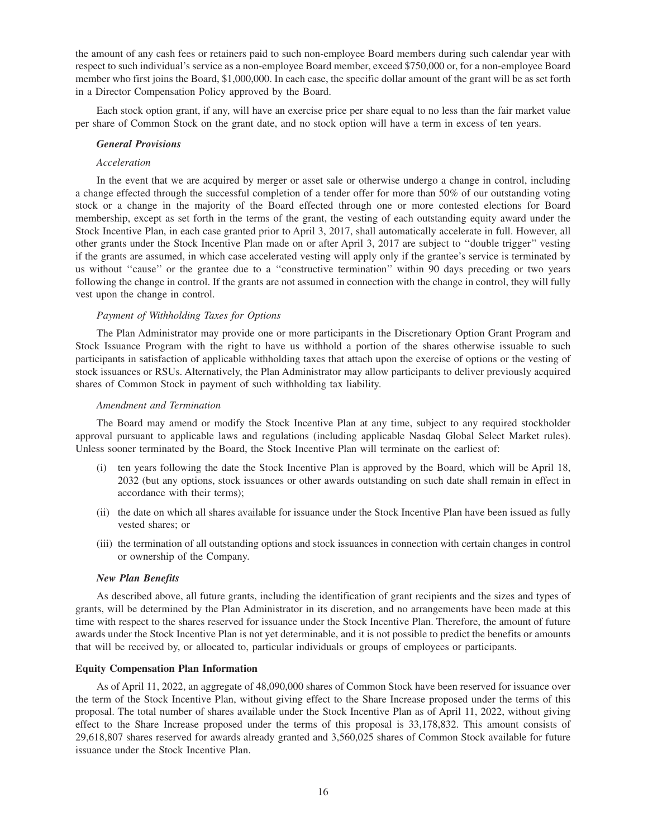the amount of any cash fees or retainers paid to such non-employee Board members during such calendar year with respect to such individual's service as a non-employee Board member, exceed \$750,000 or, for a non-employee Board member who first joins the Board, \$1,000,000. In each case, the specific dollar amount of the grant will be as set forth in a Director Compensation Policy approved by the Board.

Each stock option grant, if any, will have an exercise price per share equal to no less than the fair market value per share of Common Stock on the grant date, and no stock option will have a term in excess of ten years.

## *General Provisions*

## *Acceleration*

In the event that we are acquired by merger or asset sale or otherwise undergo a change in control, including a change effected through the successful completion of a tender offer for more than 50% of our outstanding voting stock or a change in the majority of the Board effected through one or more contested elections for Board membership, except as set forth in the terms of the grant, the vesting of each outstanding equity award under the Stock Incentive Plan, in each case granted prior to April 3, 2017, shall automatically accelerate in full. However, all other grants under the Stock Incentive Plan made on or after April 3, 2017 are subject to ''double trigger'' vesting if the grants are assumed, in which case accelerated vesting will apply only if the grantee's service is terminated by us without "cause" or the grantee due to a "constructive termination" within 90 days preceding or two years following the change in control. If the grants are not assumed in connection with the change in control, they will fully vest upon the change in control.

#### *Payment of Withholding Taxes for Options*

The Plan Administrator may provide one or more participants in the Discretionary Option Grant Program and Stock Issuance Program with the right to have us withhold a portion of the shares otherwise issuable to such participants in satisfaction of applicable withholding taxes that attach upon the exercise of options or the vesting of stock issuances or RSUs. Alternatively, the Plan Administrator may allow participants to deliver previously acquired shares of Common Stock in payment of such withholding tax liability.

#### *Amendment and Termination*

The Board may amend or modify the Stock Incentive Plan at any time, subject to any required stockholder approval pursuant to applicable laws and regulations (including applicable Nasdaq Global Select Market rules). Unless sooner terminated by the Board, the Stock Incentive Plan will terminate on the earliest of:

- (i) ten years following the date the Stock Incentive Plan is approved by the Board, which will be April 18, 2032 (but any options, stock issuances or other awards outstanding on such date shall remain in effect in accordance with their terms);
- (ii) the date on which all shares available for issuance under the Stock Incentive Plan have been issued as fully vested shares; or
- (iii) the termination of all outstanding options and stock issuances in connection with certain changes in control or ownership of the Company.

#### *New Plan Benefits*

As described above, all future grants, including the identification of grant recipients and the sizes and types of grants, will be determined by the Plan Administrator in its discretion, and no arrangements have been made at this time with respect to the shares reserved for issuance under the Stock Incentive Plan. Therefore, the amount of future awards under the Stock Incentive Plan is not yet determinable, and it is not possible to predict the benefits or amounts that will be received by, or allocated to, particular individuals or groups of employees or participants.

#### **Equity Compensation Plan Information**

As of April 11, 2022, an aggregate of 48,090,000 shares of Common Stock have been reserved for issuance over the term of the Stock Incentive Plan, without giving effect to the Share Increase proposed under the terms of this proposal. The total number of shares available under the Stock Incentive Plan as of April 11, 2022, without giving effect to the Share Increase proposed under the terms of this proposal is 33,178,832. This amount consists of 29,618,807 shares reserved for awards already granted and 3,560,025 shares of Common Stock available for future issuance under the Stock Incentive Plan.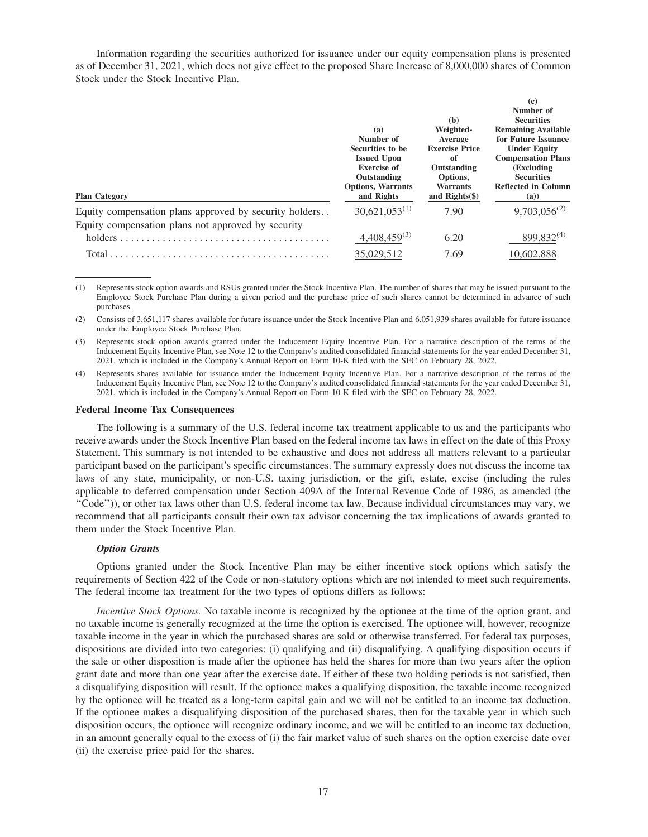Information regarding the securities authorized for issuance under our equity compensation plans is presented as of December 31, 2021, which does not give effect to the proposed Share Increase of 8,000,000 shares of Common Stock under the Stock Incentive Plan.

| <b>Plan Category</b>                                                                                         | (a)<br>Number of<br>Securities to be<br><b>Issued Upon</b><br><b>Exercise of</b><br>Outstanding<br><b>Options, Warrants</b><br>and Rights | (b)<br>Weighted-<br>Average<br><b>Exercise Price</b><br>оf<br>Outstanding<br>Options,<br><b>Warrants</b><br>and $Right(s)$ | $\left( \mathbf{c} \right)$<br>Number of<br><b>Securities</b><br><b>Remaining Available</b><br>for Future Issuance<br><b>Under Equity</b><br><b>Compensation Plans</b><br>(Excluding)<br><b>Securities</b><br><b>Reflected in Column</b><br>(a) |
|--------------------------------------------------------------------------------------------------------------|-------------------------------------------------------------------------------------------------------------------------------------------|----------------------------------------------------------------------------------------------------------------------------|-------------------------------------------------------------------------------------------------------------------------------------------------------------------------------------------------------------------------------------------------|
| Equity compensation plans approved by security holders<br>Equity compensation plans not approved by security | $30,621,053^{(1)}$                                                                                                                        | 7.90                                                                                                                       | $9,703,056^{(2)}$                                                                                                                                                                                                                               |
| holders                                                                                                      | $4,408,459^{(3)}$                                                                                                                         | 6.20                                                                                                                       | 899,832 <sup>(4)</sup>                                                                                                                                                                                                                          |
| Total                                                                                                        | 35,029,512                                                                                                                                | 7.69                                                                                                                       | 10,602,888                                                                                                                                                                                                                                      |

(1) Represents stock option awards and RSUs granted under the Stock Incentive Plan. The number of shares that may be issued pursuant to the Employee Stock Purchase Plan during a given period and the purchase price of such shares cannot be determined in advance of such purchases.

(2) Consists of 3,651,117 shares available for future issuance under the Stock Incentive Plan and 6,051,939 shares available for future issuance under the Employee Stock Purchase Plan.

(3) Represents stock option awards granted under the Inducement Equity Incentive Plan. For a narrative description of the terms of the Inducement Equity Incentive Plan, see Note 12 to the Company's audited consolidated financial statements for the year ended December 31, 2021, which is included in the Company's Annual Report on Form 10-K filed with the SEC on February 28, 2022.

(4) Represents shares available for issuance under the Inducement Equity Incentive Plan. For a narrative description of the terms of the Inducement Equity Incentive Plan, see Note 12 to the Company's audited consolidated financial statements for the year ended December 31, 2021, which is included in the Company's Annual Report on Form 10-K filed with the SEC on February 28, 2022.

#### **Federal Income Tax Consequences**

The following is a summary of the U.S. federal income tax treatment applicable to us and the participants who receive awards under the Stock Incentive Plan based on the federal income tax laws in effect on the date of this Proxy Statement. This summary is not intended to be exhaustive and does not address all matters relevant to a particular participant based on the participant's specific circumstances. The summary expressly does not discuss the income tax laws of any state, municipality, or non-U.S. taxing jurisdiction, or the gift, estate, excise (including the rules applicable to deferred compensation under Section 409A of the Internal Revenue Code of 1986, as amended (the ''Code'')), or other tax laws other than U.S. federal income tax law. Because individual circumstances may vary, we recommend that all participants consult their own tax advisor concerning the tax implications of awards granted to them under the Stock Incentive Plan.

#### *Option Grants*

Options granted under the Stock Incentive Plan may be either incentive stock options which satisfy the requirements of Section 422 of the Code or non-statutory options which are not intended to meet such requirements. The federal income tax treatment for the two types of options differs as follows:

*Incentive Stock Options.* No taxable income is recognized by the optionee at the time of the option grant, and no taxable income is generally recognized at the time the option is exercised. The optionee will, however, recognize taxable income in the year in which the purchased shares are sold or otherwise transferred. For federal tax purposes, dispositions are divided into two categories: (i) qualifying and (ii) disqualifying. A qualifying disposition occurs if the sale or other disposition is made after the optionee has held the shares for more than two years after the option grant date and more than one year after the exercise date. If either of these two holding periods is not satisfied, then a disqualifying disposition will result. If the optionee makes a qualifying disposition, the taxable income recognized by the optionee will be treated as a long-term capital gain and we will not be entitled to an income tax deduction. If the optionee makes a disqualifying disposition of the purchased shares, then for the taxable year in which such disposition occurs, the optionee will recognize ordinary income, and we will be entitled to an income tax deduction, in an amount generally equal to the excess of (i) the fair market value of such shares on the option exercise date over (ii) the exercise price paid for the shares.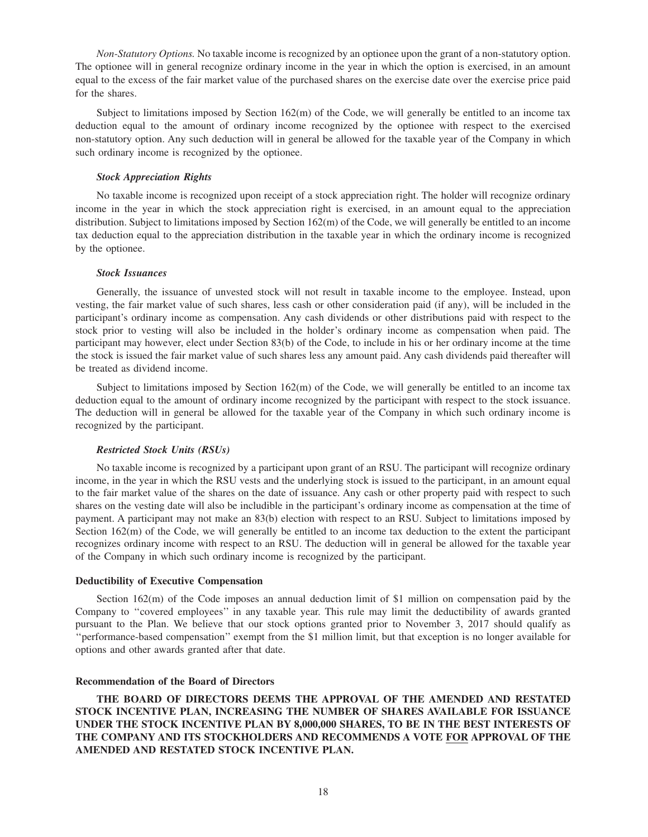*Non-Statutory Options.* No taxable income is recognized by an optionee upon the grant of a non-statutory option. The optionee will in general recognize ordinary income in the year in which the option is exercised, in an amount equal to the excess of the fair market value of the purchased shares on the exercise date over the exercise price paid for the shares.

Subject to limitations imposed by Section  $162(m)$  of the Code, we will generally be entitled to an income tax deduction equal to the amount of ordinary income recognized by the optionee with respect to the exercised non-statutory option. Any such deduction will in general be allowed for the taxable year of the Company in which such ordinary income is recognized by the optionee.

#### *Stock Appreciation Rights*

No taxable income is recognized upon receipt of a stock appreciation right. The holder will recognize ordinary income in the year in which the stock appreciation right is exercised, in an amount equal to the appreciation distribution. Subject to limitations imposed by Section 162(m) of the Code, we will generally be entitled to an income tax deduction equal to the appreciation distribution in the taxable year in which the ordinary income is recognized by the optionee.

#### *Stock Issuances*

Generally, the issuance of unvested stock will not result in taxable income to the employee. Instead, upon vesting, the fair market value of such shares, less cash or other consideration paid (if any), will be included in the participant's ordinary income as compensation. Any cash dividends or other distributions paid with respect to the stock prior to vesting will also be included in the holder's ordinary income as compensation when paid. The participant may however, elect under Section 83(b) of the Code, to include in his or her ordinary income at the time the stock is issued the fair market value of such shares less any amount paid. Any cash dividends paid thereafter will be treated as dividend income.

Subject to limitations imposed by Section  $162(m)$  of the Code, we will generally be entitled to an income tax deduction equal to the amount of ordinary income recognized by the participant with respect to the stock issuance. The deduction will in general be allowed for the taxable year of the Company in which such ordinary income is recognized by the participant.

#### *Restricted Stock Units (RSUs)*

No taxable income is recognized by a participant upon grant of an RSU. The participant will recognize ordinary income, in the year in which the RSU vests and the underlying stock is issued to the participant, in an amount equal to the fair market value of the shares on the date of issuance. Any cash or other property paid with respect to such shares on the vesting date will also be includible in the participant's ordinary income as compensation at the time of payment. A participant may not make an 83(b) election with respect to an RSU. Subject to limitations imposed by Section 162(m) of the Code, we will generally be entitled to an income tax deduction to the extent the participant recognizes ordinary income with respect to an RSU. The deduction will in general be allowed for the taxable year of the Company in which such ordinary income is recognized by the participant.

## **Deductibility of Executive Compensation**

Section 162(m) of the Code imposes an annual deduction limit of \$1 million on compensation paid by the Company to ''covered employees'' in any taxable year. This rule may limit the deductibility of awards granted pursuant to the Plan. We believe that our stock options granted prior to November 3, 2017 should qualify as ''performance-based compensation'' exempt from the \$1 million limit, but that exception is no longer available for options and other awards granted after that date.

## **Recommendation of the Board of Directors**

**THE BOARD OF DIRECTORS DEEMS THE APPROVAL OF THE AMENDED AND RESTATED STOCK INCENTIVE PLAN, INCREASING THE NUMBER OF SHARES AVAILABLE FOR ISSUANCE UNDER THE STOCK INCENTIVE PLAN BY 8,000,000 SHARES, TO BE IN THE BEST INTERESTS OF THE COMPANY AND ITS STOCKHOLDERS AND RECOMMENDS A VOTE FOR APPROVAL OF THE AMENDED AND RESTATED STOCK INCENTIVE PLAN.**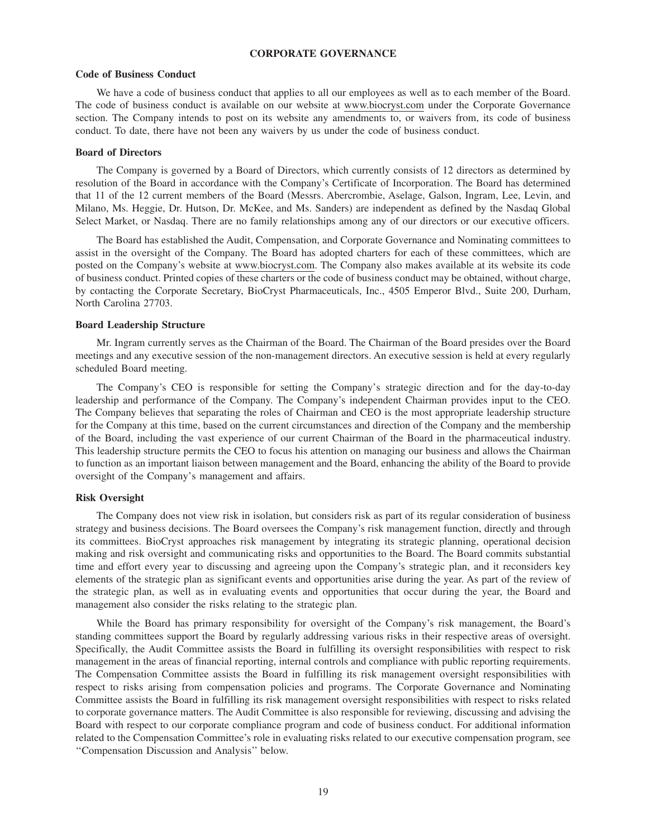## **CORPORATE GOVERNANCE**

#### **Code of Business Conduct**

We have a code of business conduct that applies to all our employees as well as to each member of the Board. The code of business conduct is available on our website at www.biocryst.com under the Corporate Governance section. The Company intends to post on its website any amendments to, or waivers from, its code of business conduct. To date, there have not been any waivers by us under the code of business conduct.

#### **Board of Directors**

The Company is governed by a Board of Directors, which currently consists of 12 directors as determined by resolution of the Board in accordance with the Company's Certificate of Incorporation. The Board has determined that 11 of the 12 current members of the Board (Messrs. Abercrombie, Aselage, Galson, Ingram, Lee, Levin, and Milano, Ms. Heggie, Dr. Hutson, Dr. McKee, and Ms. Sanders) are independent as defined by the Nasdaq Global Select Market, or Nasdaq. There are no family relationships among any of our directors or our executive officers.

The Board has established the Audit, Compensation, and Corporate Governance and Nominating committees to assist in the oversight of the Company. The Board has adopted charters for each of these committees, which are posted on the Company's website at www.biocryst.com. The Company also makes available at its website its code of business conduct. Printed copies of these charters or the code of business conduct may be obtained, without charge, by contacting the Corporate Secretary, BioCryst Pharmaceuticals, Inc., 4505 Emperor Blvd., Suite 200, Durham, North Carolina 27703.

#### **Board Leadership Structure**

Mr. Ingram currently serves as the Chairman of the Board. The Chairman of the Board presides over the Board meetings and any executive session of the non-management directors. An executive session is held at every regularly scheduled Board meeting.

The Company's CEO is responsible for setting the Company's strategic direction and for the day-to-day leadership and performance of the Company. The Company's independent Chairman provides input to the CEO. The Company believes that separating the roles of Chairman and CEO is the most appropriate leadership structure for the Company at this time, based on the current circumstances and direction of the Company and the membership of the Board, including the vast experience of our current Chairman of the Board in the pharmaceutical industry. This leadership structure permits the CEO to focus his attention on managing our business and allows the Chairman to function as an important liaison between management and the Board, enhancing the ability of the Board to provide oversight of the Company's management and affairs.

#### **Risk Oversight**

The Company does not view risk in isolation, but considers risk as part of its regular consideration of business strategy and business decisions. The Board oversees the Company's risk management function, directly and through its committees. BioCryst approaches risk management by integrating its strategic planning, operational decision making and risk oversight and communicating risks and opportunities to the Board. The Board commits substantial time and effort every year to discussing and agreeing upon the Company's strategic plan, and it reconsiders key elements of the strategic plan as significant events and opportunities arise during the year. As part of the review of the strategic plan, as well as in evaluating events and opportunities that occur during the year, the Board and management also consider the risks relating to the strategic plan.

While the Board has primary responsibility for oversight of the Company's risk management, the Board's standing committees support the Board by regularly addressing various risks in their respective areas of oversight. Specifically, the Audit Committee assists the Board in fulfilling its oversight responsibilities with respect to risk management in the areas of financial reporting, internal controls and compliance with public reporting requirements. The Compensation Committee assists the Board in fulfilling its risk management oversight responsibilities with respect to risks arising from compensation policies and programs. The Corporate Governance and Nominating Committee assists the Board in fulfilling its risk management oversight responsibilities with respect to risks related to corporate governance matters. The Audit Committee is also responsible for reviewing, discussing and advising the Board with respect to our corporate compliance program and code of business conduct. For additional information related to the Compensation Committee's role in evaluating risks related to our executive compensation program, see ''Compensation Discussion and Analysis'' below.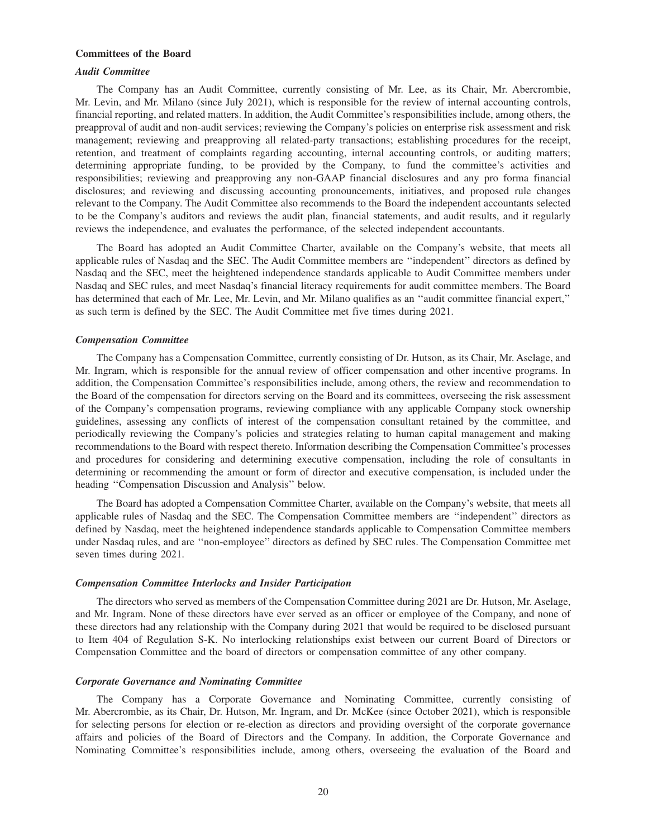## **Committees of the Board**

#### *Audit Committee*

The Company has an Audit Committee, currently consisting of Mr. Lee, as its Chair, Mr. Abercrombie, Mr. Levin, and Mr. Milano (since July 2021), which is responsible for the review of internal accounting controls, financial reporting, and related matters. In addition, the Audit Committee's responsibilities include, among others, the preapproval of audit and non-audit services; reviewing the Company's policies on enterprise risk assessment and risk management; reviewing and preapproving all related-party transactions; establishing procedures for the receipt, retention, and treatment of complaints regarding accounting, internal accounting controls, or auditing matters; determining appropriate funding, to be provided by the Company, to fund the committee's activities and responsibilities; reviewing and preapproving any non-GAAP financial disclosures and any pro forma financial disclosures; and reviewing and discussing accounting pronouncements, initiatives, and proposed rule changes relevant to the Company. The Audit Committee also recommends to the Board the independent accountants selected to be the Company's auditors and reviews the audit plan, financial statements, and audit results, and it regularly reviews the independence, and evaluates the performance, of the selected independent accountants.

The Board has adopted an Audit Committee Charter, available on the Company's website, that meets all applicable rules of Nasdaq and the SEC. The Audit Committee members are ''independent'' directors as defined by Nasdaq and the SEC, meet the heightened independence standards applicable to Audit Committee members under Nasdaq and SEC rules, and meet Nasdaq's financial literacy requirements for audit committee members. The Board has determined that each of Mr. Lee, Mr. Levin, and Mr. Milano qualifies as an "audit committee financial expert," as such term is defined by the SEC. The Audit Committee met five times during 2021.

#### *Compensation Committee*

The Company has a Compensation Committee, currently consisting of Dr. Hutson, as its Chair, Mr. Aselage, and Mr. Ingram, which is responsible for the annual review of officer compensation and other incentive programs. In addition, the Compensation Committee's responsibilities include, among others, the review and recommendation to the Board of the compensation for directors serving on the Board and its committees, overseeing the risk assessment of the Company's compensation programs, reviewing compliance with any applicable Company stock ownership guidelines, assessing any conflicts of interest of the compensation consultant retained by the committee, and periodically reviewing the Company's policies and strategies relating to human capital management and making recommendations to the Board with respect thereto. Information describing the Compensation Committee's processes and procedures for considering and determining executive compensation, including the role of consultants in determining or recommending the amount or form of director and executive compensation, is included under the heading ''Compensation Discussion and Analysis'' below.

The Board has adopted a Compensation Committee Charter, available on the Company's website, that meets all applicable rules of Nasdaq and the SEC. The Compensation Committee members are ''independent'' directors as defined by Nasdaq, meet the heightened independence standards applicable to Compensation Committee members under Nasdaq rules, and are ''non-employee'' directors as defined by SEC rules. The Compensation Committee met seven times during 2021.

#### *Compensation Committee Interlocks and Insider Participation*

The directors who served as members of the Compensation Committee during 2021 are Dr. Hutson, Mr. Aselage, and Mr. Ingram. None of these directors have ever served as an officer or employee of the Company, and none of these directors had any relationship with the Company during 2021 that would be required to be disclosed pursuant to Item 404 of Regulation S-K. No interlocking relationships exist between our current Board of Directors or Compensation Committee and the board of directors or compensation committee of any other company.

#### *Corporate Governance and Nominating Committee*

The Company has a Corporate Governance and Nominating Committee, currently consisting of Mr. Abercrombie, as its Chair, Dr. Hutson, Mr. Ingram, and Dr. McKee (since October 2021), which is responsible for selecting persons for election or re-election as directors and providing oversight of the corporate governance affairs and policies of the Board of Directors and the Company. In addition, the Corporate Governance and Nominating Committee's responsibilities include, among others, overseeing the evaluation of the Board and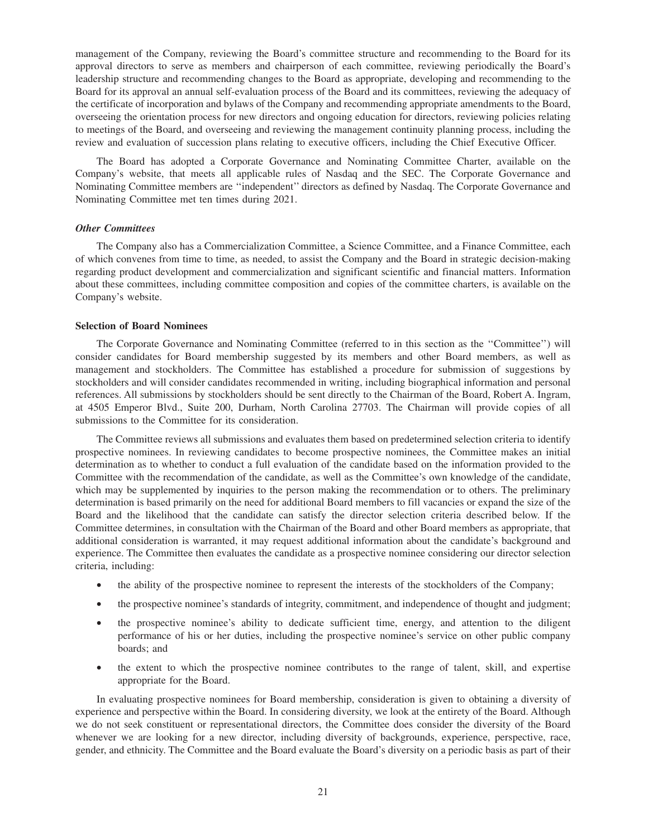management of the Company, reviewing the Board's committee structure and recommending to the Board for its approval directors to serve as members and chairperson of each committee, reviewing periodically the Board's leadership structure and recommending changes to the Board as appropriate, developing and recommending to the Board for its approval an annual self-evaluation process of the Board and its committees, reviewing the adequacy of the certificate of incorporation and bylaws of the Company and recommending appropriate amendments to the Board, overseeing the orientation process for new directors and ongoing education for directors, reviewing policies relating to meetings of the Board, and overseeing and reviewing the management continuity planning process, including the review and evaluation of succession plans relating to executive officers, including the Chief Executive Officer.

The Board has adopted a Corporate Governance and Nominating Committee Charter, available on the Company's website, that meets all applicable rules of Nasdaq and the SEC. The Corporate Governance and Nominating Committee members are ''independent'' directors as defined by Nasdaq. The Corporate Governance and Nominating Committee met ten times during 2021.

#### *Other Committees*

The Company also has a Commercialization Committee, a Science Committee, and a Finance Committee, each of which convenes from time to time, as needed, to assist the Company and the Board in strategic decision-making regarding product development and commercialization and significant scientific and financial matters. Information about these committees, including committee composition and copies of the committee charters, is available on the Company's website.

#### **Selection of Board Nominees**

The Corporate Governance and Nominating Committee (referred to in this section as the ''Committee'') will consider candidates for Board membership suggested by its members and other Board members, as well as management and stockholders. The Committee has established a procedure for submission of suggestions by stockholders and will consider candidates recommended in writing, including biographical information and personal references. All submissions by stockholders should be sent directly to the Chairman of the Board, Robert A. Ingram, at 4505 Emperor Blvd., Suite 200, Durham, North Carolina 27703. The Chairman will provide copies of all submissions to the Committee for its consideration.

The Committee reviews all submissions and evaluates them based on predetermined selection criteria to identify prospective nominees. In reviewing candidates to become prospective nominees, the Committee makes an initial determination as to whether to conduct a full evaluation of the candidate based on the information provided to the Committee with the recommendation of the candidate, as well as the Committee's own knowledge of the candidate, which may be supplemented by inquiries to the person making the recommendation or to others. The preliminary determination is based primarily on the need for additional Board members to fill vacancies or expand the size of the Board and the likelihood that the candidate can satisfy the director selection criteria described below. If the Committee determines, in consultation with the Chairman of the Board and other Board members as appropriate, that additional consideration is warranted, it may request additional information about the candidate's background and experience. The Committee then evaluates the candidate as a prospective nominee considering our director selection criteria, including:

- the ability of the prospective nominee to represent the interests of the stockholders of the Company;
- the prospective nominee's standards of integrity, commitment, and independence of thought and judgment;
- the prospective nominee's ability to dedicate sufficient time, energy, and attention to the diligent performance of his or her duties, including the prospective nominee's service on other public company boards; and
- the extent to which the prospective nominee contributes to the range of talent, skill, and expertise appropriate for the Board.

In evaluating prospective nominees for Board membership, consideration is given to obtaining a diversity of experience and perspective within the Board. In considering diversity, we look at the entirety of the Board. Although we do not seek constituent or representational directors, the Committee does consider the diversity of the Board whenever we are looking for a new director, including diversity of backgrounds, experience, perspective, race, gender, and ethnicity. The Committee and the Board evaluate the Board's diversity on a periodic basis as part of their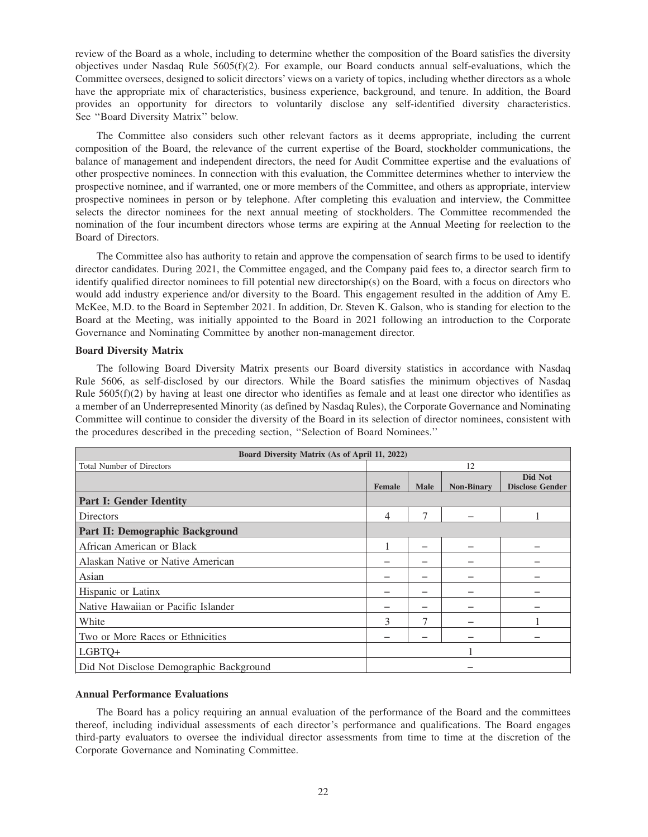review of the Board as a whole, including to determine whether the composition of the Board satisfies the diversity objectives under Nasdaq Rule 5605(f)(2). For example, our Board conducts annual self-evaluations, which the Committee oversees, designed to solicit directors' views on a variety of topics, including whether directors as a whole have the appropriate mix of characteristics, business experience, background, and tenure. In addition, the Board provides an opportunity for directors to voluntarily disclose any self-identified diversity characteristics. See ''Board Diversity Matrix'' below.

The Committee also considers such other relevant factors as it deems appropriate, including the current composition of the Board, the relevance of the current expertise of the Board, stockholder communications, the balance of management and independent directors, the need for Audit Committee expertise and the evaluations of other prospective nominees. In connection with this evaluation, the Committee determines whether to interview the prospective nominee, and if warranted, one or more members of the Committee, and others as appropriate, interview prospective nominees in person or by telephone. After completing this evaluation and interview, the Committee selects the director nominees for the next annual meeting of stockholders. The Committee recommended the nomination of the four incumbent directors whose terms are expiring at the Annual Meeting for reelection to the Board of Directors.

The Committee also has authority to retain and approve the compensation of search firms to be used to identify director candidates. During 2021, the Committee engaged, and the Company paid fees to, a director search firm to identify qualified director nominees to fill potential new directorship(s) on the Board, with a focus on directors who would add industry experience and/or diversity to the Board. This engagement resulted in the addition of Amy E. McKee, M.D. to the Board in September 2021. In addition, Dr. Steven K. Galson, who is standing for election to the Board at the Meeting, was initially appointed to the Board in 2021 following an introduction to the Corporate Governance and Nominating Committee by another non-management director.

## **Board Diversity Matrix**

The following Board Diversity Matrix presents our Board diversity statistics in accordance with Nasdaq Rule 5606, as self-disclosed by our directors. While the Board satisfies the minimum objectives of Nasdaq Rule  $5605(f)(2)$  by having at least one director who identifies as female and at least one director who identifies as a member of an Underrepresented Minority (as defined by Nasdaq Rules), the Corporate Governance and Nominating Committee will continue to consider the diversity of the Board in its selection of director nominees, consistent with the procedures described in the preceding section, ''Selection of Board Nominees.''

| Board Diversity Matrix (As of April 11, 2022) |               |             |                   |                                   |  |
|-----------------------------------------------|---------------|-------------|-------------------|-----------------------------------|--|
| <b>Total Number of Directors</b>              | 12            |             |                   |                                   |  |
|                                               | <b>Female</b> | <b>Male</b> | <b>Non-Binary</b> | Did Not<br><b>Disclose Gender</b> |  |
| <b>Part I: Gender Identity</b>                |               |             |                   |                                   |  |
| Directors                                     | 4             | 7           |                   |                                   |  |
| Part II: Demographic Background               |               |             |                   |                                   |  |
| African American or Black                     |               |             |                   |                                   |  |
| Alaskan Native or Native American             |               |             |                   |                                   |  |
| Asian                                         |               |             |                   |                                   |  |
| Hispanic or Latinx                            |               |             |                   |                                   |  |
| Native Hawaiian or Pacific Islander           |               |             |                   |                                   |  |
| White                                         | 3             |             |                   |                                   |  |
| Two or More Races or Ethnicities              |               |             |                   |                                   |  |
| LGBTQ+                                        |               |             |                   |                                   |  |
| Did Not Disclose Demographic Background       |               |             |                   |                                   |  |

## **Annual Performance Evaluations**

The Board has a policy requiring an annual evaluation of the performance of the Board and the committees thereof, including individual assessments of each director's performance and qualifications. The Board engages third-party evaluators to oversee the individual director assessments from time to time at the discretion of the Corporate Governance and Nominating Committee.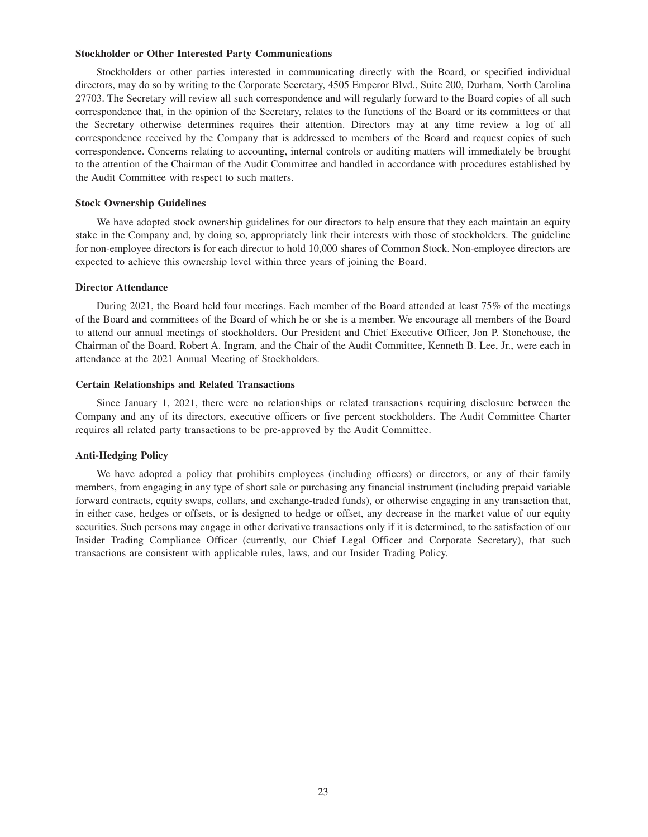#### **Stockholder or Other Interested Party Communications**

Stockholders or other parties interested in communicating directly with the Board, or specified individual directors, may do so by writing to the Corporate Secretary, 4505 Emperor Blvd., Suite 200, Durham, North Carolina 27703. The Secretary will review all such correspondence and will regularly forward to the Board copies of all such correspondence that, in the opinion of the Secretary, relates to the functions of the Board or its committees or that the Secretary otherwise determines requires their attention. Directors may at any time review a log of all correspondence received by the Company that is addressed to members of the Board and request copies of such correspondence. Concerns relating to accounting, internal controls or auditing matters will immediately be brought to the attention of the Chairman of the Audit Committee and handled in accordance with procedures established by the Audit Committee with respect to such matters.

#### **Stock Ownership Guidelines**

We have adopted stock ownership guidelines for our directors to help ensure that they each maintain an equity stake in the Company and, by doing so, appropriately link their interests with those of stockholders. The guideline for non-employee directors is for each director to hold 10,000 shares of Common Stock. Non-employee directors are expected to achieve this ownership level within three years of joining the Board.

#### **Director Attendance**

During 2021, the Board held four meetings. Each member of the Board attended at least 75% of the meetings of the Board and committees of the Board of which he or she is a member. We encourage all members of the Board to attend our annual meetings of stockholders. Our President and Chief Executive Officer, Jon P. Stonehouse, the Chairman of the Board, Robert A. Ingram, and the Chair of the Audit Committee, Kenneth B. Lee, Jr., were each in attendance at the 2021 Annual Meeting of Stockholders.

## **Certain Relationships and Related Transactions**

Since January 1, 2021, there were no relationships or related transactions requiring disclosure between the Company and any of its directors, executive officers or five percent stockholders. The Audit Committee Charter requires all related party transactions to be pre-approved by the Audit Committee.

#### **Anti-Hedging Policy**

We have adopted a policy that prohibits employees (including officers) or directors, or any of their family members, from engaging in any type of short sale or purchasing any financial instrument (including prepaid variable forward contracts, equity swaps, collars, and exchange-traded funds), or otherwise engaging in any transaction that, in either case, hedges or offsets, or is designed to hedge or offset, any decrease in the market value of our equity securities. Such persons may engage in other derivative transactions only if it is determined, to the satisfaction of our Insider Trading Compliance Officer (currently, our Chief Legal Officer and Corporate Secretary), that such transactions are consistent with applicable rules, laws, and our Insider Trading Policy.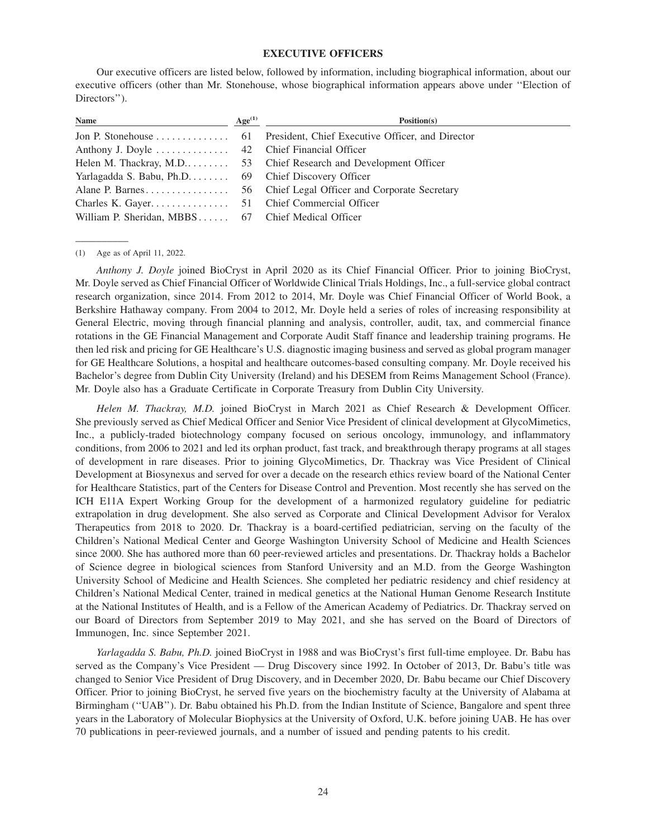## **EXECUTIVE OFFICERS**

Our executive officers are listed below, followed by information, including biographical information, about our executive officers (other than Mr. Stonehouse, whose biographical information appears above under ''Election of Directors'').

| <b>Name</b>                                        | Age <sup>(1)</sup> | Position(s)                                                           |
|----------------------------------------------------|--------------------|-----------------------------------------------------------------------|
|                                                    |                    | Jon P. Stonehouse 61 President, Chief Executive Officer, and Director |
|                                                    |                    |                                                                       |
|                                                    |                    |                                                                       |
|                                                    |                    |                                                                       |
|                                                    |                    | Alane P. Barnes 56 Chief Legal Officer and Corporate Secretary        |
|                                                    |                    |                                                                       |
| William P. Sheridan, MBBS 67 Chief Medical Officer |                    |                                                                       |
|                                                    |                    |                                                                       |

(1) Age as of April 11, 2022.

\_\_\_\_\_\_\_\_\_\_

*Anthony J. Doyle* joined BioCryst in April 2020 as its Chief Financial Officer. Prior to joining BioCryst, Mr. Doyle served as Chief Financial Officer of Worldwide Clinical Trials Holdings, Inc., a full-service global contract research organization, since 2014. From 2012 to 2014, Mr. Doyle was Chief Financial Officer of World Book, a Berkshire Hathaway company. From 2004 to 2012, Mr. Doyle held a series of roles of increasing responsibility at General Electric, moving through financial planning and analysis, controller, audit, tax, and commercial finance rotations in the GE Financial Management and Corporate Audit Staff finance and leadership training programs. He then led risk and pricing for GE Healthcare's U.S. diagnostic imaging business and served as global program manager for GE Healthcare Solutions, a hospital and healthcare outcomes-based consulting company. Mr. Doyle received his Bachelor's degree from Dublin City University (Ireland) and his DESEM from Reims Management School (France). Mr. Doyle also has a Graduate Certificate in Corporate Treasury from Dublin City University.

*Helen M. Thackray, M.D.* joined BioCryst in March 2021 as Chief Research & Development Officer. She previously served as Chief Medical Officer and Senior Vice President of clinical development at GlycoMimetics, Inc., a publicly-traded biotechnology company focused on serious oncology, immunology, and inflammatory conditions, from 2006 to 2021 and led its orphan product, fast track, and breakthrough therapy programs at all stages of development in rare diseases. Prior to joining GlycoMimetics, Dr. Thackray was Vice President of Clinical Development at Biosynexus and served for over a decade on the research ethics review board of the National Center for Healthcare Statistics, part of the Centers for Disease Control and Prevention. Most recently she has served on the ICH E11A Expert Working Group for the development of a harmonized regulatory guideline for pediatric extrapolation in drug development. She also served as Corporate and Clinical Development Advisor for Veralox Therapeutics from 2018 to 2020. Dr. Thackray is a board-certified pediatrician, serving on the faculty of the Children's National Medical Center and George Washington University School of Medicine and Health Sciences since 2000. She has authored more than 60 peer-reviewed articles and presentations. Dr. Thackray holds a Bachelor of Science degree in biological sciences from Stanford University and an M.D. from the George Washington University School of Medicine and Health Sciences. She completed her pediatric residency and chief residency at Children's National Medical Center, trained in medical genetics at the National Human Genome Research Institute at the National Institutes of Health, and is a Fellow of the American Academy of Pediatrics. Dr. Thackray served on our Board of Directors from September 2019 to May 2021, and she has served on the Board of Directors of Immunogen, Inc. since September 2021.

*Yarlagadda S. Babu, Ph.D.* joined BioCryst in 1988 and was BioCryst's first full-time employee. Dr. Babu has served as the Company's Vice President — Drug Discovery since 1992. In October of 2013, Dr. Babu's title was changed to Senior Vice President of Drug Discovery, and in December 2020, Dr. Babu became our Chief Discovery Officer. Prior to joining BioCryst, he served five years on the biochemistry faculty at the University of Alabama at Birmingham (''UAB''). Dr. Babu obtained his Ph.D. from the Indian Institute of Science, Bangalore and spent three years in the Laboratory of Molecular Biophysics at the University of Oxford, U.K. before joining UAB. He has over 70 publications in peer-reviewed journals, and a number of issued and pending patents to his credit.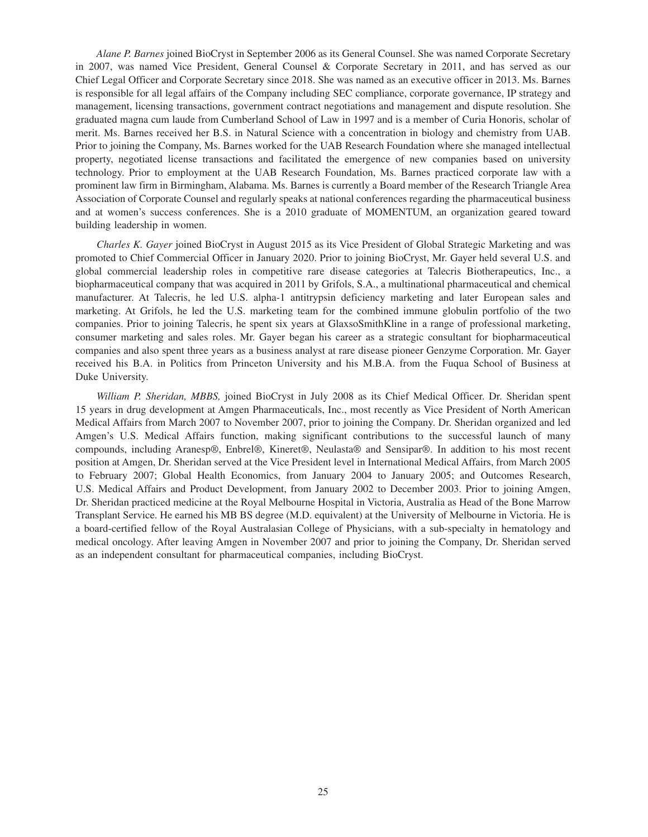*Alane P. Barnes* joined BioCryst in September 2006 as its General Counsel. She was named Corporate Secretary in 2007, was named Vice President, General Counsel & Corporate Secretary in 2011, and has served as our Chief Legal Officer and Corporate Secretary since 2018. She was named as an executive officer in 2013. Ms. Barnes is responsible for all legal affairs of the Company including SEC compliance, corporate governance, IP strategy and management, licensing transactions, government contract negotiations and management and dispute resolution. She graduated magna cum laude from Cumberland School of Law in 1997 and is a member of Curia Honoris, scholar of merit. Ms. Barnes received her B.S. in Natural Science with a concentration in biology and chemistry from UAB. Prior to joining the Company, Ms. Barnes worked for the UAB Research Foundation where she managed intellectual property, negotiated license transactions and facilitated the emergence of new companies based on university technology. Prior to employment at the UAB Research Foundation, Ms. Barnes practiced corporate law with a prominent law firm in Birmingham, Alabama. Ms. Barnes is currently a Board member of the Research Triangle Area Association of Corporate Counsel and regularly speaks at national conferences regarding the pharmaceutical business and at women's success conferences. She is a 2010 graduate of MOMENTUM, an organization geared toward building leadership in women.

*Charles K. Gayer* joined BioCryst in August 2015 as its Vice President of Global Strategic Marketing and was promoted to Chief Commercial Officer in January 2020. Prior to joining BioCryst, Mr. Gayer held several U.S. and global commercial leadership roles in competitive rare disease categories at Talecris Biotherapeutics, Inc., a biopharmaceutical company that was acquired in 2011 by Grifols, S.A., a multinational pharmaceutical and chemical manufacturer. At Talecris, he led U.S. alpha-1 antitrypsin deficiency marketing and later European sales and marketing. At Grifols, he led the U.S. marketing team for the combined immune globulin portfolio of the two companies. Prior to joining Talecris, he spent six years at GlaxsoSmithKline in a range of professional marketing, consumer marketing and sales roles. Mr. Gayer began his career as a strategic consultant for biopharmaceutical companies and also spent three years as a business analyst at rare disease pioneer Genzyme Corporation. Mr. Gayer received his B.A. in Politics from Princeton University and his M.B.A. from the Fuqua School of Business at Duke University.

*William P. Sheridan, MBBS,* joined BioCryst in July 2008 as its Chief Medical Officer. Dr. Sheridan spent 15 years in drug development at Amgen Pharmaceuticals, Inc., most recently as Vice President of North American Medical Affairs from March 2007 to November 2007, prior to joining the Company. Dr. Sheridan organized and led Amgen's U.S. Medical Affairs function, making significant contributions to the successful launch of many compounds, including Aranesp®, Enbrel®, Kineret®, Neulasta® and Sensipar®. In addition to his most recent position at Amgen, Dr. Sheridan served at the Vice President level in International Medical Affairs, from March 2005 to February 2007; Global Health Economics, from January 2004 to January 2005; and Outcomes Research, U.S. Medical Affairs and Product Development, from January 2002 to December 2003. Prior to joining Amgen, Dr. Sheridan practiced medicine at the Royal Melbourne Hospital in Victoria, Australia as Head of the Bone Marrow Transplant Service. He earned his MB BS degree (M.D. equivalent) at the University of Melbourne in Victoria. He is a board-certified fellow of the Royal Australasian College of Physicians, with a sub-specialty in hematology and medical oncology. After leaving Amgen in November 2007 and prior to joining the Company, Dr. Sheridan served as an independent consultant for pharmaceutical companies, including BioCryst.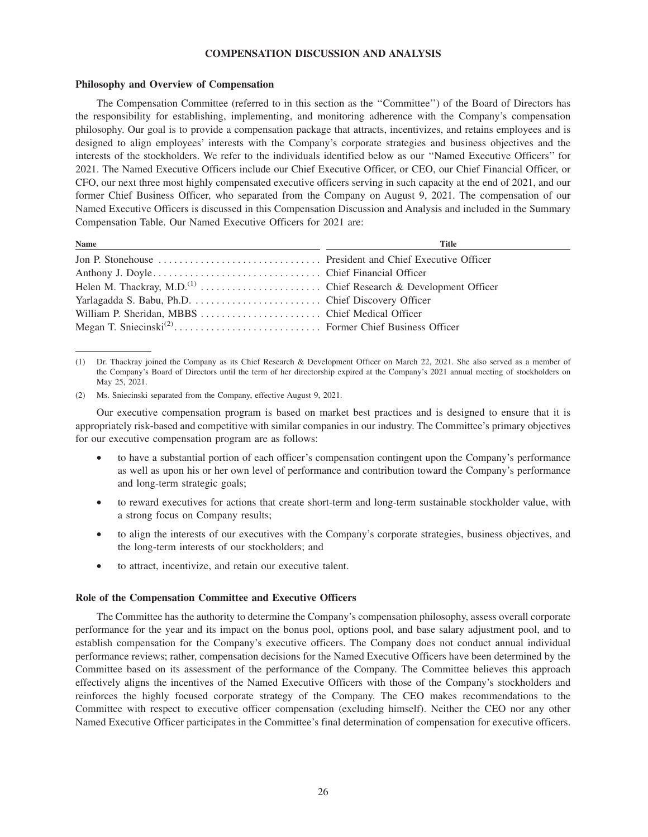## **COMPENSATION DISCUSSION AND ANALYSIS**

#### **Philosophy and Overview of Compensation**

The Compensation Committee (referred to in this section as the ''Committee'') of the Board of Directors has the responsibility for establishing, implementing, and monitoring adherence with the Company's compensation philosophy. Our goal is to provide a compensation package that attracts, incentivizes, and retains employees and is designed to align employees' interests with the Company's corporate strategies and business objectives and the interests of the stockholders. We refer to the individuals identified below as our ''Named Executive Officers'' for 2021. The Named Executive Officers include our Chief Executive Officer, or CEO, our Chief Financial Officer, or CFO, our next three most highly compensated executive officers serving in such capacity at the end of 2021, and our former Chief Business Officer, who separated from the Company on August 9, 2021. The compensation of our Named Executive Officers is discussed in this Compensation Discussion and Analysis and included in the Summary Compensation Table. Our Named Executive Officers for 2021 are:

| Name | <b>Title</b> |
|------|--------------|
|      |              |
|      |              |
|      |              |
|      |              |
|      |              |
|      |              |
|      |              |

<sup>(1)</sup> Dr. Thackray joined the Company as its Chief Research & Development Officer on March 22, 2021. She also served as a member of the Company's Board of Directors until the term of her directorship expired at the Company's 2021 annual meeting of stockholders on May 25, 2021.

Our executive compensation program is based on market best practices and is designed to ensure that it is appropriately risk-based and competitive with similar companies in our industry. The Committee's primary objectives for our executive compensation program are as follows:

- to have a substantial portion of each officer's compensation contingent upon the Company's performance as well as upon his or her own level of performance and contribution toward the Company's performance and long-term strategic goals;
- to reward executives for actions that create short-term and long-term sustainable stockholder value, with a strong focus on Company results;
- to align the interests of our executives with the Company's corporate strategies, business objectives, and the long-term interests of our stockholders; and
- to attract, incentivize, and retain our executive talent.

## **Role of the Compensation Committee and Executive Officers**

The Committee has the authority to determine the Company's compensation philosophy, assess overall corporate performance for the year and its impact on the bonus pool, options pool, and base salary adjustment pool, and to establish compensation for the Company's executive officers. The Company does not conduct annual individual performance reviews; rather, compensation decisions for the Named Executive Officers have been determined by the Committee based on its assessment of the performance of the Company. The Committee believes this approach effectively aligns the incentives of the Named Executive Officers with those of the Company's stockholders and reinforces the highly focused corporate strategy of the Company. The CEO makes recommendations to the Committee with respect to executive officer compensation (excluding himself). Neither the CEO nor any other Named Executive Officer participates in the Committee's final determination of compensation for executive officers.

<sup>(2)</sup> Ms. Sniecinski separated from the Company, effective August 9, 2021.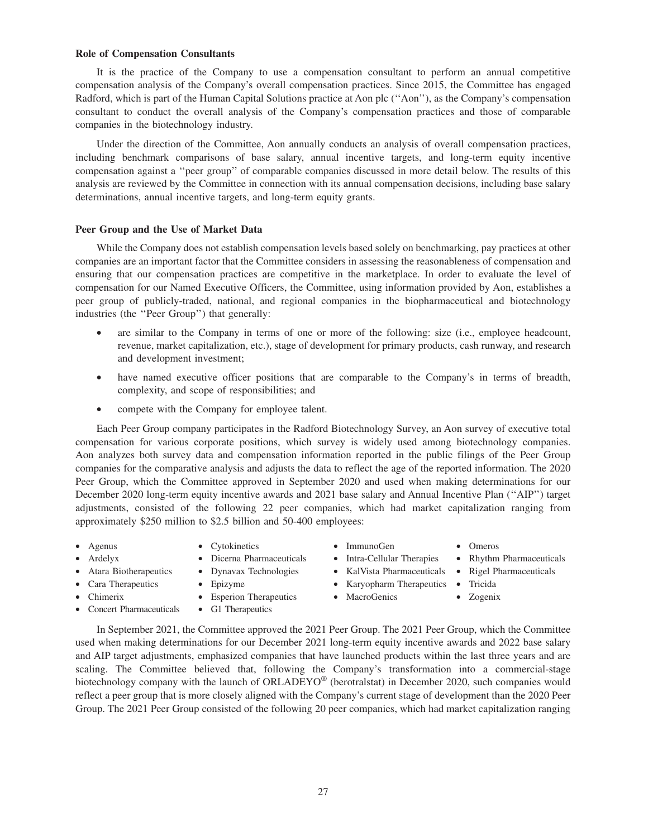#### **Role of Compensation Consultants**

It is the practice of the Company to use a compensation consultant to perform an annual competitive compensation analysis of the Company's overall compensation practices. Since 2015, the Committee has engaged Radford, which is part of the Human Capital Solutions practice at Aon plc (''Aon''), as the Company's compensation consultant to conduct the overall analysis of the Company's compensation practices and those of comparable companies in the biotechnology industry.

Under the direction of the Committee, Aon annually conducts an analysis of overall compensation practices, including benchmark comparisons of base salary, annual incentive targets, and long-term equity incentive compensation against a ''peer group'' of comparable companies discussed in more detail below. The results of this analysis are reviewed by the Committee in connection with its annual compensation decisions, including base salary determinations, annual incentive targets, and long-term equity grants.

#### **Peer Group and the Use of Market Data**

While the Company does not establish compensation levels based solely on benchmarking, pay practices at other companies are an important factor that the Committee considers in assessing the reasonableness of compensation and ensuring that our compensation practices are competitive in the marketplace. In order to evaluate the level of compensation for our Named Executive Officers, the Committee, using information provided by Aon, establishes a peer group of publicly-traded, national, and regional companies in the biopharmaceutical and biotechnology industries (the ''Peer Group'') that generally:

- are similar to the Company in terms of one or more of the following: size (i.e., employee headcount, revenue, market capitalization, etc.), stage of development for primary products, cash runway, and research and development investment;
- have named executive officer positions that are comparable to the Company's in terms of breadth, complexity, and scope of responsibilities; and
- compete with the Company for employee talent.

Each Peer Group company participates in the Radford Biotechnology Survey, an Aon survey of executive total compensation for various corporate positions, which survey is widely used among biotechnology companies. Aon analyzes both survey data and compensation information reported in the public filings of the Peer Group companies for the comparative analysis and adjusts the data to reflect the age of the reported information. The 2020 Peer Group, which the Committee approved in September 2020 and used when making determinations for our December 2020 long-term equity incentive awards and 2021 base salary and Annual Incentive Plan (''AIP'') target adjustments, consisted of the following 22 peer companies, which had market capitalization ranging from approximately \$250 million to \$2.5 billion and 50-400 employees:

- 
- Agenus Cytokinetics ImmunoGen Omeros
	- Ardelyx Dicerna Pharmaceuticals Intra-Cellular Therapies Rhythm Pharmaceuticals
- -
	- Chimerix Esperion Therapeutics MacroGenics Zogenix
- Concert Pharmaceuticals G1 Therapeutics
- 
- 
- Atara Biotherapeutics Dynavax Technologies KalVista Pharmaceuticals Rigel Pharmaceuticals
	- - -
- In September 2021, the Committee approved the 2021 Peer Group. The 2021 Peer Group, which the Committee used when making determinations for our December 2021 long-term equity incentive awards and 2022 base salary and AIP target adjustments, emphasized companies that have launched products within the last three years and are scaling. The Committee believed that, following the Company's transformation into a commercial-stage biotechnology company with the launch of ORLADEYO® (berotralstat) in December 2020, such companies would reflect a peer group that is more closely aligned with the Company's current stage of development than the 2020 Peer Group. The 2021 Peer Group consisted of the following 20 peer companies, which had market capitalization ranging
- - - -
- 
- Cara Therapeutics Epizyme Karyopharm Therapeutics Tricida
	-
- 
-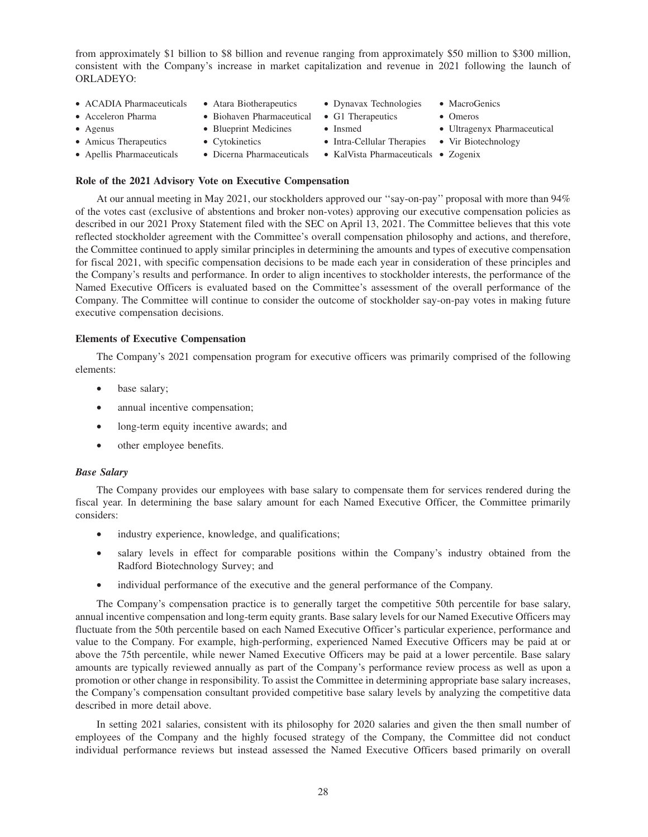from approximately \$1 billion to \$8 billion and revenue ranging from approximately \$50 million to \$300 million, consistent with the Company's increase in market capitalization and revenue in 2021 following the launch of ORLADEYO:

- ACADIA Pharmaceuticals Atara Biotherapeutics Dynavax Technologies MacroGenics
- Acceleron Pharma Biohaven Pharmaceutical G1 Therapeutics Omeros
	-
- 
- 
- Apellis Pharmaceuticals Dicerna Pharmaceuticals KalVista Pharmaceuticals Zogenix
- -
- 
- 
- 
- 
- 
- 
- Agenus Blueprint Medicines Insmed Ultragenyx Pharmaceutical
- Amicus Therapeutics Cytokinetics Intra-Cellular Therapies Vir Biotechnology
	-

# **Role of the 2021 Advisory Vote on Executive Compensation**

At our annual meeting in May 2021, our stockholders approved our ''say-on-pay'' proposal with more than 94% of the votes cast (exclusive of abstentions and broker non-votes) approving our executive compensation policies as described in our 2021 Proxy Statement filed with the SEC on April 13, 2021. The Committee believes that this vote reflected stockholder agreement with the Committee's overall compensation philosophy and actions, and therefore, the Committee continued to apply similar principles in determining the amounts and types of executive compensation for fiscal 2021, with specific compensation decisions to be made each year in consideration of these principles and the Company's results and performance. In order to align incentives to stockholder interests, the performance of the Named Executive Officers is evaluated based on the Committee's assessment of the overall performance of the Company. The Committee will continue to consider the outcome of stockholder say-on-pay votes in making future executive compensation decisions.

## **Elements of Executive Compensation**

The Company's 2021 compensation program for executive officers was primarily comprised of the following elements:

- base salary;
- annual incentive compensation;
- long-term equity incentive awards; and
- other employee benefits.

## *Base Salary*

The Company provides our employees with base salary to compensate them for services rendered during the fiscal year. In determining the base salary amount for each Named Executive Officer, the Committee primarily considers:

- industry experience, knowledge, and qualifications;
- salary levels in effect for comparable positions within the Company's industry obtained from the Radford Biotechnology Survey; and
- individual performance of the executive and the general performance of the Company.

The Company's compensation practice is to generally target the competitive 50th percentile for base salary, annual incentive compensation and long-term equity grants. Base salary levels for our Named Executive Officers may fluctuate from the 50th percentile based on each Named Executive Officer's particular experience, performance and value to the Company. For example, high-performing, experienced Named Executive Officers may be paid at or above the 75th percentile, while newer Named Executive Officers may be paid at a lower percentile. Base salary amounts are typically reviewed annually as part of the Company's performance review process as well as upon a promotion or other change in responsibility. To assist the Committee in determining appropriate base salary increases, the Company's compensation consultant provided competitive base salary levels by analyzing the competitive data described in more detail above.

In setting 2021 salaries, consistent with its philosophy for 2020 salaries and given the then small number of employees of the Company and the highly focused strategy of the Company, the Committee did not conduct individual performance reviews but instead assessed the Named Executive Officers based primarily on overall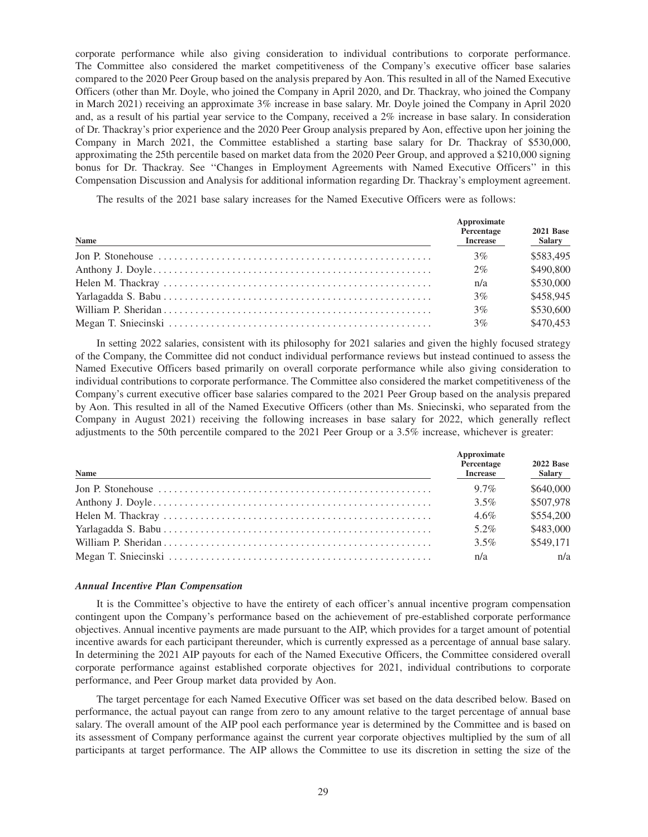corporate performance while also giving consideration to individual contributions to corporate performance. The Committee also considered the market competitiveness of the Company's executive officer base salaries compared to the 2020 Peer Group based on the analysis prepared by Aon. This resulted in all of the Named Executive Officers (other than Mr. Doyle, who joined the Company in April 2020, and Dr. Thackray, who joined the Company in March 2021) receiving an approximate 3% increase in base salary. Mr. Doyle joined the Company in April 2020 and, as a result of his partial year service to the Company, received a 2% increase in base salary. In consideration of Dr. Thackray's prior experience and the 2020 Peer Group analysis prepared by Aon, effective upon her joining the Company in March 2021, the Committee established a starting base salary for Dr. Thackray of \$530,000, approximating the 25th percentile based on market data from the 2020 Peer Group, and approved a \$210,000 signing bonus for Dr. Thackray. See ''Changes in Employment Agreements with Named Executive Officers'' in this Compensation Discussion and Analysis for additional information regarding Dr. Thackray's employment agreement.

The results of the 2021 base salary increases for the Named Executive Officers were as follows:

| <b>Name</b>                                                                                                   | Approximate<br>Percentage<br><b>Increase</b> | <b>2021 Base</b><br>Salary |
|---------------------------------------------------------------------------------------------------------------|----------------------------------------------|----------------------------|
| Jon P. Stonehouse $\dots \dots \dots \dots \dots \dots \dots \dots \dots \dots \dots \dots \dots \dots \dots$ | $3\%$                                        | \$583,495                  |
|                                                                                                               | 2%                                           | \$490,800                  |
|                                                                                                               | n/a                                          | \$530,000                  |
|                                                                                                               | $3\%$                                        | \$458,945                  |
|                                                                                                               | $3\%$                                        | \$530,600                  |
|                                                                                                               | 3%                                           | \$470.453                  |

In setting 2022 salaries, consistent with its philosophy for 2021 salaries and given the highly focused strategy of the Company, the Committee did not conduct individual performance reviews but instead continued to assess the Named Executive Officers based primarily on overall corporate performance while also giving consideration to individual contributions to corporate performance. The Committee also considered the market competitiveness of the Company's current executive officer base salaries compared to the 2021 Peer Group based on the analysis prepared by Aon. This resulted in all of the Named Executive Officers (other than Ms. Sniecinski, who separated from the Company in August 2021) receiving the following increases in base salary for 2022, which generally reflect adjustments to the 50th percentile compared to the 2021 Peer Group or a 3.5% increase, whichever is greater:

| Name | Approximate<br>Percentage<br><b>Increase</b> | <b>2022 Base</b><br>Salary |
|------|----------------------------------------------|----------------------------|
|      | $9.7\%$                                      | \$640,000                  |
|      | $3.5\%$                                      | \$507,978                  |
|      | $4.6\%$                                      | \$554,200                  |
|      | 5.2%                                         | \$483,000                  |
|      | $3.5\%$                                      | \$549,171                  |
|      | n/a                                          | n/a                        |

#### *Annual Incentive Plan Compensation*

It is the Committee's objective to have the entirety of each officer's annual incentive program compensation contingent upon the Company's performance based on the achievement of pre-established corporate performance objectives. Annual incentive payments are made pursuant to the AIP, which provides for a target amount of potential incentive awards for each participant thereunder, which is currently expressed as a percentage of annual base salary. In determining the 2021 AIP payouts for each of the Named Executive Officers, the Committee considered overall corporate performance against established corporate objectives for 2021, individual contributions to corporate performance, and Peer Group market data provided by Aon.

The target percentage for each Named Executive Officer was set based on the data described below. Based on performance, the actual payout can range from zero to any amount relative to the target percentage of annual base salary. The overall amount of the AIP pool each performance year is determined by the Committee and is based on its assessment of Company performance against the current year corporate objectives multiplied by the sum of all participants at target performance. The AIP allows the Committee to use its discretion in setting the size of the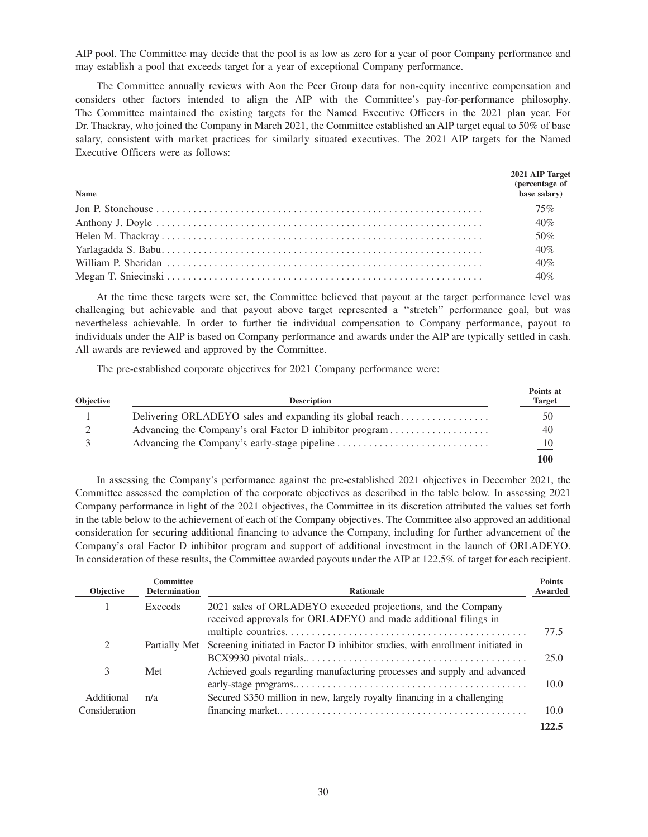AIP pool. The Committee may decide that the pool is as low as zero for a year of poor Company performance and may establish a pool that exceeds target for a year of exceptional Company performance.

The Committee annually reviews with Aon the Peer Group data for non-equity incentive compensation and considers other factors intended to align the AIP with the Committee's pay-for-performance philosophy. The Committee maintained the existing targets for the Named Executive Officers in the 2021 plan year. For Dr. Thackray, who joined the Company in March 2021, the Committee established an AIP target equal to 50% of base salary, consistent with market practices for similarly situated executives. The 2021 AIP targets for the Named Executive Officers were as follows:

| <b>Name</b> | 2021 AIP Target<br>(percentage of<br>base salary) |
|-------------|---------------------------------------------------|
|             | 75%                                               |
|             | 40%                                               |
|             | 50%                                               |
|             | 40%                                               |
|             | 40%                                               |
|             | 40%                                               |

At the time these targets were set, the Committee believed that payout at the target performance level was challenging but achievable and that payout above target represented a ''stretch'' performance goal, but was nevertheless achievable. In order to further tie individual compensation to Company performance, payout to individuals under the AIP is based on Company performance and awards under the AIP are typically settled in cash. All awards are reviewed and approved by the Committee.

The pre-established corporate objectives for 2021 Company performance were:

| Objective | <b>Description</b>                                       | Points at<br><b>Target</b> |
|-----------|----------------------------------------------------------|----------------------------|
|           | Delivering ORLADEYO sales and expanding its global reach | 50                         |
|           | Advancing the Company's oral Factor D inhibitor program  | 40                         |
|           |                                                          | $\overline{10}$            |
|           |                                                          | 100                        |

In assessing the Company's performance against the pre-established 2021 objectives in December 2021, the Committee assessed the completion of the corporate objectives as described in the table below. In assessing 2021 Company performance in light of the 2021 objectives, the Committee in its discretion attributed the values set forth in the table below to the achievement of each of the Company objectives. The Committee also approved an additional consideration for securing additional financing to advance the Company, including for further advancement of the Company's oral Factor D inhibitor program and support of additional investment in the launch of ORLADEYO. In consideration of these results, the Committee awarded payouts under the AIP at 122.5% of target for each recipient.

| <b>Objective</b> | <b>Committee</b><br><b>Determination</b> | <b>Rationale</b>                                                                                                               | <b>Points</b><br>Awarded |
|------------------|------------------------------------------|--------------------------------------------------------------------------------------------------------------------------------|--------------------------|
|                  | Exceeds                                  | 2021 sales of ORLADEYO exceeded projections, and the Company<br>received approvals for ORLADEYO and made additional filings in |                          |
|                  |                                          |                                                                                                                                | 77.5                     |
| 2                | Partially Met                            | Screening initiated in Factor D inhibitor studies, with enrollment initiated in                                                |                          |
|                  |                                          |                                                                                                                                | 25.0                     |
| 3                | Met                                      | Achieved goals regarding manufacturing processes and supply and advanced                                                       |                          |
|                  |                                          |                                                                                                                                | 10.0                     |
| Additional       | n/a                                      | Secured \$350 million in new, largely royalty financing in a challenging                                                       |                          |
| Consideration    |                                          |                                                                                                                                | 10.0                     |
|                  |                                          |                                                                                                                                | 122.5                    |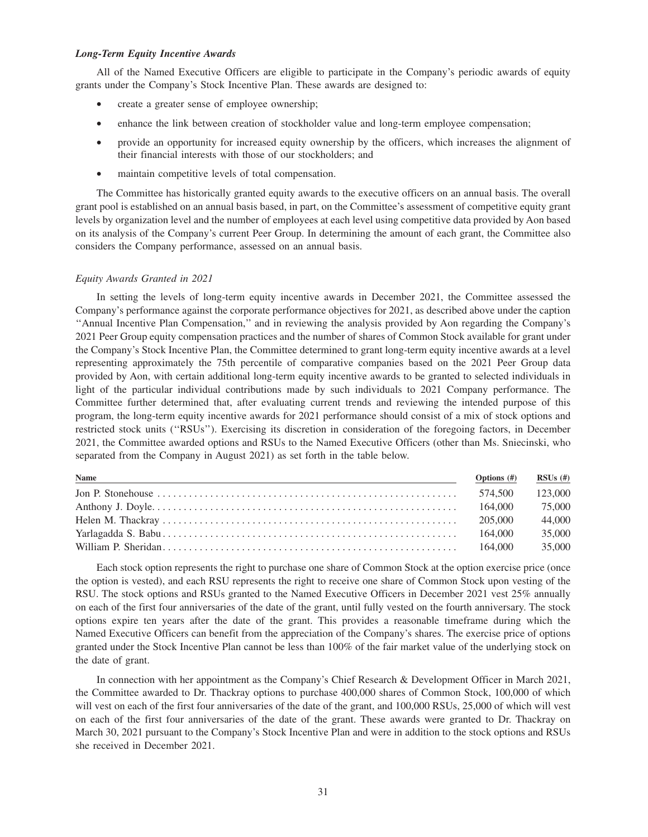## *Long-Term Equity Incentive Awards*

All of the Named Executive Officers are eligible to participate in the Company's periodic awards of equity grants under the Company's Stock Incentive Plan. These awards are designed to:

- create a greater sense of employee ownership;
- enhance the link between creation of stockholder value and long-term employee compensation;
- provide an opportunity for increased equity ownership by the officers, which increases the alignment of their financial interests with those of our stockholders; and
- maintain competitive levels of total compensation.

The Committee has historically granted equity awards to the executive officers on an annual basis. The overall grant pool is established on an annual basis based, in part, on the Committee's assessment of competitive equity grant levels by organization level and the number of employees at each level using competitive data provided by Aon based on its analysis of the Company's current Peer Group. In determining the amount of each grant, the Committee also considers the Company performance, assessed on an annual basis.

## *Equity Awards Granted in 2021*

In setting the levels of long-term equity incentive awards in December 2021, the Committee assessed the Company's performance against the corporate performance objectives for 2021, as described above under the caption ''Annual Incentive Plan Compensation,'' and in reviewing the analysis provided by Aon regarding the Company's 2021 Peer Group equity compensation practices and the number of shares of Common Stock available for grant under the Company's Stock Incentive Plan, the Committee determined to grant long-term equity incentive awards at a level representing approximately the 75th percentile of comparative companies based on the 2021 Peer Group data provided by Aon, with certain additional long-term equity incentive awards to be granted to selected individuals in light of the particular individual contributions made by such individuals to 2021 Company performance. The Committee further determined that, after evaluating current trends and reviewing the intended purpose of this program, the long-term equity incentive awards for 2021 performance should consist of a mix of stock options and restricted stock units (''RSUs''). Exercising its discretion in consideration of the foregoing factors, in December 2021, the Committee awarded options and RSUs to the Named Executive Officers (other than Ms. Sniecinski, who separated from the Company in August 2021) as set forth in the table below.

| Name<br>,我们也不能会有一个人的事情。""我们的人们是不是我们的人,我们也不能会有一个人的人,我们也不能会有一个人的人,我们也不能会有一个人的人,我们也不能会有一个人的人 | Options $(\#)$ | $RSUs$ (#) |
|-------------------------------------------------------------------------------------------|----------------|------------|
|                                                                                           | 574.500        | 123,000    |
|                                                                                           | 164,000        | 75,000     |
|                                                                                           | 205,000        | 44,000     |
|                                                                                           | 164.000        | 35,000     |
|                                                                                           | 164.000        | 35,000     |

Each stock option represents the right to purchase one share of Common Stock at the option exercise price (once the option is vested), and each RSU represents the right to receive one share of Common Stock upon vesting of the RSU. The stock options and RSUs granted to the Named Executive Officers in December 2021 vest 25% annually on each of the first four anniversaries of the date of the grant, until fully vested on the fourth anniversary. The stock options expire ten years after the date of the grant. This provides a reasonable timeframe during which the Named Executive Officers can benefit from the appreciation of the Company's shares. The exercise price of options granted under the Stock Incentive Plan cannot be less than 100% of the fair market value of the underlying stock on the date of grant.

In connection with her appointment as the Company's Chief Research & Development Officer in March 2021, the Committee awarded to Dr. Thackray options to purchase 400,000 shares of Common Stock, 100,000 of which will vest on each of the first four anniversaries of the date of the grant, and 100,000 RSUs, 25,000 of which will vest on each of the first four anniversaries of the date of the grant. These awards were granted to Dr. Thackray on March 30, 2021 pursuant to the Company's Stock Incentive Plan and were in addition to the stock options and RSUs she received in December 2021.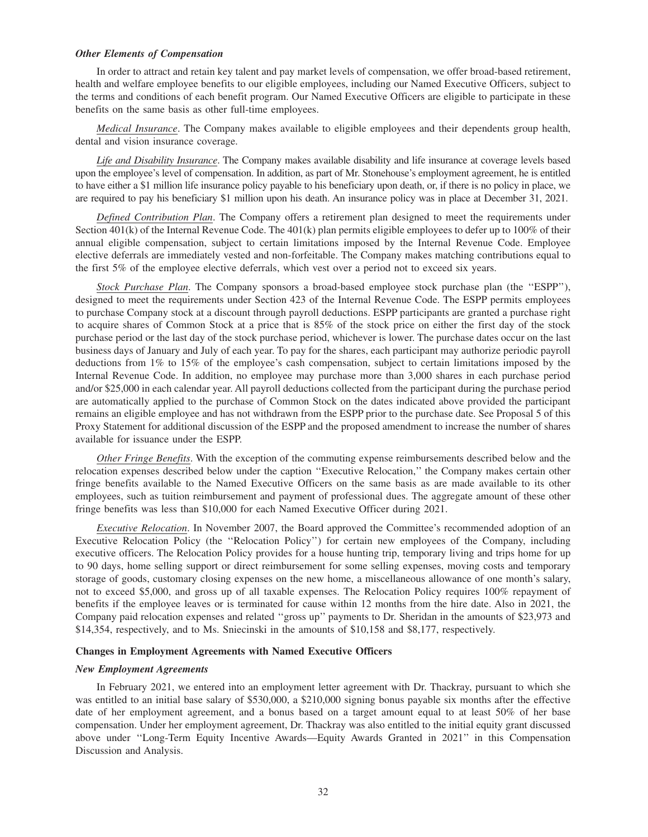#### *Other Elements of Compensation*

In order to attract and retain key talent and pay market levels of compensation, we offer broad-based retirement, health and welfare employee benefits to our eligible employees, including our Named Executive Officers, subject to the terms and conditions of each benefit program. Our Named Executive Officers are eligible to participate in these benefits on the same basis as other full-time employees.

*Medical Insurance*. The Company makes available to eligible employees and their dependents group health, dental and vision insurance coverage.

*Life and Disability Insurance*. The Company makes available disability and life insurance at coverage levels based upon the employee's level of compensation. In addition, as part of Mr. Stonehouse's employment agreement, he is entitled to have either a \$1 million life insurance policy payable to his beneficiary upon death, or, if there is no policy in place, we are required to pay his beneficiary \$1 million upon his death. An insurance policy was in place at December 31, 2021.

*Defined Contribution Plan*. The Company offers a retirement plan designed to meet the requirements under Section 401(k) of the Internal Revenue Code. The 401(k) plan permits eligible employees to defer up to 100% of their annual eligible compensation, subject to certain limitations imposed by the Internal Revenue Code. Employee elective deferrals are immediately vested and non-forfeitable. The Company makes matching contributions equal to the first 5% of the employee elective deferrals, which vest over a period not to exceed six years.

*Stock Purchase Plan*. The Company sponsors a broad-based employee stock purchase plan (the "ESPP"), designed to meet the requirements under Section 423 of the Internal Revenue Code. The ESPP permits employees to purchase Company stock at a discount through payroll deductions. ESPP participants are granted a purchase right to acquire shares of Common Stock at a price that is 85% of the stock price on either the first day of the stock purchase period or the last day of the stock purchase period, whichever is lower. The purchase dates occur on the last business days of January and July of each year. To pay for the shares, each participant may authorize periodic payroll deductions from 1% to 15% of the employee's cash compensation, subject to certain limitations imposed by the Internal Revenue Code. In addition, no employee may purchase more than 3,000 shares in each purchase period and/or \$25,000 in each calendar year. All payroll deductions collected from the participant during the purchase period are automatically applied to the purchase of Common Stock on the dates indicated above provided the participant remains an eligible employee and has not withdrawn from the ESPP prior to the purchase date. See Proposal 5 of this Proxy Statement for additional discussion of the ESPP and the proposed amendment to increase the number of shares available for issuance under the ESPP.

*Other Fringe Benefits*. With the exception of the commuting expense reimbursements described below and the relocation expenses described below under the caption ''Executive Relocation,'' the Company makes certain other fringe benefits available to the Named Executive Officers on the same basis as are made available to its other employees, such as tuition reimbursement and payment of professional dues. The aggregate amount of these other fringe benefits was less than \$10,000 for each Named Executive Officer during 2021.

*Executive Relocation*. In November 2007, the Board approved the Committee's recommended adoption of an Executive Relocation Policy (the ''Relocation Policy'') for certain new employees of the Company, including executive officers. The Relocation Policy provides for a house hunting trip, temporary living and trips home for up to 90 days, home selling support or direct reimbursement for some selling expenses, moving costs and temporary storage of goods, customary closing expenses on the new home, a miscellaneous allowance of one month's salary, not to exceed \$5,000, and gross up of all taxable expenses. The Relocation Policy requires 100% repayment of benefits if the employee leaves or is terminated for cause within 12 months from the hire date. Also in 2021, the Company paid relocation expenses and related ''gross up'' payments to Dr. Sheridan in the amounts of \$23,973 and \$14,354, respectively, and to Ms. Sniecinski in the amounts of \$10,158 and \$8,177, respectively.

#### **Changes in Employment Agreements with Named Executive Officers**

#### *New Employment Agreements*

In February 2021, we entered into an employment letter agreement with Dr. Thackray, pursuant to which she was entitled to an initial base salary of \$530,000, a \$210,000 signing bonus payable six months after the effective date of her employment agreement, and a bonus based on a target amount equal to at least 50% of her base compensation. Under her employment agreement, Dr. Thackray was also entitled to the initial equity grant discussed above under ''Long-Term Equity Incentive Awards—Equity Awards Granted in 2021'' in this Compensation Discussion and Analysis.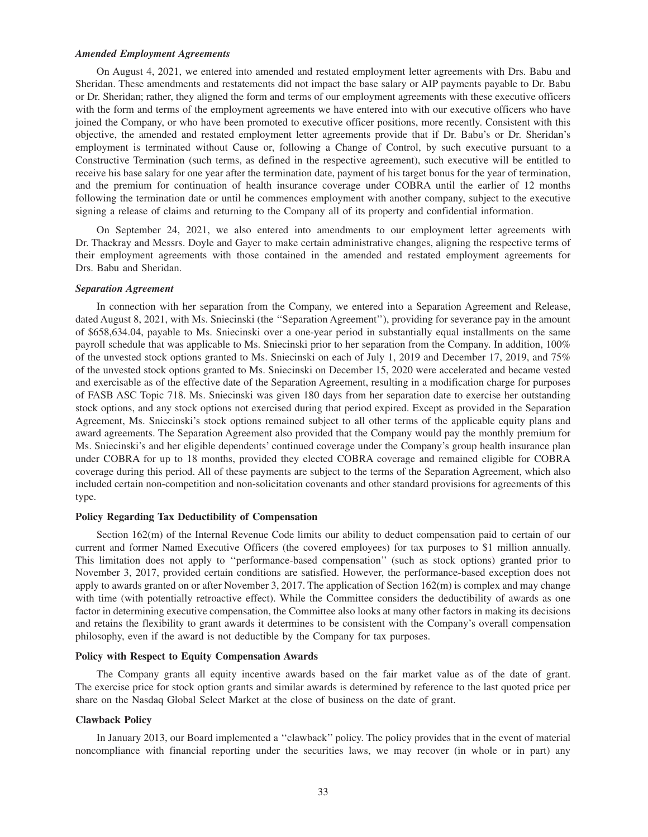#### *Amended Employment Agreements*

On August 4, 2021, we entered into amended and restated employment letter agreements with Drs. Babu and Sheridan. These amendments and restatements did not impact the base salary or AIP payments payable to Dr. Babu or Dr. Sheridan; rather, they aligned the form and terms of our employment agreements with these executive officers with the form and terms of the employment agreements we have entered into with our executive officers who have joined the Company, or who have been promoted to executive officer positions, more recently. Consistent with this objective, the amended and restated employment letter agreements provide that if Dr. Babu's or Dr. Sheridan's employment is terminated without Cause or, following a Change of Control, by such executive pursuant to a Constructive Termination (such terms, as defined in the respective agreement), such executive will be entitled to receive his base salary for one year after the termination date, payment of his target bonus for the year of termination, and the premium for continuation of health insurance coverage under COBRA until the earlier of 12 months following the termination date or until he commences employment with another company, subject to the executive signing a release of claims and returning to the Company all of its property and confidential information.

On September 24, 2021, we also entered into amendments to our employment letter agreements with Dr. Thackray and Messrs. Doyle and Gayer to make certain administrative changes, aligning the respective terms of their employment agreements with those contained in the amended and restated employment agreements for Drs. Babu and Sheridan.

#### *Separation Agreement*

In connection with her separation from the Company, we entered into a Separation Agreement and Release, dated August 8, 2021, with Ms. Sniecinski (the ''Separation Agreement''), providing for severance pay in the amount of \$658,634.04, payable to Ms. Sniecinski over a one-year period in substantially equal installments on the same payroll schedule that was applicable to Ms. Sniecinski prior to her separation from the Company. In addition, 100% of the unvested stock options granted to Ms. Sniecinski on each of July 1, 2019 and December 17, 2019, and 75% of the unvested stock options granted to Ms. Sniecinski on December 15, 2020 were accelerated and became vested and exercisable as of the effective date of the Separation Agreement, resulting in a modification charge for purposes of FASB ASC Topic 718. Ms. Sniecinski was given 180 days from her separation date to exercise her outstanding stock options, and any stock options not exercised during that period expired. Except as provided in the Separation Agreement, Ms. Sniecinski's stock options remained subject to all other terms of the applicable equity plans and award agreements. The Separation Agreement also provided that the Company would pay the monthly premium for Ms. Sniecinski's and her eligible dependents' continued coverage under the Company's group health insurance plan under COBRA for up to 18 months, provided they elected COBRA coverage and remained eligible for COBRA coverage during this period. All of these payments are subject to the terms of the Separation Agreement, which also included certain non-competition and non-solicitation covenants and other standard provisions for agreements of this type.

## **Policy Regarding Tax Deductibility of Compensation**

Section 162(m) of the Internal Revenue Code limits our ability to deduct compensation paid to certain of our current and former Named Executive Officers (the covered employees) for tax purposes to \$1 million annually. This limitation does not apply to ''performance-based compensation'' (such as stock options) granted prior to November 3, 2017, provided certain conditions are satisfied. However, the performance-based exception does not apply to awards granted on or after November 3, 2017. The application of Section 162(m) is complex and may change with time (with potentially retroactive effect). While the Committee considers the deductibility of awards as one factor in determining executive compensation, the Committee also looks at many other factors in making its decisions and retains the flexibility to grant awards it determines to be consistent with the Company's overall compensation philosophy, even if the award is not deductible by the Company for tax purposes.

## **Policy with Respect to Equity Compensation Awards**

The Company grants all equity incentive awards based on the fair market value as of the date of grant. The exercise price for stock option grants and similar awards is determined by reference to the last quoted price per share on the Nasdaq Global Select Market at the close of business on the date of grant.

## **Clawback Policy**

In January 2013, our Board implemented a ''clawback'' policy. The policy provides that in the event of material noncompliance with financial reporting under the securities laws, we may recover (in whole or in part) any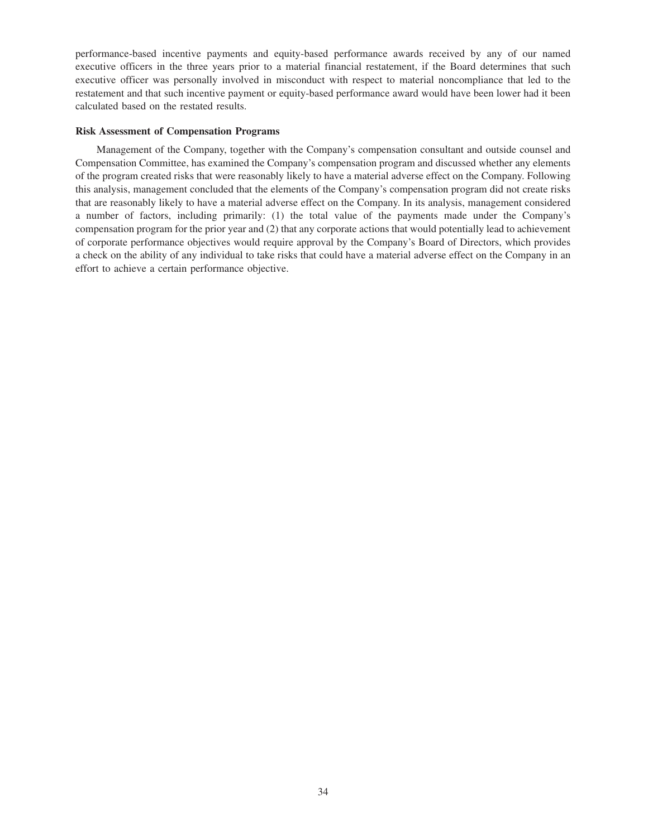performance-based incentive payments and equity-based performance awards received by any of our named executive officers in the three years prior to a material financial restatement, if the Board determines that such executive officer was personally involved in misconduct with respect to material noncompliance that led to the restatement and that such incentive payment or equity-based performance award would have been lower had it been calculated based on the restated results.

## **Risk Assessment of Compensation Programs**

Management of the Company, together with the Company's compensation consultant and outside counsel and Compensation Committee, has examined the Company's compensation program and discussed whether any elements of the program created risks that were reasonably likely to have a material adverse effect on the Company. Following this analysis, management concluded that the elements of the Company's compensation program did not create risks that are reasonably likely to have a material adverse effect on the Company. In its analysis, management considered a number of factors, including primarily: (1) the total value of the payments made under the Company's compensation program for the prior year and (2) that any corporate actions that would potentially lead to achievement of corporate performance objectives would require approval by the Company's Board of Directors, which provides a check on the ability of any individual to take risks that could have a material adverse effect on the Company in an effort to achieve a certain performance objective.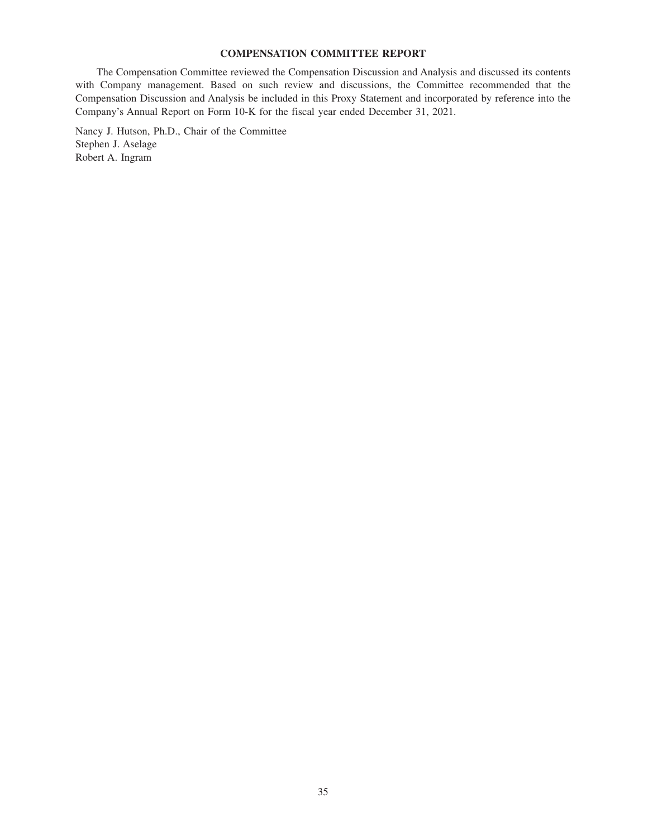# **COMPENSATION COMMITTEE REPORT**

The Compensation Committee reviewed the Compensation Discussion and Analysis and discussed its contents with Company management. Based on such review and discussions, the Committee recommended that the Compensation Discussion and Analysis be included in this Proxy Statement and incorporated by reference into the Company's Annual Report on Form 10-K for the fiscal year ended December 31, 2021.

Nancy J. Hutson, Ph.D., Chair of the Committee Stephen J. Aselage Robert A. Ingram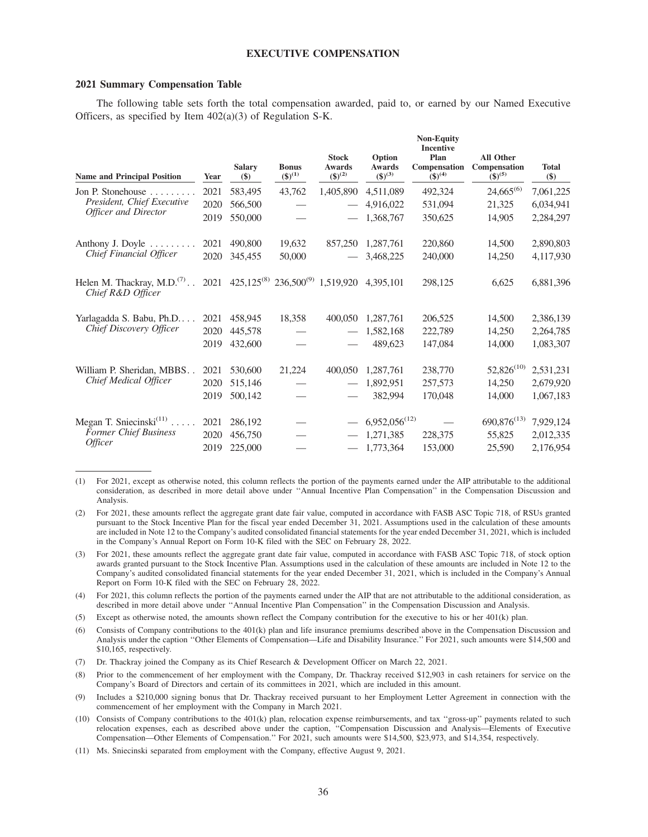## **EXECUTIVE COMPENSATION**

#### **2021 Summary Compensation Table**

The following table sets forth the total compensation awarded, paid to, or earned by our Named Executive Officers, as specified by Item 402(a)(3) of Regulation S-K.

| <b>Name and Principal Position</b>                     | Year | <b>Salary</b><br>$(\$)$                                      | <b>Bonus</b><br>$({\$})^{(1)}$ | <b>Stock</b><br><b>Awards</b><br>$(\$)^{(2)}$ | Option<br><b>Awards</b><br>$(\$)^{(3)}$ | <b>Non-Equity</b><br><b>Incentive</b><br>Plan<br>Compensation<br>$(3)^{(4)}$ | <b>All Other</b><br>Compensation<br>$(5)^{(5)}$ | <b>Total</b><br>\$) |
|--------------------------------------------------------|------|--------------------------------------------------------------|--------------------------------|-----------------------------------------------|-----------------------------------------|------------------------------------------------------------------------------|-------------------------------------------------|---------------------|
| Jon P. Stonehouse $\dots \dots$                        | 2021 | 583,495                                                      | 43,762                         | 1,405,890                                     | 4,511,089                               | 492,324                                                                      | $24,665^{(6)}$                                  | 7,061,225           |
| President, Chief Executive                             | 2020 | 566,500                                                      |                                |                                               | 4,916,022                               | 531,094                                                                      | 21,325                                          | 6,034,941           |
| <b>Officer and Director</b>                            | 2019 | 550,000                                                      |                                |                                               | 1,368,767                               | 350,625                                                                      | 14,905                                          | 2,284,297           |
| Anthony J. Doyle                                       | 2021 | 490,800                                                      | 19,632                         | 857,250                                       | 1,287,761                               | 220,860                                                                      | 14,500                                          | 2,890,803           |
| Chief Financial Officer                                | 2020 | 345,455                                                      | 50,000                         |                                               | 3,468,225                               | 240,000                                                                      | 14,250                                          | 4,117,930           |
| Helen M. Thackray, $M.D.^{(7)}$ .<br>Chief R&D Officer |      | 2021 425,125 <sup>(8)</sup> 236,500 <sup>(9)</sup> 1,519,920 |                                |                                               | 4.395.101                               | 298,125                                                                      | 6,625                                           | 6,881,396           |
| Yarlagadda S. Babu, Ph.D                               | 2021 | 458,945                                                      | 18,358                         | 400,050                                       | 1,287,761                               | 206,525                                                                      | 14,500                                          | 2,386,139           |
| Chief Discovery Officer                                | 2020 | 445,578                                                      |                                |                                               | 1,582,168                               | 222,789                                                                      | 14,250                                          | 2,264,785           |
|                                                        | 2019 | 432,600                                                      |                                |                                               | 489,623                                 | 147,084                                                                      | 14,000                                          | 1,083,307           |
| William P. Sheridan, MBBS                              | 2021 | 530,600                                                      | 21,224                         | 400,050                                       | 1,287,761                               | 238,770                                                                      | $52,826^{(10)}$                                 | 2,531,231           |
| Chief Medical Officer                                  | 2020 | 515,146                                                      |                                |                                               | 1,892,951                               | 257,573                                                                      | 14,250                                          | 2,679,920           |
|                                                        | 2019 | 500,142                                                      |                                |                                               | 382,994                                 | 170,048                                                                      | 14,000                                          | 1,067,183           |
| Megan T. Sniecinski <sup>(11)</sup>                    | 2021 | 286,192                                                      |                                |                                               | $6,952,056^{(12)}$                      |                                                                              | $690,876^{(13)}$                                | 7,929,124           |
| Former Chief Business                                  | 2020 | 456,750                                                      |                                |                                               | 1,271,385                               | 228,375                                                                      | 55,825                                          | 2,012,335           |
| <i><b>Officer</b></i>                                  | 2019 | 225,000                                                      |                                |                                               | 1,773,364                               | 153,000                                                                      | 25,590                                          | 2,176,954           |

(1) For 2021, except as otherwise noted, this column reflects the portion of the payments earned under the AIP attributable to the additional consideration, as described in more detail above under ''Annual Incentive Plan Compensation'' in the Compensation Discussion and Analysis.

- (2) For 2021, these amounts reflect the aggregate grant date fair value, computed in accordance with FASB ASC Topic 718, of RSUs granted pursuant to the Stock Incentive Plan for the fiscal year ended December 31, 2021. Assumptions used in the calculation of these amounts are included in Note 12 to the Company's audited consolidated financial statements for the year ended December 31, 2021, which is included in the Company's Annual Report on Form 10-K filed with the SEC on February 28, 2022.
- (3) For 2021, these amounts reflect the aggregate grant date fair value, computed in accordance with FASB ASC Topic 718, of stock option awards granted pursuant to the Stock Incentive Plan. Assumptions used in the calculation of these amounts are included in Note 12 to the Company's audited consolidated financial statements for the year ended December 31, 2021, which is included in the Company's Annual Report on Form 10-K filed with the SEC on February 28, 2022.
- (4) For 2021, this column reflects the portion of the payments earned under the AIP that are not attributable to the additional consideration, as described in more detail above under ''Annual Incentive Plan Compensation'' in the Compensation Discussion and Analysis.
- (5) Except as otherwise noted, the amounts shown reflect the Company contribution for the executive to his or her 401(k) plan.
- (6) Consists of Company contributions to the 401(k) plan and life insurance premiums described above in the Compensation Discussion and Analysis under the caption ''Other Elements of Compensation—Life and Disability Insurance.'' For 2021, such amounts were \$14,500 and \$10,165, respectively.
- (7) Dr. Thackray joined the Company as its Chief Research & Development Officer on March 22, 2021.
- Prior to the commencement of her employment with the Company, Dr. Thackray received \$12,903 in cash retainers for service on the Company's Board of Directors and certain of its committees in 2021, which are included in this amount.
- Includes a \$210,000 signing bonus that Dr. Thackray received pursuant to her Employment Letter Agreement in connection with the commencement of her employment with the Company in March 2021.
- (10) Consists of Company contributions to the 401(k) plan, relocation expense reimbursements, and tax ''gross-up'' payments related to such relocation expenses, each as described above under the caption, ''Compensation Discussion and Analysis—Elements of Executive Compensation—Other Elements of Compensation.'' For 2021, such amounts were \$14,500, \$23,973, and \$14,354, respectively.
- (11) Ms. Sniecinski separated from employment with the Company, effective August 9, 2021.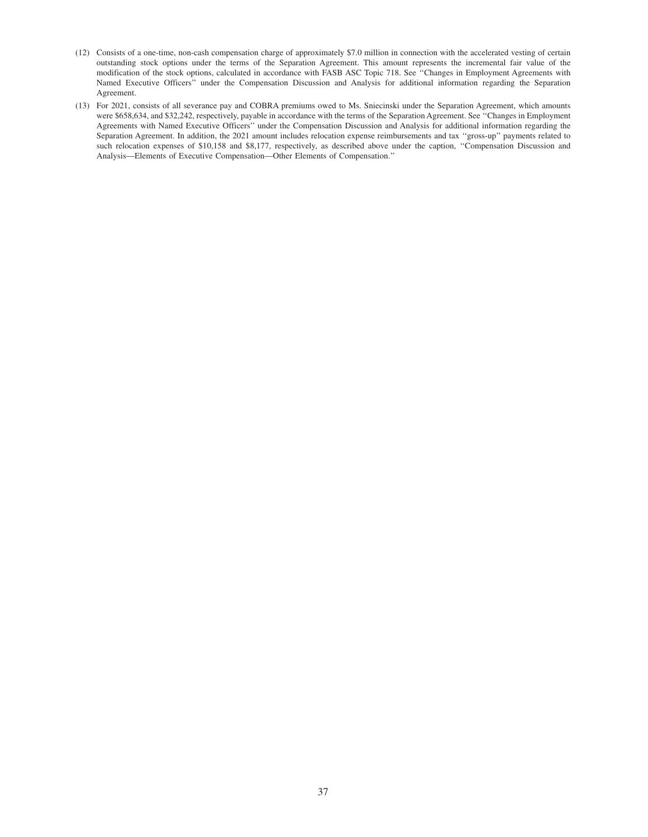- (12) Consists of a one-time, non-cash compensation charge of approximately \$7.0 million in connection with the accelerated vesting of certain outstanding stock options under the terms of the Separation Agreement. This amount represents the incremental fair value of the modification of the stock options, calculated in accordance with FASB ASC Topic 718. See ''Changes in Employment Agreements with Named Executive Officers'' under the Compensation Discussion and Analysis for additional information regarding the Separation Agreement.
- (13) For 2021, consists of all severance pay and COBRA premiums owed to Ms. Sniecinski under the Separation Agreement, which amounts were \$658,634, and \$32,242, respectively, payable in accordance with the terms of the Separation Agreement. See ''Changes in Employment Agreements with Named Executive Officers'' under the Compensation Discussion and Analysis for additional information regarding the Separation Agreement. In addition, the 2021 amount includes relocation expense reimbursements and tax ''gross-up'' payments related to such relocation expenses of \$10,158 and \$8,177, respectively, as described above under the caption, ''Compensation Discussion and Analysis—Elements of Executive Compensation—Other Elements of Compensation.''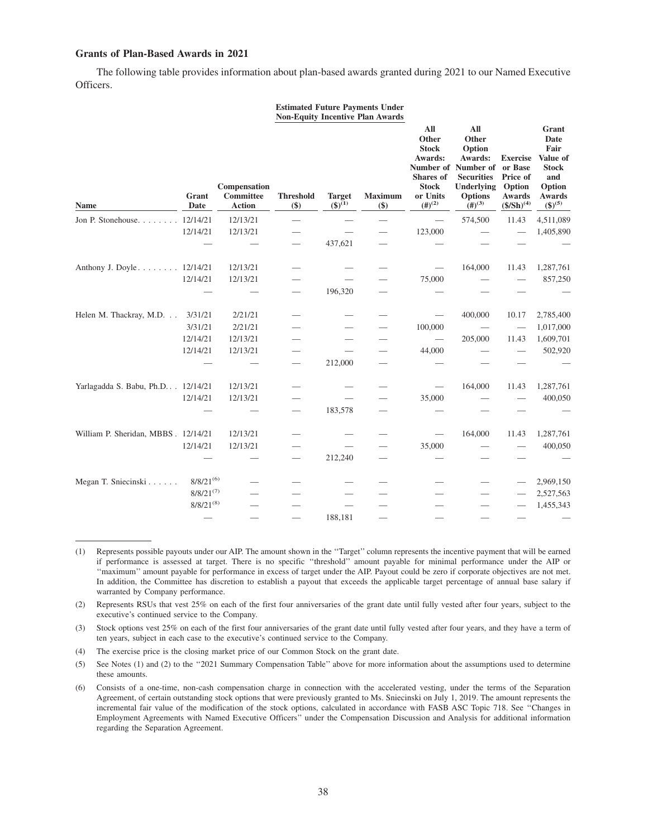## **Grants of Plan-Based Awards in 2021**

The following table provides information about plan-based awards granted during 2021 to our Named Executive Officers.

|                                      |                |                                                   |                          |                                    | <b>Estimated Future Payments Under</b><br><b>Non-Equity Incentive Plan Awards</b> |                                                                                                         |                                                                                                                                                          |                                                                                      |                                                                                                       |
|--------------------------------------|----------------|---------------------------------------------------|--------------------------|------------------------------------|-----------------------------------------------------------------------------------|---------------------------------------------------------------------------------------------------------|----------------------------------------------------------------------------------------------------------------------------------------------------------|--------------------------------------------------------------------------------------|-------------------------------------------------------------------------------------------------------|
| <b>Name</b>                          | Grant<br>Date  | Compensation<br><b>Committee</b><br><b>Action</b> | <b>Threshold</b><br>\$)  | <b>Target</b><br>$({\bf S})^{(1)}$ | <b>Maximum</b><br>\$)                                                             | All<br>Other<br><b>Stock</b><br>Awards:<br><b>Shares</b> of<br><b>Stock</b><br>or Units<br>$(\#)^{(2)}$ | All<br>Other<br>Option<br>Awards:<br>Number of Number of<br><b>Securities</b><br><b>Underlying</b><br><b>Options</b><br>$\left(\frac{4}{3}\right)^{(3)}$ | <b>Exercise</b><br>or Base<br>Price of<br>Option<br><b>Awards</b><br>$($/Sh)^{(4)}$$ | Grant<br>Date<br>Fair<br>Value of<br><b>Stock</b><br>and<br>Option<br><b>Awards</b><br>$({\$})^{(5)}$ |
| Jon P. Stonehouse.                   | 12/14/21       | 12/13/21                                          |                          |                                    | $\overline{\phantom{0}}$                                                          |                                                                                                         | 574,500                                                                                                                                                  | 11.43                                                                                | 4,511,089                                                                                             |
|                                      | 12/14/21       | 12/13/21                                          | $\overline{\phantom{0}}$ |                                    |                                                                                   | 123,000                                                                                                 |                                                                                                                                                          |                                                                                      | 1,405,890                                                                                             |
|                                      |                |                                                   | $\overline{\phantom{0}}$ | 437,621                            |                                                                                   |                                                                                                         |                                                                                                                                                          |                                                                                      |                                                                                                       |
| Anthony J. Doyle 12/14/21            |                | 12/13/21                                          |                          |                                    |                                                                                   |                                                                                                         | 164,000                                                                                                                                                  | 11.43                                                                                | 1,287,761                                                                                             |
|                                      | 12/14/21       | 12/13/21                                          |                          | $\overline{\phantom{0}}$           |                                                                                   | 75,000                                                                                                  |                                                                                                                                                          |                                                                                      | 857,250                                                                                               |
|                                      |                |                                                   | $\overline{\phantom{0}}$ | 196,320                            |                                                                                   |                                                                                                         |                                                                                                                                                          |                                                                                      |                                                                                                       |
| Helen M. Thackray, M.D.              | 3/31/21        | 2/21/21                                           |                          |                                    |                                                                                   |                                                                                                         | 400,000                                                                                                                                                  | 10.17                                                                                | 2,785,400                                                                                             |
|                                      | 3/31/21        | 2/21/21                                           |                          |                                    |                                                                                   | 100,000                                                                                                 |                                                                                                                                                          |                                                                                      | 1,017,000                                                                                             |
|                                      | 12/14/21       | 12/13/21                                          |                          |                                    |                                                                                   | $\hspace{0.05cm}$                                                                                       | 205,000                                                                                                                                                  | 11.43                                                                                | 1,609,701                                                                                             |
|                                      | 12/14/21       | 12/13/21                                          |                          |                                    |                                                                                   | 44,000                                                                                                  |                                                                                                                                                          |                                                                                      | 502,920                                                                                               |
|                                      |                |                                                   | $\overline{\phantom{0}}$ | 212,000                            |                                                                                   |                                                                                                         |                                                                                                                                                          |                                                                                      |                                                                                                       |
| Yarlagadda S. Babu, Ph.D. 12/14/21   |                | 12/13/21                                          |                          |                                    |                                                                                   |                                                                                                         | 164,000                                                                                                                                                  | 11.43                                                                                | 1,287,761                                                                                             |
|                                      | 12/14/21       | 12/13/21                                          |                          |                                    |                                                                                   | 35,000                                                                                                  |                                                                                                                                                          |                                                                                      | 400,050                                                                                               |
|                                      |                |                                                   | $\overline{\phantom{0}}$ | 183,578                            |                                                                                   |                                                                                                         |                                                                                                                                                          |                                                                                      |                                                                                                       |
| William P. Sheridan, MBBS . 12/14/21 |                | 12/13/21                                          |                          |                                    |                                                                                   |                                                                                                         | 164,000                                                                                                                                                  | 11.43                                                                                | 1,287,761                                                                                             |
|                                      | 12/14/21       | 12/13/21                                          |                          |                                    |                                                                                   | 35,000                                                                                                  |                                                                                                                                                          |                                                                                      | 400,050                                                                                               |
|                                      |                |                                                   | $\overline{\phantom{0}}$ | 212,240                            |                                                                                   |                                                                                                         |                                                                                                                                                          |                                                                                      |                                                                                                       |
| Megan T. Sniecinski                  | $8/8/21^{(6)}$ |                                                   |                          |                                    |                                                                                   |                                                                                                         |                                                                                                                                                          |                                                                                      | 2,969,150                                                                                             |
|                                      | $8/8/21^{(7)}$ |                                                   |                          |                                    |                                                                                   |                                                                                                         |                                                                                                                                                          |                                                                                      | 2,527,563                                                                                             |
|                                      | $8/8/21^{(8)}$ |                                                   |                          |                                    |                                                                                   |                                                                                                         |                                                                                                                                                          |                                                                                      | 1,455,343                                                                                             |
|                                      |                |                                                   |                          | 188,181                            |                                                                                   |                                                                                                         |                                                                                                                                                          |                                                                                      |                                                                                                       |

<sup>(1)</sup> Represents possible payouts under our AIP. The amount shown in the ''Target'' column represents the incentive payment that will be earned if performance is assessed at target. There is no specific ''threshold'' amount payable for minimal performance under the AIP or ''maximum'' amount payable for performance in excess of target under the AIP. Payout could be zero if corporate objectives are not met. In addition, the Committee has discretion to establish a payout that exceeds the applicable target percentage of annual base salary if warranted by Company performance.

(2) Represents RSUs that vest 25% on each of the first four anniversaries of the grant date until fully vested after four years, subject to the executive's continued service to the Company.

(3) Stock options vest 25% on each of the first four anniversaries of the grant date until fully vested after four years, and they have a term of ten years, subject in each case to the executive's continued service to the Company.

(4) The exercise price is the closing market price of our Common Stock on the grant date.

(5) See Notes (1) and (2) to the ''2021 Summary Compensation Table'' above for more information about the assumptions used to determine these amounts.

<sup>(6)</sup> Consists of a one-time, non-cash compensation charge in connection with the accelerated vesting, under the terms of the Separation Agreement, of certain outstanding stock options that were previously granted to Ms. Sniecinski on July 1, 2019. The amount represents the incremental fair value of the modification of the stock options, calculated in accordance with FASB ASC Topic 718. See ''Changes in Employment Agreements with Named Executive Officers'' under the Compensation Discussion and Analysis for additional information regarding the Separation Agreement.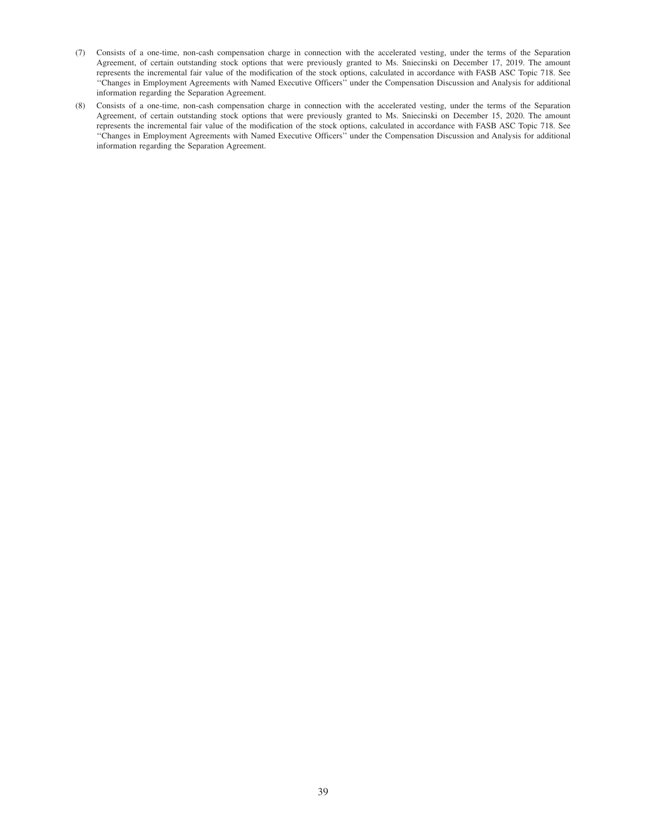- (7) Consists of a one-time, non-cash compensation charge in connection with the accelerated vesting, under the terms of the Separation Agreement, of certain outstanding stock options that were previously granted to Ms. Sniecinski on December 17, 2019. The amount represents the incremental fair value of the modification of the stock options, calculated in accordance with FASB ASC Topic 718. See ''Changes in Employment Agreements with Named Executive Officers'' under the Compensation Discussion and Analysis for additional information regarding the Separation Agreement.
- (8) Consists of a one-time, non-cash compensation charge in connection with the accelerated vesting, under the terms of the Separation Agreement, of certain outstanding stock options that were previously granted to Ms. Sniecinski on December 15, 2020. The amount represents the incremental fair value of the modification of the stock options, calculated in accordance with FASB ASC Topic 718. See ''Changes in Employment Agreements with Named Executive Officers'' under the Compensation Discussion and Analysis for additional information regarding the Separation Agreement.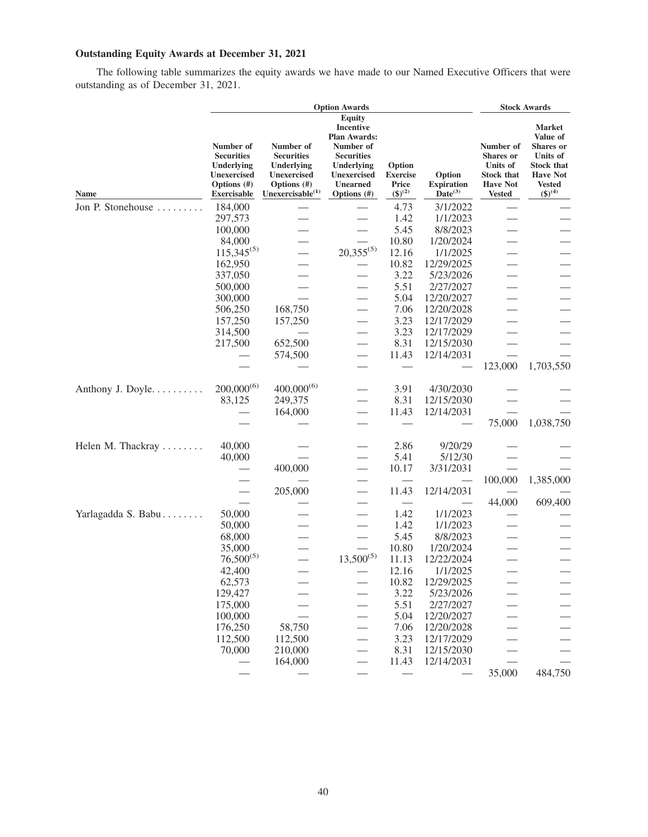# **Outstanding Equity Awards at December 31, 2021**

The following table summarizes the equity awards we have made to our Named Executive Officers that were outstanding as of December 31, 2021.

|                    | <b>Option Awards</b>                                                                                |                                                                                                                |                                                                                                      |                                                      |                                             |                                                                                                    | <b>Stock Awards</b>                                                                                     |  |  |
|--------------------|-----------------------------------------------------------------------------------------------------|----------------------------------------------------------------------------------------------------------------|------------------------------------------------------------------------------------------------------|------------------------------------------------------|---------------------------------------------|----------------------------------------------------------------------------------------------------|---------------------------------------------------------------------------------------------------------|--|--|
|                    |                                                                                                     |                                                                                                                | <b>Equity</b><br><b>Incentive</b><br><b>Plan Awards:</b>                                             |                                                      |                                             |                                                                                                    | <b>Market</b><br>Value of                                                                               |  |  |
| Name               | Number of<br><b>Securities</b><br>Underlying<br>Unexercised<br>Options $(\#)$<br><b>Exercisable</b> | Number of<br><b>Securities</b><br>Underlying<br><b>Unexercised</b><br>Options $(\#)$<br>Unexercisable $^{(1)}$ | Number of<br><b>Securities</b><br>Underlying<br><b>Unexercised</b><br><b>Unearned</b><br>Options (#) | Option<br><b>Exercise</b><br>Price<br>$({\$})^{(2)}$ | Option<br><b>Expiration</b><br>$Date^{(3)}$ | Number of<br><b>Shares or</b><br>Units of<br><b>Stock that</b><br><b>Have Not</b><br><b>Vested</b> | <b>Shares</b> or<br>Units of<br><b>Stock that</b><br><b>Have Not</b><br><b>Vested</b><br>$({\$})^{(4)}$ |  |  |
| Jon P. Stonehouse  | 184,000                                                                                             |                                                                                                                |                                                                                                      | 4.73                                                 | 3/1/2022                                    |                                                                                                    |                                                                                                         |  |  |
|                    | 297,573                                                                                             |                                                                                                                |                                                                                                      | 1.42                                                 | 1/1/2023                                    |                                                                                                    |                                                                                                         |  |  |
|                    | 100,000                                                                                             |                                                                                                                | $\overline{\phantom{0}}$                                                                             | 5.45                                                 | 8/8/2023                                    |                                                                                                    |                                                                                                         |  |  |
|                    | 84,000                                                                                              |                                                                                                                | $\overline{\phantom{0}}$                                                                             | 10.80                                                | 1/20/2024                                   |                                                                                                    |                                                                                                         |  |  |
|                    | $115,345^{(5)}$                                                                                     |                                                                                                                | $20,355^{(5)}$                                                                                       | 12.16                                                | 1/1/2025                                    |                                                                                                    |                                                                                                         |  |  |
|                    | 162,950                                                                                             |                                                                                                                |                                                                                                      | 10.82                                                | 12/29/2025                                  |                                                                                                    |                                                                                                         |  |  |
|                    | 337,050                                                                                             |                                                                                                                |                                                                                                      | 3.22                                                 | 5/23/2026                                   |                                                                                                    |                                                                                                         |  |  |
|                    | 500,000                                                                                             |                                                                                                                |                                                                                                      | 5.51                                                 | 2/27/2027                                   |                                                                                                    |                                                                                                         |  |  |
|                    | 300,000                                                                                             |                                                                                                                |                                                                                                      | 5.04                                                 | 12/20/2027                                  |                                                                                                    |                                                                                                         |  |  |
|                    | 506,250                                                                                             | 168,750                                                                                                        |                                                                                                      | 7.06                                                 | 12/20/2028                                  |                                                                                                    |                                                                                                         |  |  |
|                    | 157,250                                                                                             | 157,250                                                                                                        | $\overline{\phantom{0}}$                                                                             | 3.23                                                 | 12/17/2029                                  |                                                                                                    |                                                                                                         |  |  |
|                    | 314,500                                                                                             |                                                                                                                |                                                                                                      | 3.23                                                 | 12/17/2029                                  |                                                                                                    |                                                                                                         |  |  |
|                    | 217,500                                                                                             | 652,500                                                                                                        |                                                                                                      | 8.31                                                 | 12/15/2030                                  |                                                                                                    |                                                                                                         |  |  |
|                    |                                                                                                     | 574,500                                                                                                        | $\overline{\phantom{0}}$                                                                             | 11.43                                                | 12/14/2031                                  |                                                                                                    |                                                                                                         |  |  |
|                    |                                                                                                     |                                                                                                                |                                                                                                      |                                                      |                                             | 123,000                                                                                            | 1,703,550                                                                                               |  |  |
| Anthony J. Doyle.  | $200,000^{(6)}$                                                                                     | $400,000^{(6)}$                                                                                                |                                                                                                      | 3.91                                                 | 4/30/2030                                   |                                                                                                    |                                                                                                         |  |  |
|                    | 83,125                                                                                              | 249,375                                                                                                        |                                                                                                      | 8.31                                                 | 12/15/2030                                  |                                                                                                    |                                                                                                         |  |  |
|                    |                                                                                                     | 164,000                                                                                                        |                                                                                                      | 11.43                                                | 12/14/2031                                  |                                                                                                    |                                                                                                         |  |  |
|                    |                                                                                                     |                                                                                                                |                                                                                                      |                                                      |                                             | 75,000                                                                                             | 1,038,750                                                                                               |  |  |
| Helen M. Thackray  | 40,000                                                                                              |                                                                                                                |                                                                                                      | 2.86                                                 | 9/20/29                                     |                                                                                                    |                                                                                                         |  |  |
|                    | 40,000                                                                                              |                                                                                                                | $\overline{\phantom{0}}$                                                                             | 5.41                                                 | 5/12/30                                     |                                                                                                    |                                                                                                         |  |  |
|                    |                                                                                                     | 400,000                                                                                                        | $\overline{\phantom{0}}$                                                                             | 10.17                                                | 3/31/2031                                   |                                                                                                    |                                                                                                         |  |  |
|                    |                                                                                                     |                                                                                                                |                                                                                                      |                                                      |                                             | 100,000                                                                                            | 1,385,000                                                                                               |  |  |
|                    |                                                                                                     | 205,000                                                                                                        |                                                                                                      | 11.43                                                | 12/14/2031                                  |                                                                                                    |                                                                                                         |  |  |
|                    |                                                                                                     |                                                                                                                |                                                                                                      |                                                      |                                             | 44,000                                                                                             | 609,400                                                                                                 |  |  |
| Yarlagadda S. Babu | 50,000                                                                                              |                                                                                                                | $\overline{\phantom{0}}$                                                                             | 1.42                                                 | 1/1/2023                                    |                                                                                                    |                                                                                                         |  |  |
|                    | 50,000                                                                                              |                                                                                                                |                                                                                                      | 1.42                                                 | 1/1/2023                                    |                                                                                                    |                                                                                                         |  |  |
|                    | 68,000                                                                                              |                                                                                                                |                                                                                                      | 5.45                                                 | 8/8/2023                                    |                                                                                                    |                                                                                                         |  |  |
|                    | 35,000                                                                                              |                                                                                                                |                                                                                                      | 10.80                                                | 1/20/2024                                   |                                                                                                    |                                                                                                         |  |  |
|                    | $76,500^{(5)}$                                                                                      |                                                                                                                | $13,500^{(5)}$                                                                                       | 11.13                                                | 12/22/2024                                  |                                                                                                    |                                                                                                         |  |  |
|                    | 42,400                                                                                              |                                                                                                                |                                                                                                      | 12.16                                                | 1/1/2025                                    |                                                                                                    |                                                                                                         |  |  |
|                    | 62,573                                                                                              |                                                                                                                |                                                                                                      | 10.82                                                | 12/29/2025                                  |                                                                                                    |                                                                                                         |  |  |
|                    | 129,427                                                                                             |                                                                                                                |                                                                                                      | 3.22                                                 | 5/23/2026                                   |                                                                                                    |                                                                                                         |  |  |
|                    | 175,000                                                                                             |                                                                                                                | $\overline{\phantom{0}}$                                                                             | 5.51                                                 | 2/27/2027                                   |                                                                                                    |                                                                                                         |  |  |
|                    | 100,000                                                                                             |                                                                                                                | $\overline{\phantom{0}}$                                                                             | 5.04                                                 | 12/20/2027                                  |                                                                                                    |                                                                                                         |  |  |
|                    | 176,250                                                                                             | 58,750                                                                                                         |                                                                                                      | 7.06                                                 | 12/20/2028                                  |                                                                                                    |                                                                                                         |  |  |
|                    | 112,500                                                                                             | 112,500                                                                                                        |                                                                                                      | 3.23                                                 | 12/17/2029                                  |                                                                                                    |                                                                                                         |  |  |
|                    | 70,000                                                                                              | 210,000                                                                                                        | $\overline{\phantom{0}}$                                                                             | 8.31                                                 | 12/15/2030                                  |                                                                                                    |                                                                                                         |  |  |
|                    |                                                                                                     | 164,000                                                                                                        | $\overline{\phantom{0}}$                                                                             | 11.43                                                | 12/14/2031                                  |                                                                                                    |                                                                                                         |  |  |
|                    |                                                                                                     |                                                                                                                |                                                                                                      |                                                      |                                             | 35,000                                                                                             | 484,750                                                                                                 |  |  |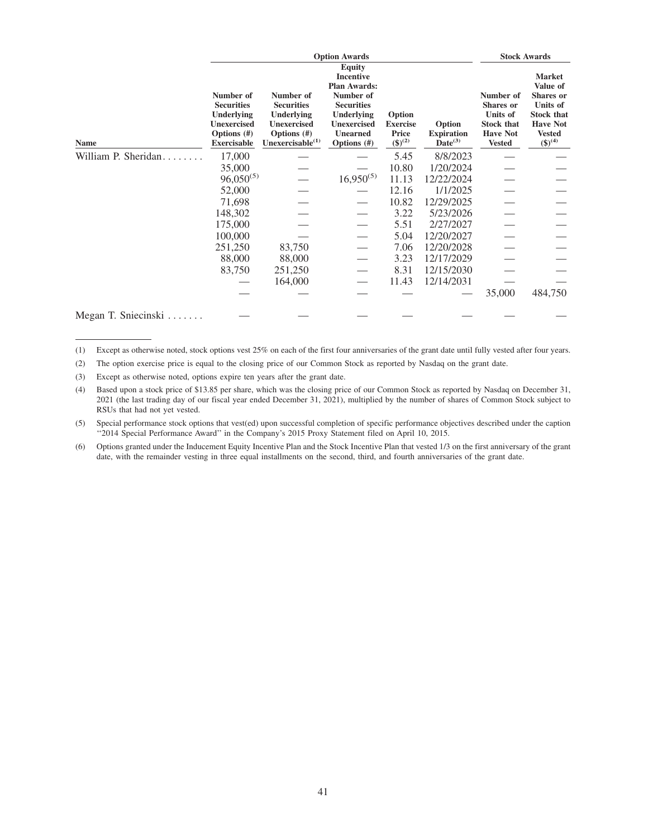|                     |                                                                                                                | <b>Stock Awards</b>                                                                                         |                                                                                                                                                                     |                                                             |                                             |                                                                                                           |                                                                                                                               |
|---------------------|----------------------------------------------------------------------------------------------------------------|-------------------------------------------------------------------------------------------------------------|---------------------------------------------------------------------------------------------------------------------------------------------------------------------|-------------------------------------------------------------|---------------------------------------------|-----------------------------------------------------------------------------------------------------------|-------------------------------------------------------------------------------------------------------------------------------|
| Name                | Number of<br><b>Securities</b><br><b>Underlying</b><br><b>Unexercised</b><br>Options (#)<br><b>Exercisable</b> | Number of<br><b>Securities</b><br>Underlying<br><b>Unexercised</b><br>Options (#)<br>Unexercisable $^{(1)}$ | <b>Equity</b><br><b>Incentive</b><br><b>Plan Awards:</b><br>Number of<br><b>Securities</b><br>Underlying<br><b>Unexercised</b><br><b>Unearned</b><br>Options $(\#)$ | Option<br><b>Exercise</b><br><b>Price</b><br>$({\$})^{(2)}$ | Option<br><b>Expiration</b><br>$Date^{(3)}$ | Number of<br><b>Shares</b> or<br><b>Units of</b><br><b>Stock that</b><br><b>Have Not</b><br><b>Vested</b> | <b>Market</b><br>Value of<br>Shares or<br>Units of<br><b>Stock that</b><br><b>Have Not</b><br><b>Vested</b><br>$({\$})^{(4)}$ |
| William P. Sheridan | 17,000                                                                                                         |                                                                                                             |                                                                                                                                                                     | 5.45                                                        | 8/8/2023                                    |                                                                                                           |                                                                                                                               |
|                     | 35,000                                                                                                         |                                                                                                             |                                                                                                                                                                     | 10.80                                                       | 1/20/2024                                   |                                                                                                           |                                                                                                                               |
|                     | $96,050^{(5)}$                                                                                                 |                                                                                                             | $16,950^{(5)}$                                                                                                                                                      | 11.13                                                       | 12/22/2024                                  |                                                                                                           |                                                                                                                               |
|                     | 52,000                                                                                                         |                                                                                                             |                                                                                                                                                                     | 12.16                                                       | 1/1/2025                                    |                                                                                                           |                                                                                                                               |
|                     | 71,698                                                                                                         |                                                                                                             |                                                                                                                                                                     | 10.82                                                       | 12/29/2025                                  |                                                                                                           |                                                                                                                               |
|                     | 148,302                                                                                                        |                                                                                                             |                                                                                                                                                                     | 3.22                                                        | 5/23/2026                                   |                                                                                                           |                                                                                                                               |
|                     | 175,000                                                                                                        |                                                                                                             |                                                                                                                                                                     | 5.51                                                        | 2/27/2027                                   |                                                                                                           |                                                                                                                               |
|                     | 100,000                                                                                                        |                                                                                                             |                                                                                                                                                                     | 5.04                                                        | 12/20/2027                                  |                                                                                                           |                                                                                                                               |
|                     | 251,250                                                                                                        | 83,750                                                                                                      |                                                                                                                                                                     | 7.06                                                        | 12/20/2028                                  |                                                                                                           |                                                                                                                               |
|                     | 88,000                                                                                                         | 88,000                                                                                                      |                                                                                                                                                                     | 3.23                                                        | 12/17/2029                                  |                                                                                                           |                                                                                                                               |
|                     | 83,750                                                                                                         | 251,250                                                                                                     |                                                                                                                                                                     | 8.31                                                        | 12/15/2030                                  |                                                                                                           |                                                                                                                               |
|                     |                                                                                                                | 164,000                                                                                                     |                                                                                                                                                                     | 11.43                                                       | 12/14/2031                                  |                                                                                                           |                                                                                                                               |
|                     |                                                                                                                |                                                                                                             |                                                                                                                                                                     |                                                             |                                             | 35,000                                                                                                    | 484,750                                                                                                                       |
| Megan T. Sniecinski |                                                                                                                |                                                                                                             |                                                                                                                                                                     |                                                             |                                             |                                                                                                           |                                                                                                                               |

- (1) Except as otherwise noted, stock options vest 25% on each of the first four anniversaries of the grant date until fully vested after four years.
- (2) The option exercise price is equal to the closing price of our Common Stock as reported by Nasdaq on the grant date.

(3) Except as otherwise noted, options expire ten years after the grant date.

(4) Based upon a stock price of \$13.85 per share, which was the closing price of our Common Stock as reported by Nasdaq on December 31, 2021 (the last trading day of our fiscal year ended December 31, 2021), multiplied by the number of shares of Common Stock subject to RSUs that had not yet vested.

(5) Special performance stock options that vest(ed) upon successful completion of specific performance objectives described under the caption "2014 Special Performance Award" in the Company's 2015 Proxy Statement filed on April 10, 2015.

(6) Options granted under the Inducement Equity Incentive Plan and the Stock Incentive Plan that vested 1/3 on the first anniversary of the grant date, with the remainder vesting in three equal installments on the second, third, and fourth anniversaries of the grant date.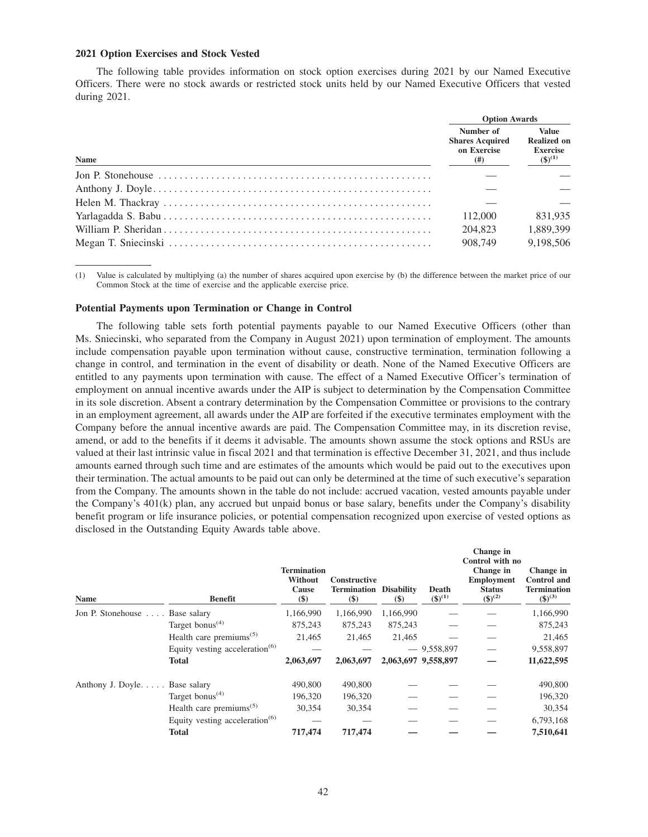#### **2021 Option Exercises and Stock Vested**

The following table provides information on stock option exercises during 2021 by our Named Executive Officers. There were no stock awards or restricted stock units held by our Named Executive Officers that vested during 2021.

|                                                                                                                     | <b>Option Awards</b>                                      |                                                                      |  |  |
|---------------------------------------------------------------------------------------------------------------------|-----------------------------------------------------------|----------------------------------------------------------------------|--|--|
| Name                                                                                                                | Number of<br><b>Shares Acquired</b><br>on Exercise<br>(#) | <b>Value</b><br><b>Realized on</b><br><b>Exercise</b><br>$(5)^{(1)}$ |  |  |
| Jon P. Stonehouse $\dots \dots \dots \dots \dots \dots \dots \dots \dots \dots \dots \dots \dots \dots \dots \dots$ |                                                           |                                                                      |  |  |
|                                                                                                                     |                                                           |                                                                      |  |  |
|                                                                                                                     |                                                           |                                                                      |  |  |
|                                                                                                                     | 112,000                                                   | 831.935                                                              |  |  |
|                                                                                                                     | 204,823                                                   | 1.889.399                                                            |  |  |
|                                                                                                                     | 908,749                                                   | 9,198,506                                                            |  |  |

(1) Value is calculated by multiplying (a) the number of shares acquired upon exercise by (b) the difference between the market price of our Common Stock at the time of exercise and the applicable exercise price.

#### **Potential Payments upon Termination or Change in Control**

The following table sets forth potential payments payable to our Named Executive Officers (other than Ms. Sniecinski, who separated from the Company in August 2021) upon termination of employment. The amounts include compensation payable upon termination without cause, constructive termination, termination following a change in control, and termination in the event of disability or death. None of the Named Executive Officers are entitled to any payments upon termination with cause. The effect of a Named Executive Officer's termination of employment on annual incentive awards under the AIP is subject to determination by the Compensation Committee in its sole discretion. Absent a contrary determination by the Compensation Committee or provisions to the contrary in an employment agreement, all awards under the AIP are forfeited if the executive terminates employment with the Company before the annual incentive awards are paid. The Compensation Committee may, in its discretion revise, amend, or add to the benefits if it deems it advisable. The amounts shown assume the stock options and RSUs are valued at their last intrinsic value in fiscal 2021 and that termination is effective December 31, 2021, and thus include amounts earned through such time and are estimates of the amounts which would be paid out to the executives upon their termination. The actual amounts to be paid out can only be determined at the time of such executive's separation from the Company. The amounts shown in the table do not include: accrued vacation, vested amounts payable under the Company's 401(k) plan, any accrued but unpaid bonus or base salary, benefits under the Company's disability benefit program or life insurance policies, or potential compensation recognized upon exercise of vested options as disclosed in the Outstanding Equity Awards table above.

| Name                           | <b>Benefit</b>                                   | <b>Termination</b><br>Without<br>Cause<br>$($)$ | Constructive<br><b>Termination Disability</b><br>$($ \$) | $\left( \mathsf{S} \right)$ | Death<br>$({\$})^{(1)}$ | Change in<br>Control with no<br>Change in<br><b>Employment</b><br><b>Status</b><br>$({\$})^{(2)}$ | Change in<br><b>Control</b> and<br><b>Termination</b><br>$({\bf 8})^{(3)}$ |
|--------------------------------|--------------------------------------------------|-------------------------------------------------|----------------------------------------------------------|-----------------------------|-------------------------|---------------------------------------------------------------------------------------------------|----------------------------------------------------------------------------|
| Jon P. Stonehouse  Base salary |                                                  | 1,166,990                                       | 1,166,990                                                | 1,166,990                   |                         |                                                                                                   | 1,166,990                                                                  |
|                                | Target bonus <sup><math>(4)</math></sup>         | 875,243                                         | 875,243                                                  | 875,243                     |                         |                                                                                                   | 875,243                                                                    |
|                                | Health care premiums <sup><math>(5)</math></sup> | 21.465                                          | 21.465                                                   | 21.465                      |                         |                                                                                                   | 21,465                                                                     |
|                                | Equity vesting acceleration $(6)$                |                                                 |                                                          |                             | $-9,558,897$            |                                                                                                   | 9,558,897                                                                  |
|                                | <b>Total</b>                                     | 2,063,697                                       | 2,063,697                                                |                             | 2,063,697 9,558,897     |                                                                                                   | 11,622,595                                                                 |
| Anthony J. Doyle Base salary   |                                                  | 490,800                                         | 490,800                                                  |                             |                         |                                                                                                   | 490,800                                                                    |
|                                | Target bonus <sup><math>(4)</math></sup>         | 196,320                                         | 196,320                                                  |                             |                         |                                                                                                   | 196,320                                                                    |
|                                | Health care premiums <sup><math>(5)</math></sup> | 30,354                                          | 30,354                                                   |                             |                         |                                                                                                   | 30,354                                                                     |
|                                | Equity vesting acceleration $(6)$                |                                                 |                                                          |                             |                         |                                                                                                   | 6,793,168                                                                  |
|                                | <b>Total</b>                                     | 717,474                                         | 717,474                                                  |                             |                         |                                                                                                   | 7,510,641                                                                  |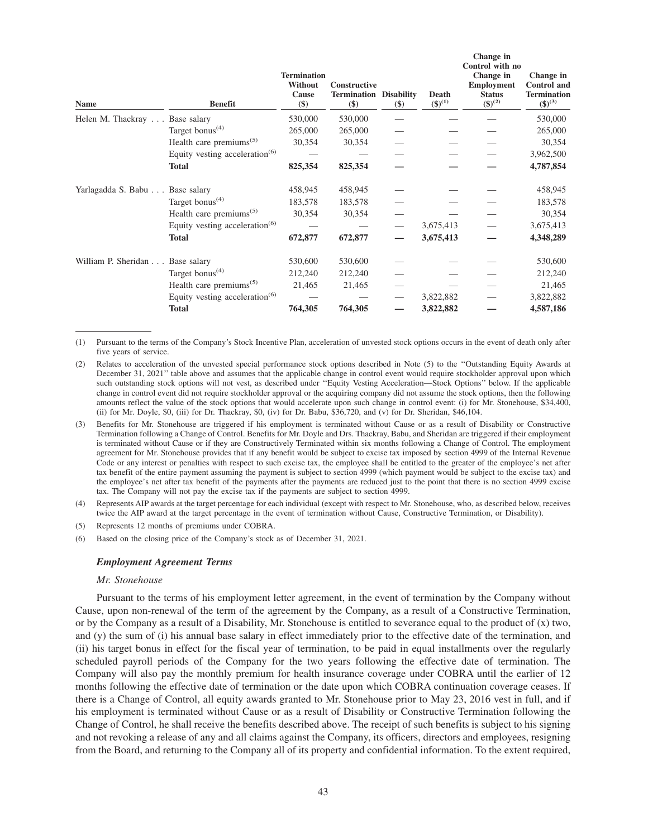| <b>Name</b>                     | <b>Benefit</b>                                   | <b>Termination</b><br><b>Without</b><br>Cause<br>$($)$ | <b>Constructive</b><br><b>Termination Disability</b><br>$($)$ | \$) | Death<br>$(\$)^{(1)}$ | Change in<br>Control with no<br>Change in<br><b>Employment</b><br><b>Status</b><br>$({\$})^{(2)}$ | Change in<br><b>Control</b> and<br><b>Termination</b><br>$(\$)^{(3)}$ |
|---------------------------------|--------------------------------------------------|--------------------------------------------------------|---------------------------------------------------------------|-----|-----------------------|---------------------------------------------------------------------------------------------------|-----------------------------------------------------------------------|
| Helen M. Thackray               | Base salary                                      | 530,000                                                | 530,000                                                       |     |                       |                                                                                                   | 530,000                                                               |
|                                 | Target bonus <sup><math>(4)</math></sup>         | 265,000                                                | 265,000                                                       |     |                       |                                                                                                   | 265,000                                                               |
|                                 | Health care premiums <sup><math>(5)</math></sup> | 30,354                                                 | 30,354                                                        |     |                       |                                                                                                   | 30,354                                                                |
|                                 | Equity vesting acceleration <sup>(6)</sup>       |                                                        |                                                               |     |                       |                                                                                                   | 3,962,500                                                             |
|                                 | <b>Total</b>                                     | 825,354                                                | 825,354                                                       |     |                       |                                                                                                   | 4,787,854                                                             |
| Yarlagadda S. Babu Base salary  |                                                  | 458,945                                                | 458,945                                                       |     |                       |                                                                                                   | 458,945                                                               |
|                                 | Target bonus <sup><math>(4)</math></sup>         | 183,578                                                | 183,578                                                       |     |                       |                                                                                                   | 183,578                                                               |
|                                 | Health care premiums <sup><math>(5)</math></sup> | 30,354                                                 | 30,354                                                        |     |                       |                                                                                                   | 30,354                                                                |
|                                 | Equity vesting acceleration $(6)$                |                                                        |                                                               |     | 3,675,413             |                                                                                                   | 3,675,413                                                             |
|                                 | <b>Total</b>                                     | 672,877                                                | 672,877                                                       |     | 3,675,413             |                                                                                                   | 4,348,289                                                             |
| William P. Sheridan Base salary |                                                  | 530,600                                                | 530,600                                                       |     |                       |                                                                                                   | 530,600                                                               |
|                                 | Target bonus <sup>(4)</sup>                      | 212,240                                                | 212,240                                                       |     |                       |                                                                                                   | 212,240                                                               |
|                                 | Health care premiums <sup><math>(5)</math></sup> | 21,465                                                 | 21,465                                                        |     |                       |                                                                                                   | 21,465                                                                |
|                                 | Equity vesting acceleration $(6)$                |                                                        |                                                               |     | 3,822,882             |                                                                                                   | 3,822,882                                                             |
|                                 | <b>Total</b>                                     | 764,305                                                | 764,305                                                       |     | 3,822,882             |                                                                                                   | 4,587,186                                                             |

(1) Pursuant to the terms of the Company's Stock Incentive Plan, acceleration of unvested stock options occurs in the event of death only after five years of service.

- (2) Relates to acceleration of the unvested special performance stock options described in Note (5) to the ''Outstanding Equity Awards at December 31, 2021'' table above and assumes that the applicable change in control event would require stockholder approval upon which such outstanding stock options will not vest, as described under ''Equity Vesting Acceleration—Stock Options'' below. If the applicable change in control event did not require stockholder approval or the acquiring company did not assume the stock options, then the following amounts reflect the value of the stock options that would accelerate upon such change in control event: (i) for Mr. Stonehouse, \$34,400, (ii) for Mr. Doyle, \$0, (iii) for Dr. Thackray, \$0, (iv) for Dr. Babu, \$36,720, and (v) for Dr. Sheridan, \$46,104.
- (3) Benefits for Mr. Stonehouse are triggered if his employment is terminated without Cause or as a result of Disability or Constructive Termination following a Change of Control. Benefits for Mr. Doyle and Drs. Thackray, Babu, and Sheridan are triggered if their employment is terminated without Cause or if they are Constructively Terminated within six months following a Change of Control. The employment agreement for Mr. Stonehouse provides that if any benefit would be subject to excise tax imposed by section 4999 of the Internal Revenue Code or any interest or penalties with respect to such excise tax, the employee shall be entitled to the greater of the employee's net after tax benefit of the entire payment assuming the payment is subject to section 4999 (which payment would be subject to the excise tax) and the employee's net after tax benefit of the payments after the payments are reduced just to the point that there is no section 4999 excise tax. The Company will not pay the excise tax if the payments are subject to section 4999.

(4) Represents AIP awards at the target percentage for each individual (except with respect to Mr. Stonehouse, who, as described below, receives twice the AIP award at the target percentage in the event of termination without Cause, Constructive Termination, or Disability).

(5) Represents 12 months of premiums under COBRA.

(6) Based on the closing price of the Company's stock as of December 31, 2021.

#### *Employment Agreement Terms*

#### *Mr. Stonehouse*

Pursuant to the terms of his employment letter agreement, in the event of termination by the Company without Cause, upon non-renewal of the term of the agreement by the Company, as a result of a Constructive Termination, or by the Company as a result of a Disability, Mr. Stonehouse is entitled to severance equal to the product of  $(x)$  two, and (y) the sum of (i) his annual base salary in effect immediately prior to the effective date of the termination, and (ii) his target bonus in effect for the fiscal year of termination, to be paid in equal installments over the regularly scheduled payroll periods of the Company for the two years following the effective date of termination. The Company will also pay the monthly premium for health insurance coverage under COBRA until the earlier of 12 months following the effective date of termination or the date upon which COBRA continuation coverage ceases. If there is a Change of Control, all equity awards granted to Mr. Stonehouse prior to May 23, 2016 vest in full, and if his employment is terminated without Cause or as a result of Disability or Constructive Termination following the Change of Control, he shall receive the benefits described above. The receipt of such benefits is subject to his signing and not revoking a release of any and all claims against the Company, its officers, directors and employees, resigning from the Board, and returning to the Company all of its property and confidential information. To the extent required,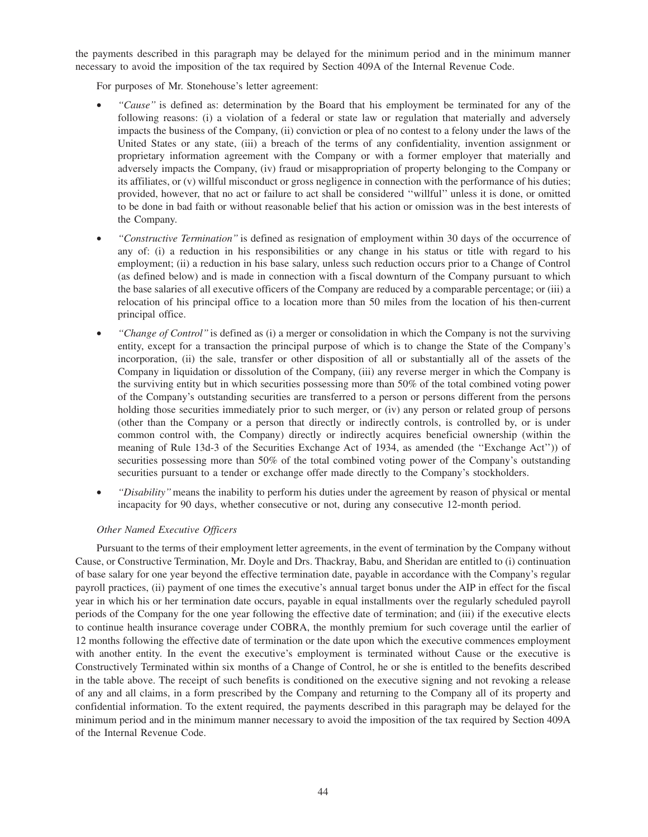the payments described in this paragraph may be delayed for the minimum period and in the minimum manner necessary to avoid the imposition of the tax required by Section 409A of the Internal Revenue Code.

For purposes of Mr. Stonehouse's letter agreement:

- *''Cause''* is defined as: determination by the Board that his employment be terminated for any of the following reasons: (i) a violation of a federal or state law or regulation that materially and adversely impacts the business of the Company, (ii) conviction or plea of no contest to a felony under the laws of the United States or any state, (iii) a breach of the terms of any confidentiality, invention assignment or proprietary information agreement with the Company or with a former employer that materially and adversely impacts the Company, (iv) fraud or misappropriation of property belonging to the Company or its affiliates, or (v) willful misconduct or gross negligence in connection with the performance of his duties; provided, however, that no act or failure to act shall be considered ''willful'' unless it is done, or omitted to be done in bad faith or without reasonable belief that his action or omission was in the best interests of the Company.
- *''Constructive Termination''* is defined as resignation of employment within 30 days of the occurrence of any of: (i) a reduction in his responsibilities or any change in his status or title with regard to his employment; (ii) a reduction in his base salary, unless such reduction occurs prior to a Change of Control (as defined below) and is made in connection with a fiscal downturn of the Company pursuant to which the base salaries of all executive officers of the Company are reduced by a comparable percentage; or (iii) a relocation of his principal office to a location more than 50 miles from the location of his then-current principal office.
- *''Change of Control''*is defined as (i) a merger or consolidation in which the Company is not the surviving entity, except for a transaction the principal purpose of which is to change the State of the Company's incorporation, (ii) the sale, transfer or other disposition of all or substantially all of the assets of the Company in liquidation or dissolution of the Company, (iii) any reverse merger in which the Company is the surviving entity but in which securities possessing more than 50% of the total combined voting power of the Company's outstanding securities are transferred to a person or persons different from the persons holding those securities immediately prior to such merger, or (iv) any person or related group of persons (other than the Company or a person that directly or indirectly controls, is controlled by, or is under common control with, the Company) directly or indirectly acquires beneficial ownership (within the meaning of Rule 13d-3 of the Securities Exchange Act of 1934, as amended (the ''Exchange Act'')) of securities possessing more than 50% of the total combined voting power of the Company's outstanding securities pursuant to a tender or exchange offer made directly to the Company's stockholders.
- *''Disability''*means the inability to perform his duties under the agreement by reason of physical or mental incapacity for 90 days, whether consecutive or not, during any consecutive 12-month period.

# *Other Named Executive Officers*

Pursuant to the terms of their employment letter agreements, in the event of termination by the Company without Cause, or Constructive Termination, Mr. Doyle and Drs. Thackray, Babu, and Sheridan are entitled to (i) continuation of base salary for one year beyond the effective termination date, payable in accordance with the Company's regular payroll practices, (ii) payment of one times the executive's annual target bonus under the AIP in effect for the fiscal year in which his or her termination date occurs, payable in equal installments over the regularly scheduled payroll periods of the Company for the one year following the effective date of termination; and (iii) if the executive elects to continue health insurance coverage under COBRA, the monthly premium for such coverage until the earlier of 12 months following the effective date of termination or the date upon which the executive commences employment with another entity. In the event the executive's employment is terminated without Cause or the executive is Constructively Terminated within six months of a Change of Control, he or she is entitled to the benefits described in the table above. The receipt of such benefits is conditioned on the executive signing and not revoking a release of any and all claims, in a form prescribed by the Company and returning to the Company all of its property and confidential information. To the extent required, the payments described in this paragraph may be delayed for the minimum period and in the minimum manner necessary to avoid the imposition of the tax required by Section 409A of the Internal Revenue Code.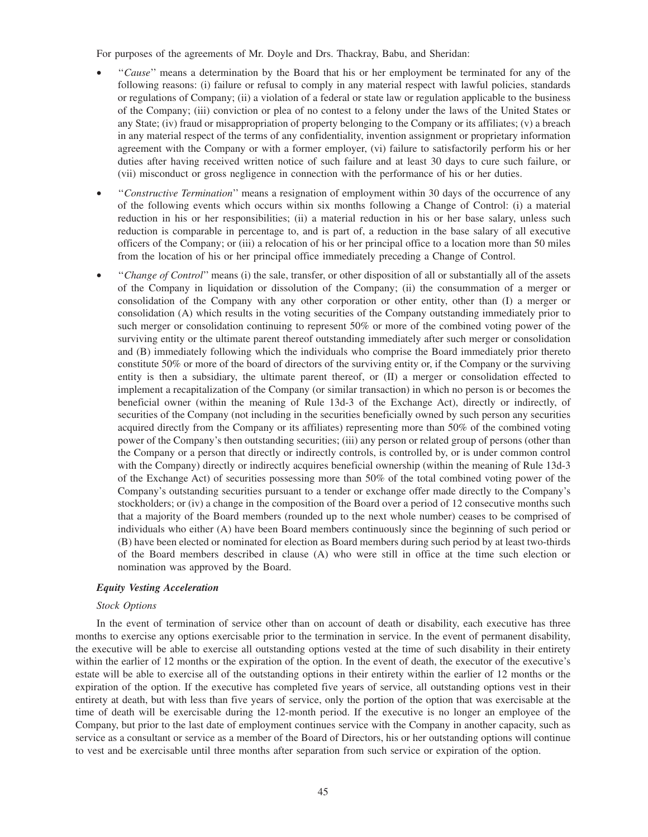For purposes of the agreements of Mr. Doyle and Drs. Thackray, Babu, and Sheridan:

- ''*Cause*'' means a determination by the Board that his or her employment be terminated for any of the following reasons: (i) failure or refusal to comply in any material respect with lawful policies, standards or regulations of Company; (ii) a violation of a federal or state law or regulation applicable to the business of the Company; (iii) conviction or plea of no contest to a felony under the laws of the United States or any State; (iv) fraud or misappropriation of property belonging to the Company or its affiliates; (v) a breach in any material respect of the terms of any confidentiality, invention assignment or proprietary information agreement with the Company or with a former employer, (vi) failure to satisfactorily perform his or her duties after having received written notice of such failure and at least 30 days to cure such failure, or (vii) misconduct or gross negligence in connection with the performance of his or her duties.
- ''*Constructive Termination*'' means a resignation of employment within 30 days of the occurrence of any of the following events which occurs within six months following a Change of Control: (i) a material reduction in his or her responsibilities; (ii) a material reduction in his or her base salary, unless such reduction is comparable in percentage to, and is part of, a reduction in the base salary of all executive officers of the Company; or (iii) a relocation of his or her principal office to a location more than 50 miles from the location of his or her principal office immediately preceding a Change of Control.
- ''*Change of Control*'' means (i) the sale, transfer, or other disposition of all or substantially all of the assets of the Company in liquidation or dissolution of the Company; (ii) the consummation of a merger or consolidation of the Company with any other corporation or other entity, other than (I) a merger or consolidation (A) which results in the voting securities of the Company outstanding immediately prior to such merger or consolidation continuing to represent 50% or more of the combined voting power of the surviving entity or the ultimate parent thereof outstanding immediately after such merger or consolidation and (B) immediately following which the individuals who comprise the Board immediately prior thereto constitute 50% or more of the board of directors of the surviving entity or, if the Company or the surviving entity is then a subsidiary, the ultimate parent thereof, or (II) a merger or consolidation effected to implement a recapitalization of the Company (or similar transaction) in which no person is or becomes the beneficial owner (within the meaning of Rule 13d-3 of the Exchange Act), directly or indirectly, of securities of the Company (not including in the securities beneficially owned by such person any securities acquired directly from the Company or its affiliates) representing more than 50% of the combined voting power of the Company's then outstanding securities; (iii) any person or related group of persons (other than the Company or a person that directly or indirectly controls, is controlled by, or is under common control with the Company) directly or indirectly acquires beneficial ownership (within the meaning of Rule 13d-3 of the Exchange Act) of securities possessing more than 50% of the total combined voting power of the Company's outstanding securities pursuant to a tender or exchange offer made directly to the Company's stockholders; or (iv) a change in the composition of the Board over a period of 12 consecutive months such that a majority of the Board members (rounded up to the next whole number) ceases to be comprised of individuals who either (A) have been Board members continuously since the beginning of such period or (B) have been elected or nominated for election as Board members during such period by at least two-thirds of the Board members described in clause (A) who were still in office at the time such election or nomination was approved by the Board.

## *Equity Vesting Acceleration*

#### *Stock Options*

In the event of termination of service other than on account of death or disability, each executive has three months to exercise any options exercisable prior to the termination in service. In the event of permanent disability, the executive will be able to exercise all outstanding options vested at the time of such disability in their entirety within the earlier of 12 months or the expiration of the option. In the event of death, the executor of the executive's estate will be able to exercise all of the outstanding options in their entirety within the earlier of 12 months or the expiration of the option. If the executive has completed five years of service, all outstanding options vest in their entirety at death, but with less than five years of service, only the portion of the option that was exercisable at the time of death will be exercisable during the 12-month period. If the executive is no longer an employee of the Company, but prior to the last date of employment continues service with the Company in another capacity, such as service as a consultant or service as a member of the Board of Directors, his or her outstanding options will continue to vest and be exercisable until three months after separation from such service or expiration of the option.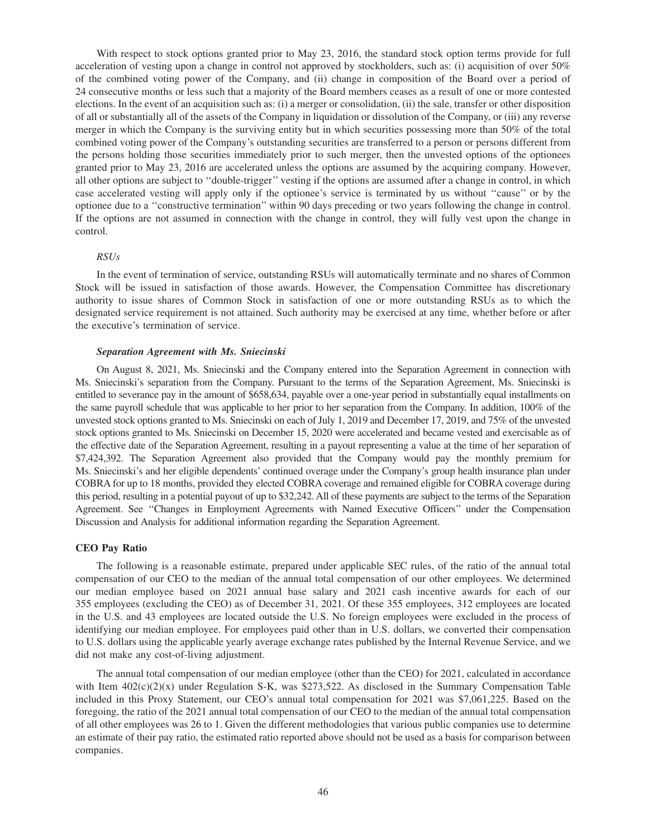With respect to stock options granted prior to May 23, 2016, the standard stock option terms provide for full acceleration of vesting upon a change in control not approved by stockholders, such as: (i) acquisition of over 50% of the combined voting power of the Company, and (ii) change in composition of the Board over a period of 24 consecutive months or less such that a majority of the Board members ceases as a result of one or more contested elections. In the event of an acquisition such as: (i) a merger or consolidation, (ii) the sale, transfer or other disposition of all or substantially all of the assets of the Company in liquidation or dissolution of the Company, or (iii) any reverse merger in which the Company is the surviving entity but in which securities possessing more than 50% of the total combined voting power of the Company's outstanding securities are transferred to a person or persons different from the persons holding those securities immediately prior to such merger, then the unvested options of the optionees granted prior to May 23, 2016 are accelerated unless the options are assumed by the acquiring company. However, all other options are subject to ''double-trigger'' vesting if the options are assumed after a change in control, in which case accelerated vesting will apply only if the optionee's service is terminated by us without ''cause'' or by the optionee due to a ''constructive termination'' within 90 days preceding or two years following the change in control. If the options are not assumed in connection with the change in control, they will fully vest upon the change in control.

#### *RSUs*

In the event of termination of service, outstanding RSUs will automatically terminate and no shares of Common Stock will be issued in satisfaction of those awards. However, the Compensation Committee has discretionary authority to issue shares of Common Stock in satisfaction of one or more outstanding RSUs as to which the designated service requirement is not attained. Such authority may be exercised at any time, whether before or after the executive's termination of service.

#### *Separation Agreement with Ms. Sniecinski*

On August 8, 2021, Ms. Sniecinski and the Company entered into the Separation Agreement in connection with Ms. Sniecinski's separation from the Company. Pursuant to the terms of the Separation Agreement, Ms. Sniecinski is entitled to severance pay in the amount of \$658,634, payable over a one-year period in substantially equal installments on the same payroll schedule that was applicable to her prior to her separation from the Company. In addition, 100% of the unvested stock options granted to Ms. Sniecinski on each of July 1, 2019 and December 17, 2019, and 75% of the unvested stock options granted to Ms. Sniecinski on December 15, 2020 were accelerated and became vested and exercisable as of the effective date of the Separation Agreement, resulting in a payout representing a value at the time of her separation of \$7,424,392. The Separation Agreement also provided that the Company would pay the monthly premium for Ms. Sniecinski's and her eligible dependents' continued overage under the Company's group health insurance plan under COBRA for up to 18 months, provided they elected COBRA coverage and remained eligible for COBRA coverage during this period, resulting in a potential payout of up to \$32,242. All of these payments are subject to the terms of the Separation Agreement. See ''Changes in Employment Agreements with Named Executive Officers'' under the Compensation Discussion and Analysis for additional information regarding the Separation Agreement.

#### **CEO Pay Ratio**

The following is a reasonable estimate, prepared under applicable SEC rules, of the ratio of the annual total compensation of our CEO to the median of the annual total compensation of our other employees. We determined our median employee based on 2021 annual base salary and 2021 cash incentive awards for each of our 355 employees (excluding the CEO) as of December 31, 2021. Of these 355 employees, 312 employees are located in the U.S. and 43 employees are located outside the U.S. No foreign employees were excluded in the process of identifying our median employee. For employees paid other than in U.S. dollars, we converted their compensation to U.S. dollars using the applicable yearly average exchange rates published by the Internal Revenue Service, and we did not make any cost-of-living adjustment.

The annual total compensation of our median employee (other than the CEO) for 2021, calculated in accordance with Item  $402(c)(2)(x)$  under Regulation S-K, was \$273,522. As disclosed in the Summary Compensation Table included in this Proxy Statement, our CEO's annual total compensation for 2021 was \$7,061,225. Based on the foregoing, the ratio of the 2021 annual total compensation of our CEO to the median of the annual total compensation of all other employees was 26 to 1. Given the different methodologies that various public companies use to determine an estimate of their pay ratio, the estimated ratio reported above should not be used as a basis for comparison between companies.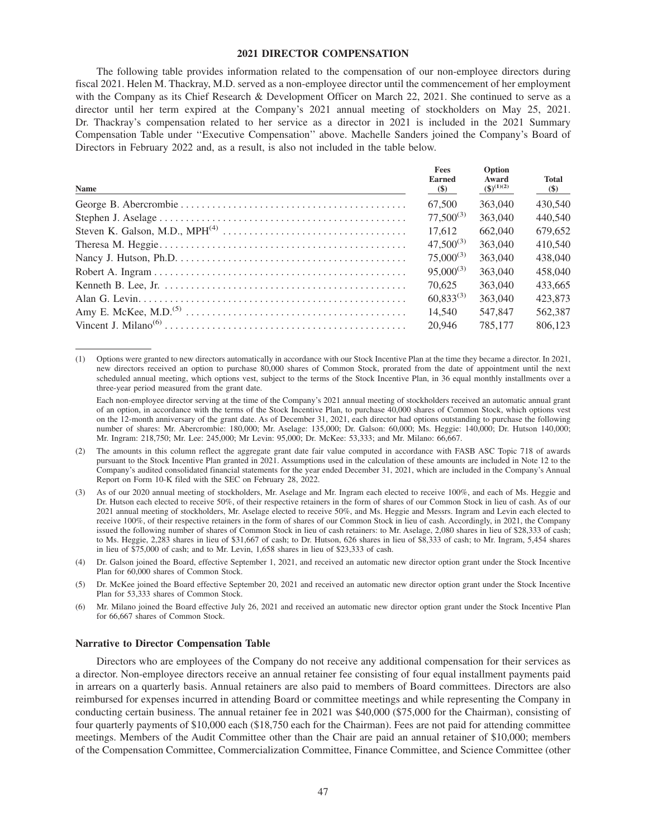## **2021 DIRECTOR COMPENSATION**

The following table provides information related to the compensation of our non-employee directors during fiscal 2021. Helen M. Thackray, M.D. served as a non-employee director until the commencement of her employment with the Company as its Chief Research & Development Officer on March 22, 2021. She continued to serve as a director until her term expired at the Company's 2021 annual meeting of stockholders on May 25, 2021. Dr. Thackray's compensation related to her service as a director in 2021 is included in the 2021 Summary Compensation Table under ''Executive Compensation'' above. Machelle Sanders joined the Company's Board of Directors in February 2022 and, as a result, is also not included in the table below.

| <b>Name</b> | <b>Fees</b><br><b>Earned</b><br>$(\$)$ | Option<br>Award<br>$(3)^{(1)(2)}$ | <b>Total</b><br>$(\$)$ |
|-------------|----------------------------------------|-----------------------------------|------------------------|
|             | 67.500                                 | 363,040                           | 430,540                |
|             | $77,500^{(3)}$                         | 363,040                           | 440,540                |
|             | 17.612                                 | 662,040                           | 679,652                |
|             | $47.500^{(3)}$                         | 363,040                           | 410,540                |
|             | $75,000^{(3)}$                         | 363,040                           | 438,040                |
|             | $95,000^{(3)}$                         | 363,040                           | 458,040                |
|             | 70.625                                 | 363,040                           | 433,665                |
|             | $60.833^{(3)}$                         | 363,040                           | 423,873                |
|             | 14.540                                 | 547,847                           | 562,387                |
|             | 20.946                                 | 785,177                           | 806.123                |

(1) Options were granted to new directors automatically in accordance with our Stock Incentive Plan at the time they became a director. In 2021, new directors received an option to purchase 80,000 shares of Common Stock, prorated from the date of appointment until the next scheduled annual meeting, which options vest, subject to the terms of the Stock Incentive Plan, in 36 equal monthly installments over a three-year period measured from the grant date.

Each non-employee director serving at the time of the Company's 2021 annual meeting of stockholders received an automatic annual grant of an option, in accordance with the terms of the Stock Incentive Plan, to purchase 40,000 shares of Common Stock, which options vest on the 12-month anniversary of the grant date. As of December 31, 2021, each director had options outstanding to purchase the following number of shares: Mr. Abercrombie: 180,000; Mr. Aselage: 135,000; Dr. Galson: 60,000; Ms. Heggie: 140,000; Dr. Hutson 140,000; Mr. Ingram: 218,750; Mr. Lee: 245,000; Mr Levin: 95,000; Dr. McKee: 53,333; and Mr. Milano: 66,667.

- (2) The amounts in this column reflect the aggregate grant date fair value computed in accordance with FASB ASC Topic 718 of awards pursuant to the Stock Incentive Plan granted in 2021. Assumptions used in the calculation of these amounts are included in Note 12 to the Company's audited consolidated financial statements for the year ended December 31, 2021, which are included in the Company's Annual Report on Form 10-K filed with the SEC on February 28, 2022.
- (3) As of our 2020 annual meeting of stockholders, Mr. Aselage and Mr. Ingram each elected to receive 100%, and each of Ms. Heggie and Dr. Hutson each elected to receive 50%, of their respective retainers in the form of shares of our Common Stock in lieu of cash. As of our 2021 annual meeting of stockholders, Mr. Aselage elected to receive 50%, and Ms. Heggie and Messrs. Ingram and Levin each elected to receive 100%, of their respective retainers in the form of shares of our Common Stock in lieu of cash. Accordingly, in 2021, the Company issued the following number of shares of Common Stock in lieu of cash retainers: to Mr. Aselage, 2,080 shares in lieu of \$28,333 of cash; to Ms. Heggie, 2,283 shares in lieu of \$31,667 of cash; to Dr. Hutson, 626 shares in lieu of \$8,333 of cash; to Mr. Ingram, 5,454 shares in lieu of \$75,000 of cash; and to Mr. Levin, 1,658 shares in lieu of \$23,333 of cash.
- (4) Dr. Galson joined the Board, effective September 1, 2021, and received an automatic new director option grant under the Stock Incentive Plan for 60,000 shares of Common Stock.
- (5) Dr. McKee joined the Board effective September 20, 2021 and received an automatic new director option grant under the Stock Incentive Plan for 53,333 shares of Common Stock.
- (6) Mr. Milano joined the Board effective July 26, 2021 and received an automatic new director option grant under the Stock Incentive Plan for 66,667 shares of Common Stock.

#### **Narrative to Director Compensation Table**

Directors who are employees of the Company do not receive any additional compensation for their services as a director. Non-employee directors receive an annual retainer fee consisting of four equal installment payments paid in arrears on a quarterly basis. Annual retainers are also paid to members of Board committees. Directors are also reimbursed for expenses incurred in attending Board or committee meetings and while representing the Company in conducting certain business. The annual retainer fee in 2021 was \$40,000 (\$75,000 for the Chairman), consisting of four quarterly payments of \$10,000 each (\$18,750 each for the Chairman). Fees are not paid for attending committee meetings. Members of the Audit Committee other than the Chair are paid an annual retainer of \$10,000; members of the Compensation Committee, Commercialization Committee, Finance Committee, and Science Committee (other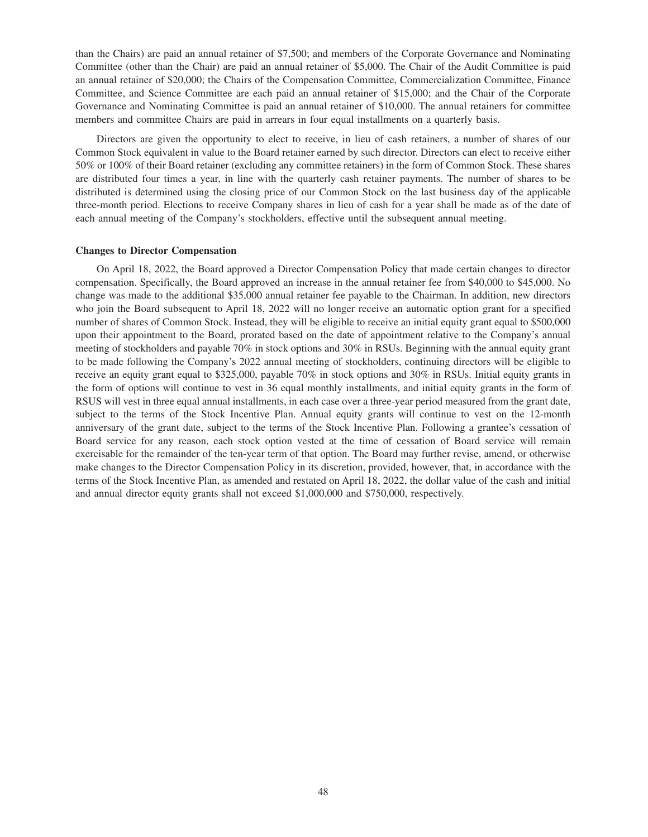than the Chairs) are paid an annual retainer of \$7,500; and members of the Corporate Governance and Nominating Committee (other than the Chair) are paid an annual retainer of \$5,000. The Chair of the Audit Committee is paid an annual retainer of \$20,000; the Chairs of the Compensation Committee, Commercialization Committee, Finance Committee, and Science Committee are each paid an annual retainer of \$15,000; and the Chair of the Corporate Governance and Nominating Committee is paid an annual retainer of \$10,000. The annual retainers for committee members and committee Chairs are paid in arrears in four equal installments on a quarterly basis.

Directors are given the opportunity to elect to receive, in lieu of cash retainers, a number of shares of our Common Stock equivalent in value to the Board retainer earned by such director. Directors can elect to receive either 50% or 100% of their Board retainer (excluding any committee retainers) in the form of Common Stock. These shares are distributed four times a year, in line with the quarterly cash retainer payments. The number of shares to be distributed is determined using the closing price of our Common Stock on the last business day of the applicable three-month period. Elections to receive Company shares in lieu of cash for a year shall be made as of the date of each annual meeting of the Company's stockholders, effective until the subsequent annual meeting.

#### **Changes to Director Compensation**

On April 18, 2022, the Board approved a Director Compensation Policy that made certain changes to director compensation. Specifically, the Board approved an increase in the annual retainer fee from \$40,000 to \$45,000. No change was made to the additional \$35,000 annual retainer fee payable to the Chairman. In addition, new directors who join the Board subsequent to April 18, 2022 will no longer receive an automatic option grant for a specified number of shares of Common Stock. Instead, they will be eligible to receive an initial equity grant equal to \$500,000 upon their appointment to the Board, prorated based on the date of appointment relative to the Company's annual meeting of stockholders and payable 70% in stock options and 30% in RSUs. Beginning with the annual equity grant to be made following the Company's 2022 annual meeting of stockholders, continuing directors will be eligible to receive an equity grant equal to \$325,000, payable 70% in stock options and 30% in RSUs. Initial equity grants in the form of options will continue to vest in 36 equal monthly installments, and initial equity grants in the form of RSUS will vest in three equal annual installments, in each case over a three-year period measured from the grant date, subject to the terms of the Stock Incentive Plan. Annual equity grants will continue to vest on the 12-month anniversary of the grant date, subject to the terms of the Stock Incentive Plan. Following a grantee's cessation of Board service for any reason, each stock option vested at the time of cessation of Board service will remain exercisable for the remainder of the ten-year term of that option. The Board may further revise, amend, or otherwise make changes to the Director Compensation Policy in its discretion, provided, however, that, in accordance with the terms of the Stock Incentive Plan, as amended and restated on April 18, 2022, the dollar value of the cash and initial and annual director equity grants shall not exceed \$1,000,000 and \$750,000, respectively.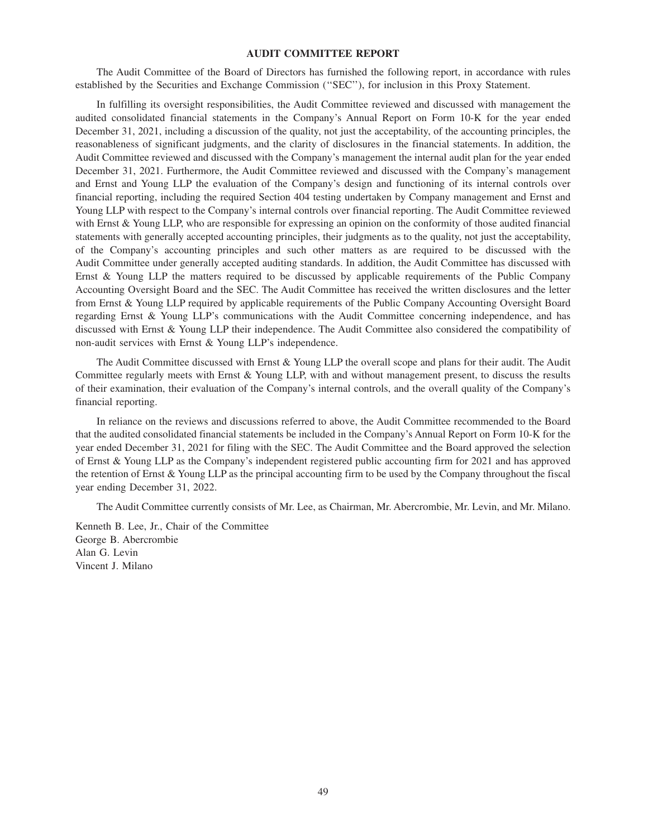## **AUDIT COMMITTEE REPORT**

The Audit Committee of the Board of Directors has furnished the following report, in accordance with rules established by the Securities and Exchange Commission (''SEC''), for inclusion in this Proxy Statement.

In fulfilling its oversight responsibilities, the Audit Committee reviewed and discussed with management the audited consolidated financial statements in the Company's Annual Report on Form 10-K for the year ended December 31, 2021, including a discussion of the quality, not just the acceptability, of the accounting principles, the reasonableness of significant judgments, and the clarity of disclosures in the financial statements. In addition, the Audit Committee reviewed and discussed with the Company's management the internal audit plan for the year ended December 31, 2021. Furthermore, the Audit Committee reviewed and discussed with the Company's management and Ernst and Young LLP the evaluation of the Company's design and functioning of its internal controls over financial reporting, including the required Section 404 testing undertaken by Company management and Ernst and Young LLP with respect to the Company's internal controls over financial reporting. The Audit Committee reviewed with Ernst & Young LLP, who are responsible for expressing an opinion on the conformity of those audited financial statements with generally accepted accounting principles, their judgments as to the quality, not just the acceptability, of the Company's accounting principles and such other matters as are required to be discussed with the Audit Committee under generally accepted auditing standards. In addition, the Audit Committee has discussed with Ernst & Young LLP the matters required to be discussed by applicable requirements of the Public Company Accounting Oversight Board and the SEC. The Audit Committee has received the written disclosures and the letter from Ernst & Young LLP required by applicable requirements of the Public Company Accounting Oversight Board regarding Ernst & Young LLP's communications with the Audit Committee concerning independence, and has discussed with Ernst & Young LLP their independence. The Audit Committee also considered the compatibility of non-audit services with Ernst & Young LLP's independence.

The Audit Committee discussed with Ernst & Young LLP the overall scope and plans for their audit. The Audit Committee regularly meets with Ernst & Young LLP, with and without management present, to discuss the results of their examination, their evaluation of the Company's internal controls, and the overall quality of the Company's financial reporting.

In reliance on the reviews and discussions referred to above, the Audit Committee recommended to the Board that the audited consolidated financial statements be included in the Company's Annual Report on Form 10-K for the year ended December 31, 2021 for filing with the SEC. The Audit Committee and the Board approved the selection of Ernst & Young LLP as the Company's independent registered public accounting firm for 2021 and has approved the retention of Ernst & Young LLP as the principal accounting firm to be used by the Company throughout the fiscal year ending December 31, 2022.

The Audit Committee currently consists of Mr. Lee, as Chairman, Mr. Abercrombie, Mr. Levin, and Mr. Milano.

Kenneth B. Lee, Jr., Chair of the Committee George B. Abercrombie Alan G. Levin Vincent J. Milano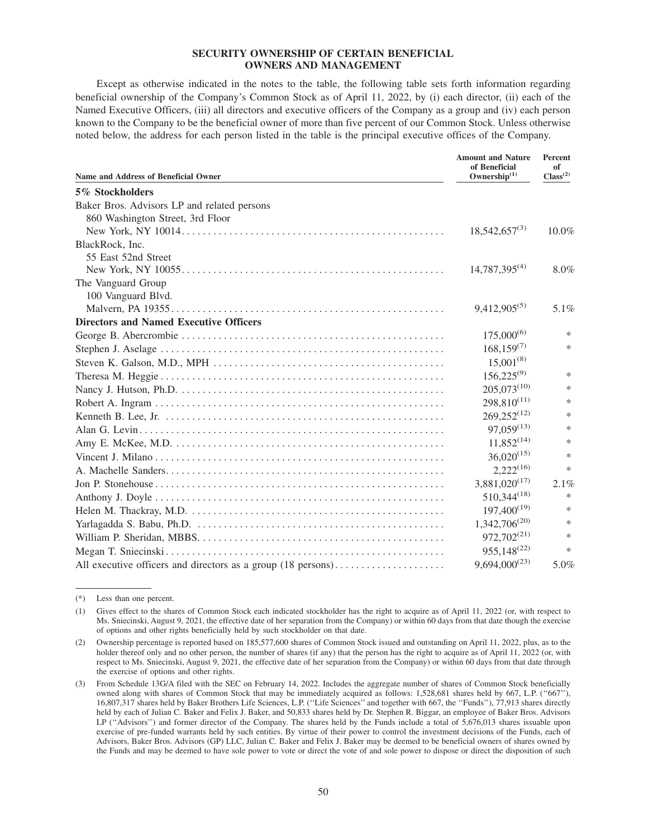## **SECURITY OWNERSHIP OF CERTAIN BENEFICIAL OWNERS AND MANAGEMENT**

Except as otherwise indicated in the notes to the table, the following table sets forth information regarding beneficial ownership of the Company's Common Stock as of April 11, 2022, by (i) each director, (ii) each of the Named Executive Officers, (iii) all directors and executive officers of the Company as a group and (iv) each person known to the Company to be the beneficial owner of more than five percent of our Common Stock. Unless otherwise noted below, the address for each person listed in the table is the principal executive offices of the Company.

| <b>Name and Address of Beneficial Owner</b>                  | <b>Amount and Nature</b><br>of Beneficial<br>Ownership <sup>(1)</sup> | Percent<br>of<br>$\text{Class}^{(2)}$ |
|--------------------------------------------------------------|-----------------------------------------------------------------------|---------------------------------------|
| 5% Stockholders                                              |                                                                       |                                       |
| Baker Bros. Advisors LP and related persons                  |                                                                       |                                       |
| 860 Washington Street, 3rd Floor                             |                                                                       |                                       |
|                                                              | $18,542,657^{(3)}$                                                    | $10.0\%$                              |
| BlackRock, Inc.                                              |                                                                       |                                       |
| 55 East 52nd Street                                          |                                                                       |                                       |
|                                                              | $14,787,395^{(4)}$                                                    | 8.0%                                  |
| The Vanguard Group                                           |                                                                       |                                       |
| 100 Vanguard Blvd.                                           |                                                                       |                                       |
|                                                              | $9,412,905^{(5)}$                                                     | $5.1\%$                               |
| <b>Directors and Named Executive Officers</b>                |                                                                       |                                       |
|                                                              | $175,000^{(6)}$                                                       | $\ast$                                |
|                                                              | $168,159^{(7)}$                                                       | $\ast$                                |
|                                                              | $15,001^{(8)}$                                                        |                                       |
|                                                              | $156,225^{(9)}$                                                       | $\ast$                                |
|                                                              | $205,073^{(10)}$                                                      | $\ast$                                |
|                                                              | $298,810^{(11)}$                                                      | $\ast$                                |
|                                                              | $269,252^{(12)}$                                                      | $\ast$                                |
|                                                              | $97,059^{(13)}$                                                       | $\ast$                                |
|                                                              | $11,852^{(14)}$                                                       | $\ast$                                |
|                                                              | $36,020^{(15)}$                                                       | $\ast$                                |
|                                                              | $2,222^{(16)}$                                                        | $\ast$                                |
|                                                              | $3,881,020^{(17)}$                                                    | 2.1%                                  |
|                                                              | $510,344^{(18)}$                                                      | $\ast$                                |
|                                                              | $197,400^{(19)}$                                                      | $\ast$                                |
|                                                              | $1,342,706^{(20)}$                                                    | $\ast$                                |
|                                                              | 972,702 <sup>(21)</sup>                                               | $\ast$                                |
|                                                              | $955,148^{(22)}$                                                      | $\ast$                                |
| All executive officers and directors as a group (18 persons) | $9,694,000^{(23)}$                                                    | 5.0%                                  |

<sup>(\*)</sup> Less than one percent.

<sup>(1)</sup> Gives effect to the shares of Common Stock each indicated stockholder has the right to acquire as of April 11, 2022 (or, with respect to Ms. Sniecinski, August 9, 2021, the effective date of her separation from the Company) or within 60 days from that date though the exercise of options and other rights beneficially held by such stockholder on that date.

<sup>(2)</sup> Ownership percentage is reported based on 185,577,600 shares of Common Stock issued and outstanding on April 11, 2022, plus, as to the holder thereof only and no other person, the number of shares (if any) that the person has the right to acquire as of April 11, 2022 (or, with respect to Ms. Sniecinski, August 9, 2021, the effective date of her separation from the Company) or within 60 days from that date through the exercise of options and other rights.

<sup>(3)</sup> From Schedule 13G/A filed with the SEC on February 14, 2022. Includes the aggregate number of shares of Common Stock beneficially owned along with shares of Common Stock that may be immediately acquired as follows: 1,528,681 shares held by 667, L.P. ("667"), 16,807,317 shares held by Baker Brothers Life Sciences, L.P. (''Life Sciences'' and together with 667, the ''Funds''), 77,913 shares directly held by each of Julian C. Baker and Felix J. Baker, and 50,833 shares held by Dr. Stephen R. Biggar, an employee of Baker Bros. Advisors LP ("Advisors") and former director of the Company. The shares held by the Funds include a total of 5,676,013 shares issuable upon exercise of pre-funded warrants held by such entities. By virtue of their power to control the investment decisions of the Funds, each of Advisors, Baker Bros. Advisors (GP) LLC, Julian C. Baker and Felix J. Baker may be deemed to be beneficial owners of shares owned by the Funds and may be deemed to have sole power to vote or direct the vote of and sole power to dispose or direct the disposition of such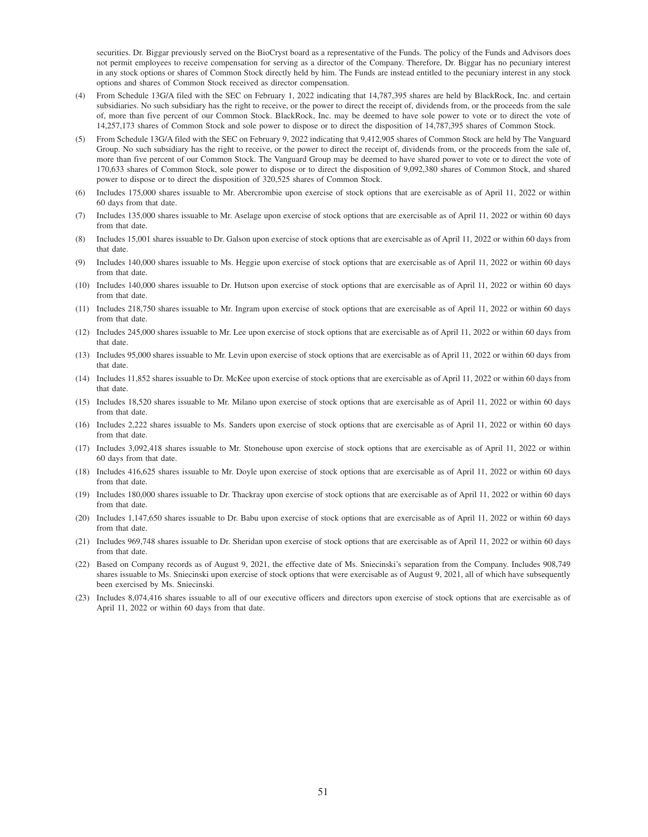securities. Dr. Biggar previously served on the BioCryst board as a representative of the Funds. The policy of the Funds and Advisors does not permit employees to receive compensation for serving as a director of the Company. Therefore, Dr. Biggar has no pecuniary interest in any stock options or shares of Common Stock directly held by him. The Funds are instead entitled to the pecuniary interest in any stock options and shares of Common Stock received as director compensation.

- (4) From Schedule 13G/A filed with the SEC on February 1, 2022 indicating that 14,787,395 shares are held by BlackRock, Inc. and certain subsidiaries. No such subsidiary has the right to receive, or the power to direct the receipt of, dividends from, or the proceeds from the sale of, more than five percent of our Common Stock. BlackRock, Inc. may be deemed to have sole power to vote or to direct the vote of 14,257,173 shares of Common Stock and sole power to dispose or to direct the disposition of 14,787,395 shares of Common Stock.
- (5) From Schedule 13G/A filed with the SEC on February 9, 2022 indicating that 9,412,905 shares of Common Stock are held by The Vanguard Group. No such subsidiary has the right to receive, or the power to direct the receipt of, dividends from, or the proceeds from the sale of, more than five percent of our Common Stock. The Vanguard Group may be deemed to have shared power to vote or to direct the vote of 170,633 shares of Common Stock, sole power to dispose or to direct the disposition of 9,092,380 shares of Common Stock, and shared power to dispose or to direct the disposition of 320,525 shares of Common Stock.
- (6) Includes 175,000 shares issuable to Mr. Abercrombie upon exercise of stock options that are exercisable as of April 11, 2022 or within 60 days from that date.
- (7) Includes 135,000 shares issuable to Mr. Aselage upon exercise of stock options that are exercisable as of April 11, 2022 or within 60 days from that date
- (8) Includes 15,001 shares issuable to Dr. Galson upon exercise of stock options that are exercisable as of April 11, 2022 or within 60 days from that date.
- (9) Includes 140,000 shares issuable to Ms. Heggie upon exercise of stock options that are exercisable as of April 11, 2022 or within 60 days from that date
- (10) Includes 140,000 shares issuable to Dr. Hutson upon exercise of stock options that are exercisable as of April 11, 2022 or within 60 days from that date.
- (11) Includes 218,750 shares issuable to Mr. Ingram upon exercise of stock options that are exercisable as of April 11, 2022 or within 60 days from that date.
- (12) Includes 245,000 shares issuable to Mr. Lee upon exercise of stock options that are exercisable as of April 11, 2022 or within 60 days from that date.
- (13) Includes 95,000 shares issuable to Mr. Levin upon exercise of stock options that are exercisable as of April 11, 2022 or within 60 days from that date.
- (14) Includes 11,852 shares issuable to Dr. McKee upon exercise of stock options that are exercisable as of April 11, 2022 or within 60 days from that date.
- (15) Includes 18,520 shares issuable to Mr. Milano upon exercise of stock options that are exercisable as of April 11, 2022 or within 60 days from that date.
- (16) Includes 2,222 shares issuable to Ms. Sanders upon exercise of stock options that are exercisable as of April 11, 2022 or within 60 days from that date.
- (17) Includes 3,092,418 shares issuable to Mr. Stonehouse upon exercise of stock options that are exercisable as of April 11, 2022 or within 60 days from that date.
- (18) Includes 416,625 shares issuable to Mr. Doyle upon exercise of stock options that are exercisable as of April 11, 2022 or within 60 days from that date
- (19) Includes 180,000 shares issuable to Dr. Thackray upon exercise of stock options that are exercisable as of April 11, 2022 or within 60 days from that date
- (20) Includes 1,147,650 shares issuable to Dr. Babu upon exercise of stock options that are exercisable as of April 11, 2022 or within 60 days from that date.
- (21) Includes 969,748 shares issuable to Dr. Sheridan upon exercise of stock options that are exercisable as of April 11, 2022 or within 60 days from that date.
- (22) Based on Company records as of August 9, 2021, the effective date of Ms. Sniecinski's separation from the Company. Includes 908,749 shares issuable to Ms. Sniecinski upon exercise of stock options that were exercisable as of August 9, 2021, all of which have subsequently been exercised by Ms. Sniecinski.
- (23) Includes 8,074,416 shares issuable to all of our executive officers and directors upon exercise of stock options that are exercisable as of April 11, 2022 or within 60 days from that date.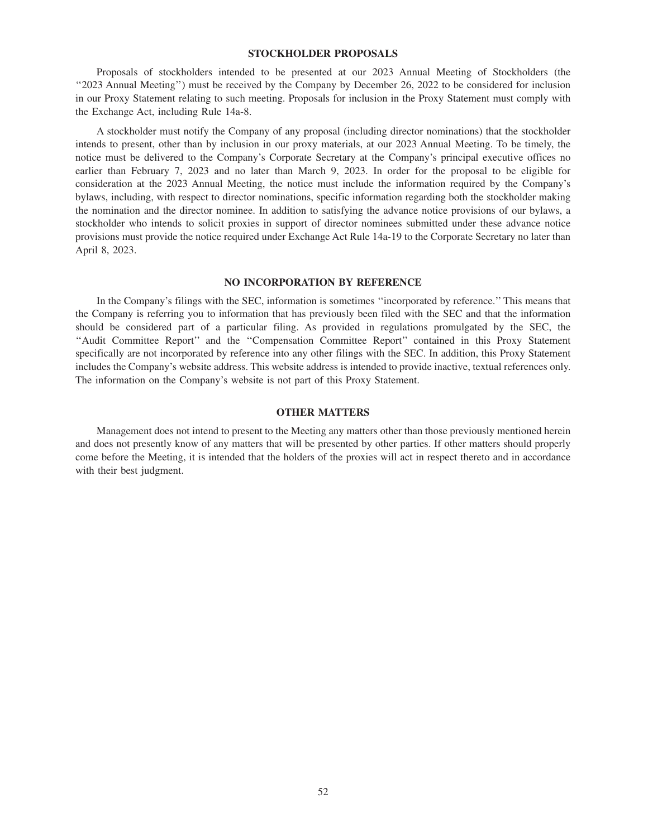## **STOCKHOLDER PROPOSALS**

Proposals of stockholders intended to be presented at our 2023 Annual Meeting of Stockholders (the ''2023 Annual Meeting'') must be received by the Company by December 26, 2022 to be considered for inclusion in our Proxy Statement relating to such meeting. Proposals for inclusion in the Proxy Statement must comply with the Exchange Act, including Rule 14a-8.

A stockholder must notify the Company of any proposal (including director nominations) that the stockholder intends to present, other than by inclusion in our proxy materials, at our 2023 Annual Meeting. To be timely, the notice must be delivered to the Company's Corporate Secretary at the Company's principal executive offices no earlier than February 7, 2023 and no later than March 9, 2023. In order for the proposal to be eligible for consideration at the 2023 Annual Meeting, the notice must include the information required by the Company's bylaws, including, with respect to director nominations, specific information regarding both the stockholder making the nomination and the director nominee. In addition to satisfying the advance notice provisions of our bylaws, a stockholder who intends to solicit proxies in support of director nominees submitted under these advance notice provisions must provide the notice required under Exchange Act Rule 14a-19 to the Corporate Secretary no later than April 8, 2023.

## **NO INCORPORATION BY REFERENCE**

In the Company's filings with the SEC, information is sometimes ''incorporated by reference.'' This means that the Company is referring you to information that has previously been filed with the SEC and that the information should be considered part of a particular filing. As provided in regulations promulgated by the SEC, the ''Audit Committee Report'' and the ''Compensation Committee Report'' contained in this Proxy Statement specifically are not incorporated by reference into any other filings with the SEC. In addition, this Proxy Statement includes the Company's website address. This website address is intended to provide inactive, textual references only. The information on the Company's website is not part of this Proxy Statement.

## **OTHER MATTERS**

Management does not intend to present to the Meeting any matters other than those previously mentioned herein and does not presently know of any matters that will be presented by other parties. If other matters should properly come before the Meeting, it is intended that the holders of the proxies will act in respect thereto and in accordance with their best judgment.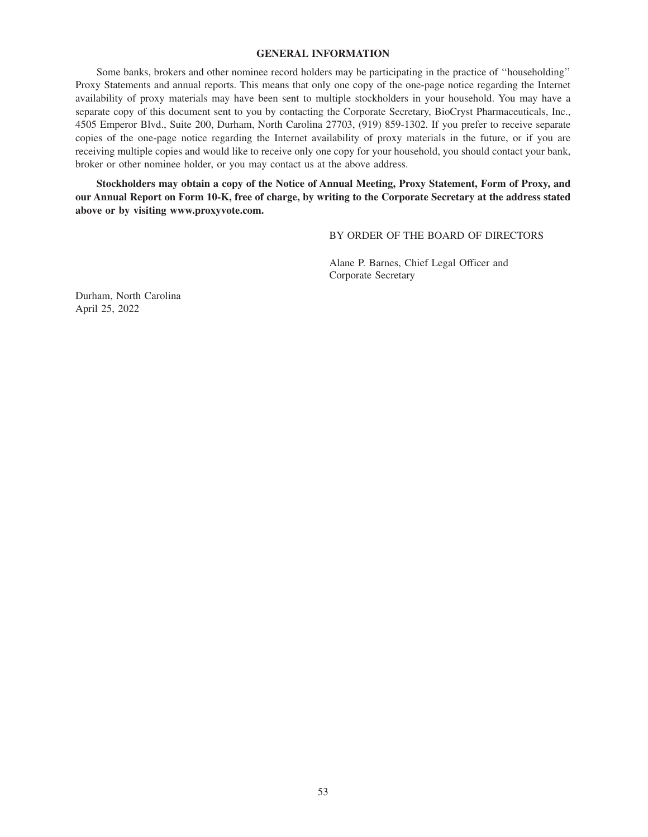## **GENERAL INFORMATION**

Some banks, brokers and other nominee record holders may be participating in the practice of ''householding'' Proxy Statements and annual reports. This means that only one copy of the one-page notice regarding the Internet availability of proxy materials may have been sent to multiple stockholders in your household. You may have a separate copy of this document sent to you by contacting the Corporate Secretary, BioCryst Pharmaceuticals, Inc., 4505 Emperor Blvd., Suite 200, Durham, North Carolina 27703, (919) 859-1302. If you prefer to receive separate copies of the one-page notice regarding the Internet availability of proxy materials in the future, or if you are receiving multiple copies and would like to receive only one copy for your household, you should contact your bank, broker or other nominee holder, or you may contact us at the above address.

**Stockholders may obtain a copy of the Notice of Annual Meeting, Proxy Statement, Form of Proxy, and our Annual Report on Form 10-K, free of charge, by writing to the Corporate Secretary at the address stated above or by visiting www.proxyvote.com.**

BY ORDER OF THE BOARD OF DIRECTORS

Alane P. Barnes, Chief Legal Officer and Corporate Secretary

Durham, North Carolina April 25, 2022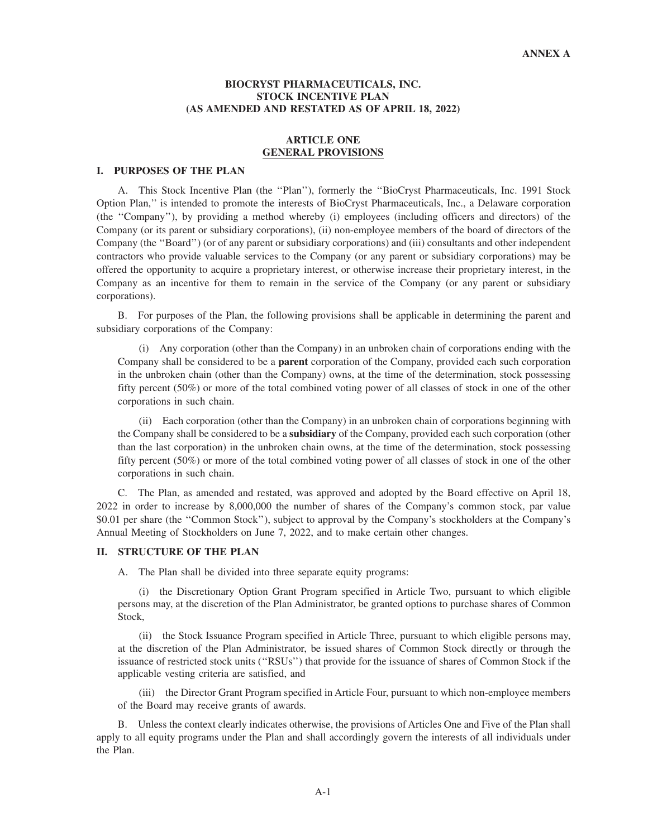## **BIOCRYST PHARMACEUTICALS, INC. STOCK INCENTIVE PLAN (AS AMENDED AND RESTATED AS OF APRIL 18, 2022)**

# **ARTICLE ONE GENERAL PROVISIONS**

#### **I. PURPOSES OF THE PLAN**

A. This Stock Incentive Plan (the ''Plan''), formerly the ''BioCryst Pharmaceuticals, Inc. 1991 Stock Option Plan,'' is intended to promote the interests of BioCryst Pharmaceuticals, Inc., a Delaware corporation (the ''Company''), by providing a method whereby (i) employees (including officers and directors) of the Company (or its parent or subsidiary corporations), (ii) non-employee members of the board of directors of the Company (the ''Board'') (or of any parent or subsidiary corporations) and (iii) consultants and other independent contractors who provide valuable services to the Company (or any parent or subsidiary corporations) may be offered the opportunity to acquire a proprietary interest, or otherwise increase their proprietary interest, in the Company as an incentive for them to remain in the service of the Company (or any parent or subsidiary corporations).

B. For purposes of the Plan, the following provisions shall be applicable in determining the parent and subsidiary corporations of the Company:

(i) Any corporation (other than the Company) in an unbroken chain of corporations ending with the Company shall be considered to be a **parent** corporation of the Company, provided each such corporation in the unbroken chain (other than the Company) owns, at the time of the determination, stock possessing fifty percent (50%) or more of the total combined voting power of all classes of stock in one of the other corporations in such chain.

(ii) Each corporation (other than the Company) in an unbroken chain of corporations beginning with the Company shall be considered to be a **subsidiary** of the Company, provided each such corporation (other than the last corporation) in the unbroken chain owns, at the time of the determination, stock possessing fifty percent (50%) or more of the total combined voting power of all classes of stock in one of the other corporations in such chain.

C. The Plan, as amended and restated, was approved and adopted by the Board effective on April 18, 2022 in order to increase by 8,000,000 the number of shares of the Company's common stock, par value \$0.01 per share (the ''Common Stock''), subject to approval by the Company's stockholders at the Company's Annual Meeting of Stockholders on June 7, 2022, and to make certain other changes.

# **II. STRUCTURE OF THE PLAN**

A. The Plan shall be divided into three separate equity programs:

(i) the Discretionary Option Grant Program specified in Article Two, pursuant to which eligible persons may, at the discretion of the Plan Administrator, be granted options to purchase shares of Common Stock,

(ii) the Stock Issuance Program specified in Article Three, pursuant to which eligible persons may, at the discretion of the Plan Administrator, be issued shares of Common Stock directly or through the issuance of restricted stock units (''RSUs'') that provide for the issuance of shares of Common Stock if the applicable vesting criteria are satisfied, and

(iii) the Director Grant Program specified in Article Four, pursuant to which non-employee members of the Board may receive grants of awards.

B. Unless the context clearly indicates otherwise, the provisions of Articles One and Five of the Plan shall apply to all equity programs under the Plan and shall accordingly govern the interests of all individuals under the Plan.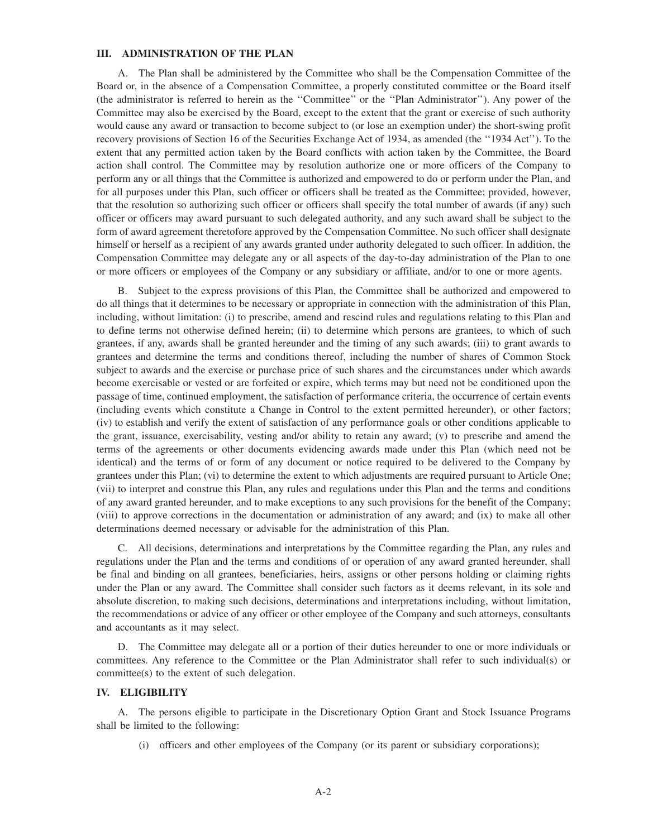## **III. ADMINISTRATION OF THE PLAN**

A. The Plan shall be administered by the Committee who shall be the Compensation Committee of the Board or, in the absence of a Compensation Committee, a properly constituted committee or the Board itself (the administrator is referred to herein as the ''Committee'' or the ''Plan Administrator''). Any power of the Committee may also be exercised by the Board, except to the extent that the grant or exercise of such authority would cause any award or transaction to become subject to (or lose an exemption under) the short-swing profit recovery provisions of Section 16 of the Securities Exchange Act of 1934, as amended (the ''1934 Act''). To the extent that any permitted action taken by the Board conflicts with action taken by the Committee, the Board action shall control. The Committee may by resolution authorize one or more officers of the Company to perform any or all things that the Committee is authorized and empowered to do or perform under the Plan, and for all purposes under this Plan, such officer or officers shall be treated as the Committee; provided, however, that the resolution so authorizing such officer or officers shall specify the total number of awards (if any) such officer or officers may award pursuant to such delegated authority, and any such award shall be subject to the form of award agreement theretofore approved by the Compensation Committee. No such officer shall designate himself or herself as a recipient of any awards granted under authority delegated to such officer. In addition, the Compensation Committee may delegate any or all aspects of the day-to-day administration of the Plan to one or more officers or employees of the Company or any subsidiary or affiliate, and/or to one or more agents.

B. Subject to the express provisions of this Plan, the Committee shall be authorized and empowered to do all things that it determines to be necessary or appropriate in connection with the administration of this Plan, including, without limitation: (i) to prescribe, amend and rescind rules and regulations relating to this Plan and to define terms not otherwise defined herein; (ii) to determine which persons are grantees, to which of such grantees, if any, awards shall be granted hereunder and the timing of any such awards; (iii) to grant awards to grantees and determine the terms and conditions thereof, including the number of shares of Common Stock subject to awards and the exercise or purchase price of such shares and the circumstances under which awards become exercisable or vested or are forfeited or expire, which terms may but need not be conditioned upon the passage of time, continued employment, the satisfaction of performance criteria, the occurrence of certain events (including events which constitute a Change in Control to the extent permitted hereunder), or other factors; (iv) to establish and verify the extent of satisfaction of any performance goals or other conditions applicable to the grant, issuance, exercisability, vesting and/or ability to retain any award; (v) to prescribe and amend the terms of the agreements or other documents evidencing awards made under this Plan (which need not be identical) and the terms of or form of any document or notice required to be delivered to the Company by grantees under this Plan; (vi) to determine the extent to which adjustments are required pursuant to Article One; (vii) to interpret and construe this Plan, any rules and regulations under this Plan and the terms and conditions of any award granted hereunder, and to make exceptions to any such provisions for the benefit of the Company; (viii) to approve corrections in the documentation or administration of any award; and (ix) to make all other determinations deemed necessary or advisable for the administration of this Plan.

C. All decisions, determinations and interpretations by the Committee regarding the Plan, any rules and regulations under the Plan and the terms and conditions of or operation of any award granted hereunder, shall be final and binding on all grantees, beneficiaries, heirs, assigns or other persons holding or claiming rights under the Plan or any award. The Committee shall consider such factors as it deems relevant, in its sole and absolute discretion, to making such decisions, determinations and interpretations including, without limitation, the recommendations or advice of any officer or other employee of the Company and such attorneys, consultants and accountants as it may select.

D. The Committee may delegate all or a portion of their duties hereunder to one or more individuals or committees. Any reference to the Committee or the Plan Administrator shall refer to such individual(s) or committee(s) to the extent of such delegation.

## **IV. ELIGIBILITY**

A. The persons eligible to participate in the Discretionary Option Grant and Stock Issuance Programs shall be limited to the following:

(i) officers and other employees of the Company (or its parent or subsidiary corporations);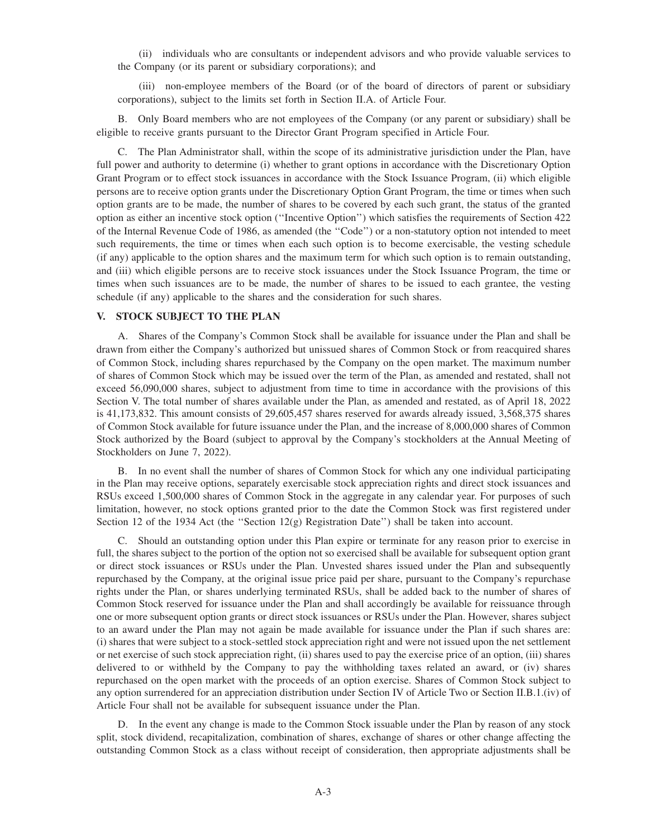(ii) individuals who are consultants or independent advisors and who provide valuable services to the Company (or its parent or subsidiary corporations); and

(iii) non-employee members of the Board (or of the board of directors of parent or subsidiary corporations), subject to the limits set forth in Section II.A. of Article Four.

B. Only Board members who are not employees of the Company (or any parent or subsidiary) shall be eligible to receive grants pursuant to the Director Grant Program specified in Article Four.

C. The Plan Administrator shall, within the scope of its administrative jurisdiction under the Plan, have full power and authority to determine (i) whether to grant options in accordance with the Discretionary Option Grant Program or to effect stock issuances in accordance with the Stock Issuance Program, (ii) which eligible persons are to receive option grants under the Discretionary Option Grant Program, the time or times when such option grants are to be made, the number of shares to be covered by each such grant, the status of the granted option as either an incentive stock option (''Incentive Option'') which satisfies the requirements of Section 422 of the Internal Revenue Code of 1986, as amended (the ''Code'') or a non-statutory option not intended to meet such requirements, the time or times when each such option is to become exercisable, the vesting schedule (if any) applicable to the option shares and the maximum term for which such option is to remain outstanding, and (iii) which eligible persons are to receive stock issuances under the Stock Issuance Program, the time or times when such issuances are to be made, the number of shares to be issued to each grantee, the vesting schedule (if any) applicable to the shares and the consideration for such shares.

## **V. STOCK SUBJECT TO THE PLAN**

A. Shares of the Company's Common Stock shall be available for issuance under the Plan and shall be drawn from either the Company's authorized but unissued shares of Common Stock or from reacquired shares of Common Stock, including shares repurchased by the Company on the open market. The maximum number of shares of Common Stock which may be issued over the term of the Plan, as amended and restated, shall not exceed 56,090,000 shares, subject to adjustment from time to time in accordance with the provisions of this Section V. The total number of shares available under the Plan, as amended and restated, as of April 18, 2022 is 41,173,832. This amount consists of 29,605,457 shares reserved for awards already issued, 3,568,375 shares of Common Stock available for future issuance under the Plan, and the increase of 8,000,000 shares of Common Stock authorized by the Board (subject to approval by the Company's stockholders at the Annual Meeting of Stockholders on June 7, 2022).

B. In no event shall the number of shares of Common Stock for which any one individual participating in the Plan may receive options, separately exercisable stock appreciation rights and direct stock issuances and RSUs exceed 1,500,000 shares of Common Stock in the aggregate in any calendar year. For purposes of such limitation, however, no stock options granted prior to the date the Common Stock was first registered under Section 12 of the 1934 Act (the "Section 12(g) Registration Date") shall be taken into account.

C. Should an outstanding option under this Plan expire or terminate for any reason prior to exercise in full, the shares subject to the portion of the option not so exercised shall be available for subsequent option grant or direct stock issuances or RSUs under the Plan. Unvested shares issued under the Plan and subsequently repurchased by the Company, at the original issue price paid per share, pursuant to the Company's repurchase rights under the Plan, or shares underlying terminated RSUs, shall be added back to the number of shares of Common Stock reserved for issuance under the Plan and shall accordingly be available for reissuance through one or more subsequent option grants or direct stock issuances or RSUs under the Plan. However, shares subject to an award under the Plan may not again be made available for issuance under the Plan if such shares are: (i) shares that were subject to a stock-settled stock appreciation right and were not issued upon the net settlement or net exercise of such stock appreciation right, (ii) shares used to pay the exercise price of an option, (iii) shares delivered to or withheld by the Company to pay the withholding taxes related an award, or (iv) shares repurchased on the open market with the proceeds of an option exercise. Shares of Common Stock subject to any option surrendered for an appreciation distribution under Section IV of Article Two or Section II.B.1.(iv) of Article Four shall not be available for subsequent issuance under the Plan.

D. In the event any change is made to the Common Stock issuable under the Plan by reason of any stock split, stock dividend, recapitalization, combination of shares, exchange of shares or other change affecting the outstanding Common Stock as a class without receipt of consideration, then appropriate adjustments shall be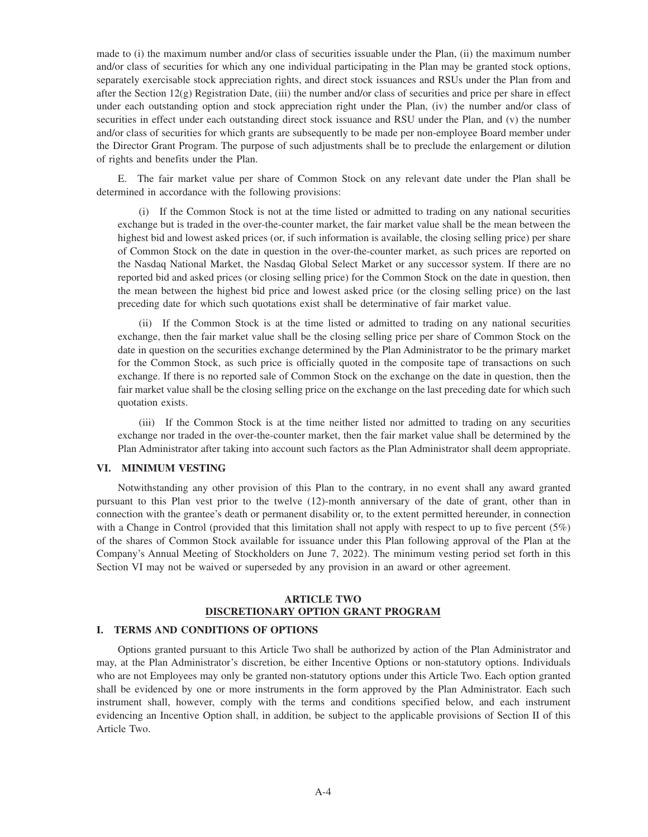made to (i) the maximum number and/or class of securities issuable under the Plan, (ii) the maximum number and/or class of securities for which any one individual participating in the Plan may be granted stock options, separately exercisable stock appreciation rights, and direct stock issuances and RSUs under the Plan from and after the Section 12(g) Registration Date, (iii) the number and/or class of securities and price per share in effect under each outstanding option and stock appreciation right under the Plan, (iv) the number and/or class of securities in effect under each outstanding direct stock issuance and RSU under the Plan, and (v) the number and/or class of securities for which grants are subsequently to be made per non-employee Board member under the Director Grant Program. The purpose of such adjustments shall be to preclude the enlargement or dilution of rights and benefits under the Plan.

E. The fair market value per share of Common Stock on any relevant date under the Plan shall be determined in accordance with the following provisions:

(i) If the Common Stock is not at the time listed or admitted to trading on any national securities exchange but is traded in the over-the-counter market, the fair market value shall be the mean between the highest bid and lowest asked prices (or, if such information is available, the closing selling price) per share of Common Stock on the date in question in the over-the-counter market, as such prices are reported on the Nasdaq National Market, the Nasdaq Global Select Market or any successor system. If there are no reported bid and asked prices (or closing selling price) for the Common Stock on the date in question, then the mean between the highest bid price and lowest asked price (or the closing selling price) on the last preceding date for which such quotations exist shall be determinative of fair market value.

(ii) If the Common Stock is at the time listed or admitted to trading on any national securities exchange, then the fair market value shall be the closing selling price per share of Common Stock on the date in question on the securities exchange determined by the Plan Administrator to be the primary market for the Common Stock, as such price is officially quoted in the composite tape of transactions on such exchange. If there is no reported sale of Common Stock on the exchange on the date in question, then the fair market value shall be the closing selling price on the exchange on the last preceding date for which such quotation exists.

(iii) If the Common Stock is at the time neither listed nor admitted to trading on any securities exchange nor traded in the over-the-counter market, then the fair market value shall be determined by the Plan Administrator after taking into account such factors as the Plan Administrator shall deem appropriate.

#### **VI. MINIMUM VESTING**

Notwithstanding any other provision of this Plan to the contrary, in no event shall any award granted pursuant to this Plan vest prior to the twelve (12)-month anniversary of the date of grant, other than in connection with the grantee's death or permanent disability or, to the extent permitted hereunder, in connection with a Change in Control (provided that this limitation shall not apply with respect to up to five percent (5%) of the shares of Common Stock available for issuance under this Plan following approval of the Plan at the Company's Annual Meeting of Stockholders on June 7, 2022). The minimum vesting period set forth in this Section VI may not be waived or superseded by any provision in an award or other agreement.

# **ARTICLE TWO DISCRETIONARY OPTION GRANT PROGRAM**

#### **I. TERMS AND CONDITIONS OF OPTIONS**

Options granted pursuant to this Article Two shall be authorized by action of the Plan Administrator and may, at the Plan Administrator's discretion, be either Incentive Options or non-statutory options. Individuals who are not Employees may only be granted non-statutory options under this Article Two. Each option granted shall be evidenced by one or more instruments in the form approved by the Plan Administrator. Each such instrument shall, however, comply with the terms and conditions specified below, and each instrument evidencing an Incentive Option shall, in addition, be subject to the applicable provisions of Section II of this Article Two.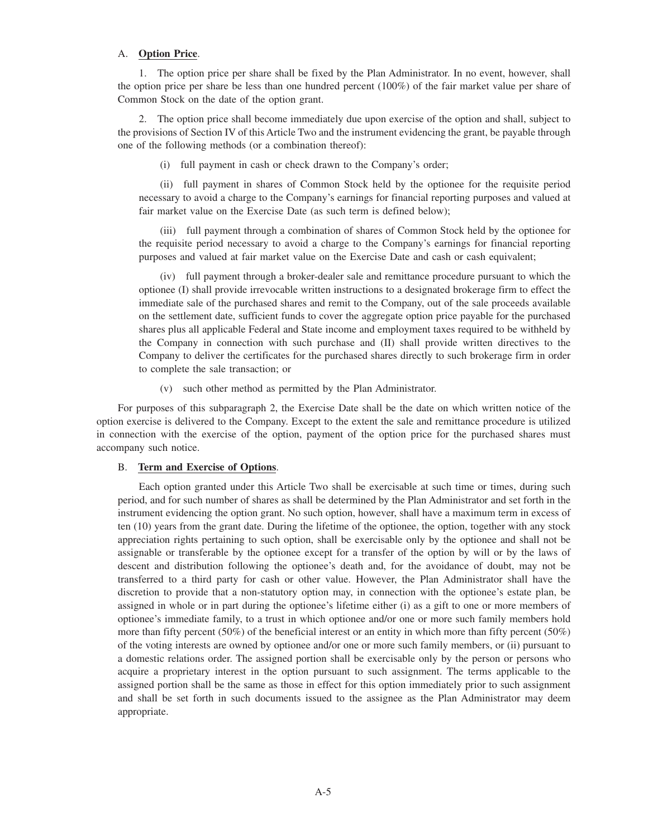## A. **Option Price**.

1. The option price per share shall be fixed by the Plan Administrator. In no event, however, shall the option price per share be less than one hundred percent (100%) of the fair market value per share of Common Stock on the date of the option grant.

2. The option price shall become immediately due upon exercise of the option and shall, subject to the provisions of Section IV of this Article Two and the instrument evidencing the grant, be payable through one of the following methods (or a combination thereof):

(i) full payment in cash or check drawn to the Company's order;

(ii) full payment in shares of Common Stock held by the optionee for the requisite period necessary to avoid a charge to the Company's earnings for financial reporting purposes and valued at fair market value on the Exercise Date (as such term is defined below);

(iii) full payment through a combination of shares of Common Stock held by the optionee for the requisite period necessary to avoid a charge to the Company's earnings for financial reporting purposes and valued at fair market value on the Exercise Date and cash or cash equivalent;

(iv) full payment through a broker-dealer sale and remittance procedure pursuant to which the optionee (I) shall provide irrevocable written instructions to a designated brokerage firm to effect the immediate sale of the purchased shares and remit to the Company, out of the sale proceeds available on the settlement date, sufficient funds to cover the aggregate option price payable for the purchased shares plus all applicable Federal and State income and employment taxes required to be withheld by the Company in connection with such purchase and (II) shall provide written directives to the Company to deliver the certificates for the purchased shares directly to such brokerage firm in order to complete the sale transaction; or

(v) such other method as permitted by the Plan Administrator.

For purposes of this subparagraph 2, the Exercise Date shall be the date on which written notice of the option exercise is delivered to the Company. Except to the extent the sale and remittance procedure is utilized in connection with the exercise of the option, payment of the option price for the purchased shares must accompany such notice.

#### B. **Term and Exercise of Options**.

Each option granted under this Article Two shall be exercisable at such time or times, during such period, and for such number of shares as shall be determined by the Plan Administrator and set forth in the instrument evidencing the option grant. No such option, however, shall have a maximum term in excess of ten (10) years from the grant date. During the lifetime of the optionee, the option, together with any stock appreciation rights pertaining to such option, shall be exercisable only by the optionee and shall not be assignable or transferable by the optionee except for a transfer of the option by will or by the laws of descent and distribution following the optionee's death and, for the avoidance of doubt, may not be transferred to a third party for cash or other value. However, the Plan Administrator shall have the discretion to provide that a non-statutory option may, in connection with the optionee's estate plan, be assigned in whole or in part during the optionee's lifetime either (i) as a gift to one or more members of optionee's immediate family, to a trust in which optionee and/or one or more such family members hold more than fifty percent (50%) of the beneficial interest or an entity in which more than fifty percent (50%) of the voting interests are owned by optionee and/or one or more such family members, or (ii) pursuant to a domestic relations order. The assigned portion shall be exercisable only by the person or persons who acquire a proprietary interest in the option pursuant to such assignment. The terms applicable to the assigned portion shall be the same as those in effect for this option immediately prior to such assignment and shall be set forth in such documents issued to the assignee as the Plan Administrator may deem appropriate.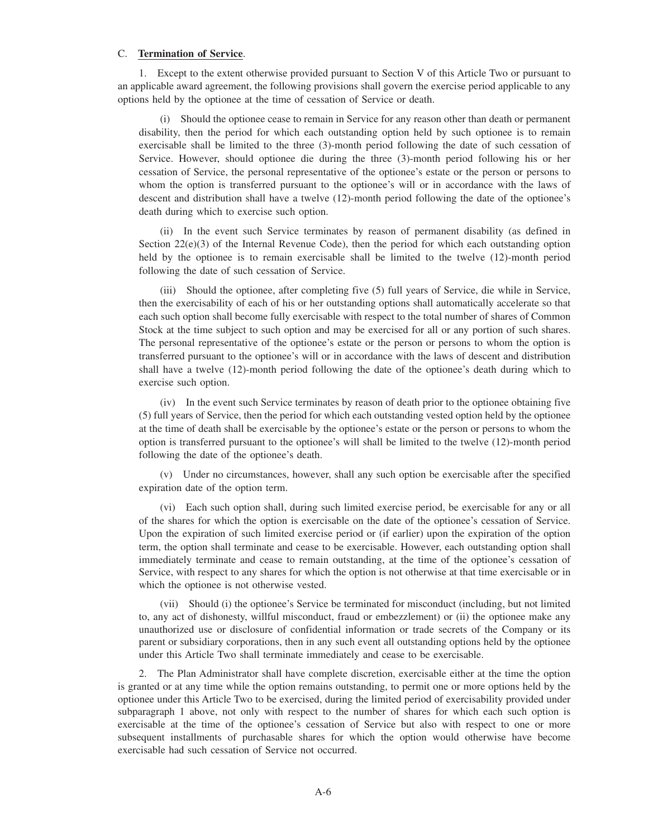#### C. **Termination of Service**.

1. Except to the extent otherwise provided pursuant to Section V of this Article Two or pursuant to an applicable award agreement, the following provisions shall govern the exercise period applicable to any options held by the optionee at the time of cessation of Service or death.

(i) Should the optionee cease to remain in Service for any reason other than death or permanent disability, then the period for which each outstanding option held by such optionee is to remain exercisable shall be limited to the three (3)-month period following the date of such cessation of Service. However, should optionee die during the three (3)-month period following his or her cessation of Service, the personal representative of the optionee's estate or the person or persons to whom the option is transferred pursuant to the optionee's will or in accordance with the laws of descent and distribution shall have a twelve (12)-month period following the date of the optionee's death during which to exercise such option.

(ii) In the event such Service terminates by reason of permanent disability (as defined in Section  $22(e)(3)$  of the Internal Revenue Code), then the period for which each outstanding option held by the optionee is to remain exercisable shall be limited to the twelve (12)-month period following the date of such cessation of Service.

(iii) Should the optionee, after completing five (5) full years of Service, die while in Service, then the exercisability of each of his or her outstanding options shall automatically accelerate so that each such option shall become fully exercisable with respect to the total number of shares of Common Stock at the time subject to such option and may be exercised for all or any portion of such shares. The personal representative of the optionee's estate or the person or persons to whom the option is transferred pursuant to the optionee's will or in accordance with the laws of descent and distribution shall have a twelve (12)-month period following the date of the optionee's death during which to exercise such option.

(iv) In the event such Service terminates by reason of death prior to the optionee obtaining five (5) full years of Service, then the period for which each outstanding vested option held by the optionee at the time of death shall be exercisable by the optionee's estate or the person or persons to whom the option is transferred pursuant to the optionee's will shall be limited to the twelve (12)-month period following the date of the optionee's death.

(v) Under no circumstances, however, shall any such option be exercisable after the specified expiration date of the option term.

(vi) Each such option shall, during such limited exercise period, be exercisable for any or all of the shares for which the option is exercisable on the date of the optionee's cessation of Service. Upon the expiration of such limited exercise period or (if earlier) upon the expiration of the option term, the option shall terminate and cease to be exercisable. However, each outstanding option shall immediately terminate and cease to remain outstanding, at the time of the optionee's cessation of Service, with respect to any shares for which the option is not otherwise at that time exercisable or in which the optionee is not otherwise vested.

(vii) Should (i) the optionee's Service be terminated for misconduct (including, but not limited to, any act of dishonesty, willful misconduct, fraud or embezzlement) or (ii) the optionee make any unauthorized use or disclosure of confidential information or trade secrets of the Company or its parent or subsidiary corporations, then in any such event all outstanding options held by the optionee under this Article Two shall terminate immediately and cease to be exercisable.

2. The Plan Administrator shall have complete discretion, exercisable either at the time the option is granted or at any time while the option remains outstanding, to permit one or more options held by the optionee under this Article Two to be exercised, during the limited period of exercisability provided under subparagraph 1 above, not only with respect to the number of shares for which each such option is exercisable at the time of the optionee's cessation of Service but also with respect to one or more subsequent installments of purchasable shares for which the option would otherwise have become exercisable had such cessation of Service not occurred.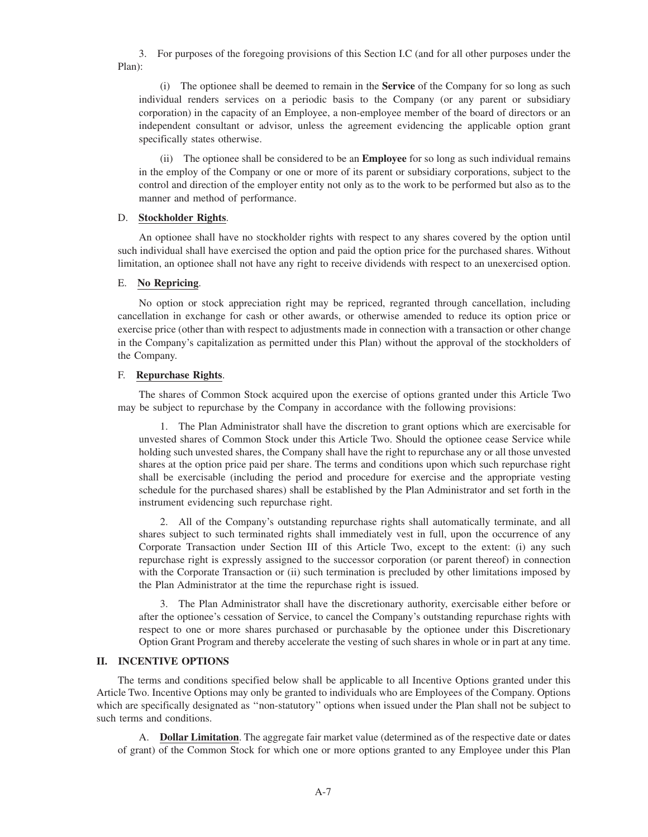3. For purposes of the foregoing provisions of this Section I.C (and for all other purposes under the Plan):

(i) The optionee shall be deemed to remain in the **Service** of the Company for so long as such individual renders services on a periodic basis to the Company (or any parent or subsidiary corporation) in the capacity of an Employee, a non-employee member of the board of directors or an independent consultant or advisor, unless the agreement evidencing the applicable option grant specifically states otherwise.

(ii) The optionee shall be considered to be an **Employee** for so long as such individual remains in the employ of the Company or one or more of its parent or subsidiary corporations, subject to the control and direction of the employer entity not only as to the work to be performed but also as to the manner and method of performance.

## D. **Stockholder Rights**.

An optionee shall have no stockholder rights with respect to any shares covered by the option until such individual shall have exercised the option and paid the option price for the purchased shares. Without limitation, an optionee shall not have any right to receive dividends with respect to an unexercised option.

## E. **No Repricing**.

No option or stock appreciation right may be repriced, regranted through cancellation, including cancellation in exchange for cash or other awards, or otherwise amended to reduce its option price or exercise price (other than with respect to adjustments made in connection with a transaction or other change in the Company's capitalization as permitted under this Plan) without the approval of the stockholders of the Company.

## F. **Repurchase Rights**.

The shares of Common Stock acquired upon the exercise of options granted under this Article Two may be subject to repurchase by the Company in accordance with the following provisions:

1. The Plan Administrator shall have the discretion to grant options which are exercisable for unvested shares of Common Stock under this Article Two. Should the optionee cease Service while holding such unvested shares, the Company shall have the right to repurchase any or all those unvested shares at the option price paid per share. The terms and conditions upon which such repurchase right shall be exercisable (including the period and procedure for exercise and the appropriate vesting schedule for the purchased shares) shall be established by the Plan Administrator and set forth in the instrument evidencing such repurchase right.

2. All of the Company's outstanding repurchase rights shall automatically terminate, and all shares subject to such terminated rights shall immediately vest in full, upon the occurrence of any Corporate Transaction under Section III of this Article Two, except to the extent: (i) any such repurchase right is expressly assigned to the successor corporation (or parent thereof) in connection with the Corporate Transaction or (ii) such termination is precluded by other limitations imposed by the Plan Administrator at the time the repurchase right is issued.

3. The Plan Administrator shall have the discretionary authority, exercisable either before or after the optionee's cessation of Service, to cancel the Company's outstanding repurchase rights with respect to one or more shares purchased or purchasable by the optionee under this Discretionary Option Grant Program and thereby accelerate the vesting of such shares in whole or in part at any time.

## **II. INCENTIVE OPTIONS**

The terms and conditions specified below shall be applicable to all Incentive Options granted under this Article Two. Incentive Options may only be granted to individuals who are Employees of the Company. Options which are specifically designated as ''non-statutory'' options when issued under the Plan shall not be subject to such terms and conditions.

A. **Dollar Limitation**. The aggregate fair market value (determined as of the respective date or dates of grant) of the Common Stock for which one or more options granted to any Employee under this Plan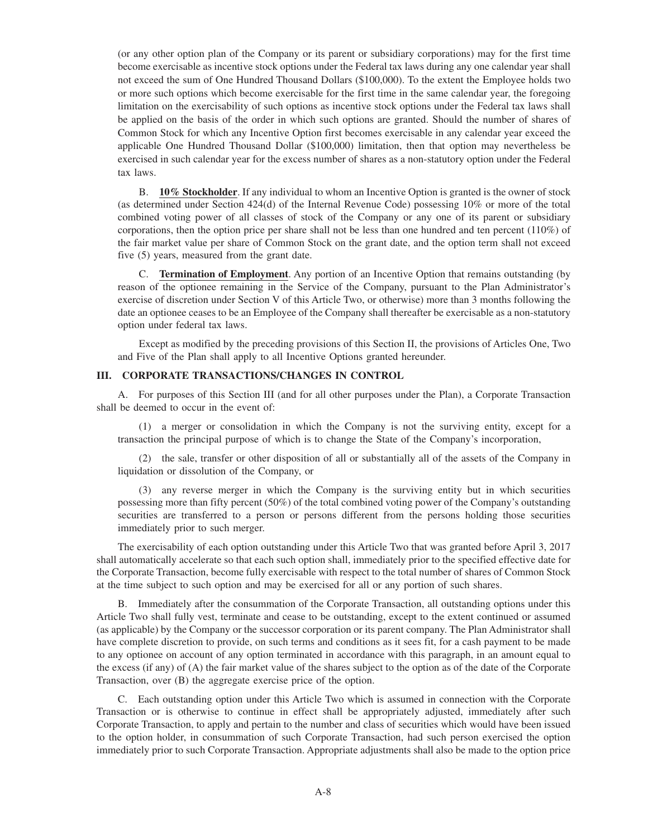(or any other option plan of the Company or its parent or subsidiary corporations) may for the first time become exercisable as incentive stock options under the Federal tax laws during any one calendar year shall not exceed the sum of One Hundred Thousand Dollars (\$100,000). To the extent the Employee holds two or more such options which become exercisable for the first time in the same calendar year, the foregoing limitation on the exercisability of such options as incentive stock options under the Federal tax laws shall be applied on the basis of the order in which such options are granted. Should the number of shares of Common Stock for which any Incentive Option first becomes exercisable in any calendar year exceed the applicable One Hundred Thousand Dollar (\$100,000) limitation, then that option may nevertheless be exercised in such calendar year for the excess number of shares as a non-statutory option under the Federal tax laws.

B. **10% Stockholder**. If any individual to whom an Incentive Option is granted is the owner of stock (as determined under Section 424(d) of the Internal Revenue Code) possessing 10% or more of the total combined voting power of all classes of stock of the Company or any one of its parent or subsidiary corporations, then the option price per share shall not be less than one hundred and ten percent (110%) of the fair market value per share of Common Stock on the grant date, and the option term shall not exceed five (5) years, measured from the grant date.

C. **Termination of Employment**. Any portion of an Incentive Option that remains outstanding (by reason of the optionee remaining in the Service of the Company, pursuant to the Plan Administrator's exercise of discretion under Section V of this Article Two, or otherwise) more than 3 months following the date an optionee ceases to be an Employee of the Company shall thereafter be exercisable as a non-statutory option under federal tax laws.

Except as modified by the preceding provisions of this Section II, the provisions of Articles One, Two and Five of the Plan shall apply to all Incentive Options granted hereunder.

## **III. CORPORATE TRANSACTIONS/CHANGES IN CONTROL**

A. For purposes of this Section III (and for all other purposes under the Plan), a Corporate Transaction shall be deemed to occur in the event of:

(1) a merger or consolidation in which the Company is not the surviving entity, except for a transaction the principal purpose of which is to change the State of the Company's incorporation,

(2) the sale, transfer or other disposition of all or substantially all of the assets of the Company in liquidation or dissolution of the Company, or

(3) any reverse merger in which the Company is the surviving entity but in which securities possessing more than fifty percent (50%) of the total combined voting power of the Company's outstanding securities are transferred to a person or persons different from the persons holding those securities immediately prior to such merger.

The exercisability of each option outstanding under this Article Two that was granted before April 3, 2017 shall automatically accelerate so that each such option shall, immediately prior to the specified effective date for the Corporate Transaction, become fully exercisable with respect to the total number of shares of Common Stock at the time subject to such option and may be exercised for all or any portion of such shares.

B. Immediately after the consummation of the Corporate Transaction, all outstanding options under this Article Two shall fully vest, terminate and cease to be outstanding, except to the extent continued or assumed (as applicable) by the Company or the successor corporation or its parent company. The Plan Administrator shall have complete discretion to provide, on such terms and conditions as it sees fit, for a cash payment to be made to any optionee on account of any option terminated in accordance with this paragraph, in an amount equal to the excess (if any) of (A) the fair market value of the shares subject to the option as of the date of the Corporate Transaction, over (B) the aggregate exercise price of the option.

C. Each outstanding option under this Article Two which is assumed in connection with the Corporate Transaction or is otherwise to continue in effect shall be appropriately adjusted, immediately after such Corporate Transaction, to apply and pertain to the number and class of securities which would have been issued to the option holder, in consummation of such Corporate Transaction, had such person exercised the option immediately prior to such Corporate Transaction. Appropriate adjustments shall also be made to the option price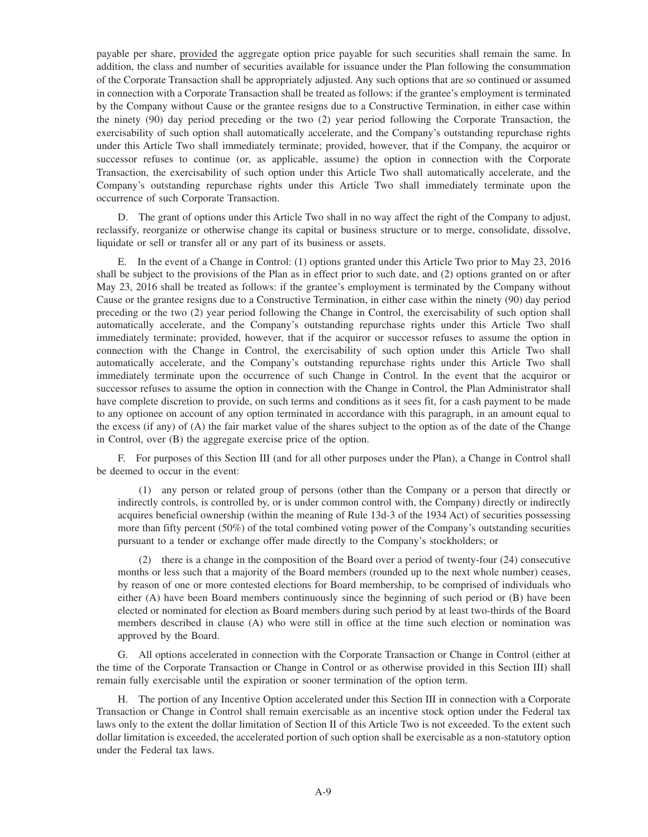payable per share, provided the aggregate option price payable for such securities shall remain the same. In addition, the class and number of securities available for issuance under the Plan following the consummation of the Corporate Transaction shall be appropriately adjusted. Any such options that are so continued or assumed in connection with a Corporate Transaction shall be treated as follows: if the grantee's employment is terminated by the Company without Cause or the grantee resigns due to a Constructive Termination, in either case within the ninety (90) day period preceding or the two (2) year period following the Corporate Transaction, the exercisability of such option shall automatically accelerate, and the Company's outstanding repurchase rights under this Article Two shall immediately terminate; provided, however, that if the Company, the acquiror or successor refuses to continue (or, as applicable, assume) the option in connection with the Corporate Transaction, the exercisability of such option under this Article Two shall automatically accelerate, and the Company's outstanding repurchase rights under this Article Two shall immediately terminate upon the occurrence of such Corporate Transaction.

D. The grant of options under this Article Two shall in no way affect the right of the Company to adjust, reclassify, reorganize or otherwise change its capital or business structure or to merge, consolidate, dissolve, liquidate or sell or transfer all or any part of its business or assets.

E. In the event of a Change in Control: (1) options granted under this Article Two prior to May 23, 2016 shall be subject to the provisions of the Plan as in effect prior to such date, and (2) options granted on or after May 23, 2016 shall be treated as follows: if the grantee's employment is terminated by the Company without Cause or the grantee resigns due to a Constructive Termination, in either case within the ninety (90) day period preceding or the two (2) year period following the Change in Control, the exercisability of such option shall automatically accelerate, and the Company's outstanding repurchase rights under this Article Two shall immediately terminate; provided, however, that if the acquiror or successor refuses to assume the option in connection with the Change in Control, the exercisability of such option under this Article Two shall automatically accelerate, and the Company's outstanding repurchase rights under this Article Two shall immediately terminate upon the occurrence of such Change in Control. In the event that the acquiror or successor refuses to assume the option in connection with the Change in Control, the Plan Administrator shall have complete discretion to provide, on such terms and conditions as it sees fit, for a cash payment to be made to any optionee on account of any option terminated in accordance with this paragraph, in an amount equal to the excess (if any) of (A) the fair market value of the shares subject to the option as of the date of the Change in Control, over (B) the aggregate exercise price of the option.

F. For purposes of this Section III (and for all other purposes under the Plan), a Change in Control shall be deemed to occur in the event:

(1) any person or related group of persons (other than the Company or a person that directly or indirectly controls, is controlled by, or is under common control with, the Company) directly or indirectly acquires beneficial ownership (within the meaning of Rule 13d-3 of the 1934 Act) of securities possessing more than fifty percent (50%) of the total combined voting power of the Company's outstanding securities pursuant to a tender or exchange offer made directly to the Company's stockholders; or

(2) there is a change in the composition of the Board over a period of twenty-four (24) consecutive months or less such that a majority of the Board members (rounded up to the next whole number) ceases, by reason of one or more contested elections for Board membership, to be comprised of individuals who either (A) have been Board members continuously since the beginning of such period or (B) have been elected or nominated for election as Board members during such period by at least two-thirds of the Board members described in clause (A) who were still in office at the time such election or nomination was approved by the Board.

G. All options accelerated in connection with the Corporate Transaction or Change in Control (either at the time of the Corporate Transaction or Change in Control or as otherwise provided in this Section III) shall remain fully exercisable until the expiration or sooner termination of the option term.

The portion of any Incentive Option accelerated under this Section III in connection with a Corporate Transaction or Change in Control shall remain exercisable as an incentive stock option under the Federal tax laws only to the extent the dollar limitation of Section II of this Article Two is not exceeded. To the extent such dollar limitation is exceeded, the accelerated portion of such option shall be exercisable as a non-statutory option under the Federal tax laws.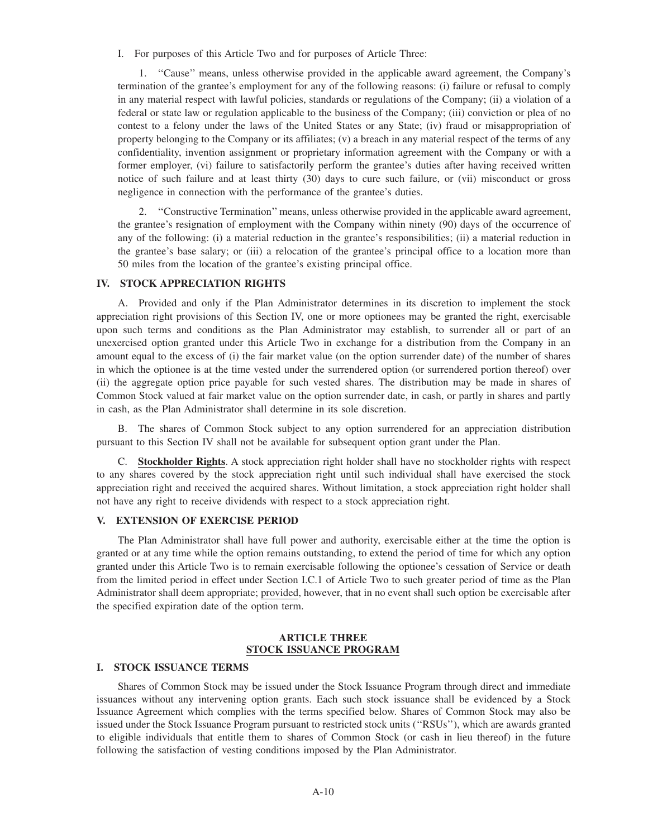I. For purposes of this Article Two and for purposes of Article Three:

1. ''Cause'' means, unless otherwise provided in the applicable award agreement, the Company's termination of the grantee's employment for any of the following reasons: (i) failure or refusal to comply in any material respect with lawful policies, standards or regulations of the Company; (ii) a violation of a federal or state law or regulation applicable to the business of the Company; (iii) conviction or plea of no contest to a felony under the laws of the United States or any State; (iv) fraud or misappropriation of property belonging to the Company or its affiliates; (v) a breach in any material respect of the terms of any confidentiality, invention assignment or proprietary information agreement with the Company or with a former employer, (vi) failure to satisfactorily perform the grantee's duties after having received written notice of such failure and at least thirty (30) days to cure such failure, or (vii) misconduct or gross negligence in connection with the performance of the grantee's duties.

2. ''Constructive Termination'' means, unless otherwise provided in the applicable award agreement, the grantee's resignation of employment with the Company within ninety (90) days of the occurrence of any of the following: (i) a material reduction in the grantee's responsibilities; (ii) a material reduction in the grantee's base salary; or (iii) a relocation of the grantee's principal office to a location more than 50 miles from the location of the grantee's existing principal office.

## **IV. STOCK APPRECIATION RIGHTS**

A. Provided and only if the Plan Administrator determines in its discretion to implement the stock appreciation right provisions of this Section IV, one or more optionees may be granted the right, exercisable upon such terms and conditions as the Plan Administrator may establish, to surrender all or part of an unexercised option granted under this Article Two in exchange for a distribution from the Company in an amount equal to the excess of (i) the fair market value (on the option surrender date) of the number of shares in which the optionee is at the time vested under the surrendered option (or surrendered portion thereof) over (ii) the aggregate option price payable for such vested shares. The distribution may be made in shares of Common Stock valued at fair market value on the option surrender date, in cash, or partly in shares and partly in cash, as the Plan Administrator shall determine in its sole discretion.

B. The shares of Common Stock subject to any option surrendered for an appreciation distribution pursuant to this Section IV shall not be available for subsequent option grant under the Plan.

C. **Stockholder Rights**. A stock appreciation right holder shall have no stockholder rights with respect to any shares covered by the stock appreciation right until such individual shall have exercised the stock appreciation right and received the acquired shares. Without limitation, a stock appreciation right holder shall not have any right to receive dividends with respect to a stock appreciation right.

## **V. EXTENSION OF EXERCISE PERIOD**

The Plan Administrator shall have full power and authority, exercisable either at the time the option is granted or at any time while the option remains outstanding, to extend the period of time for which any option granted under this Article Two is to remain exercisable following the optionee's cessation of Service or death from the limited period in effect under Section I.C.1 of Article Two to such greater period of time as the Plan Administrator shall deem appropriate; provided, however, that in no event shall such option be exercisable after the specified expiration date of the option term.

## **ARTICLE THREE STOCK ISSUANCE PROGRAM**

## **I. STOCK ISSUANCE TERMS**

Shares of Common Stock may be issued under the Stock Issuance Program through direct and immediate issuances without any intervening option grants. Each such stock issuance shall be evidenced by a Stock Issuance Agreement which complies with the terms specified below. Shares of Common Stock may also be issued under the Stock Issuance Program pursuant to restricted stock units (''RSUs''), which are awards granted to eligible individuals that entitle them to shares of Common Stock (or cash in lieu thereof) in the future following the satisfaction of vesting conditions imposed by the Plan Administrator.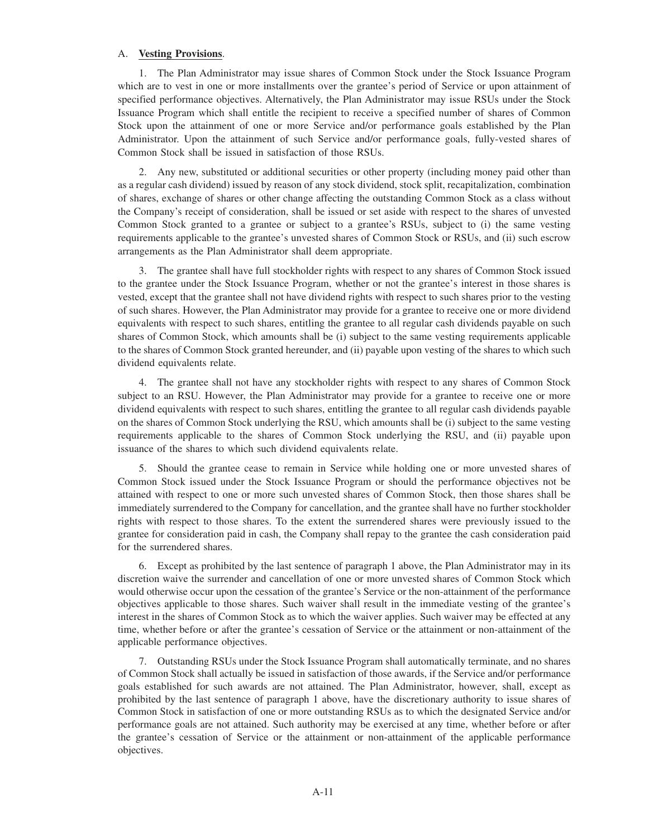#### A. **Vesting Provisions**.

1. The Plan Administrator may issue shares of Common Stock under the Stock Issuance Program which are to vest in one or more installments over the grantee's period of Service or upon attainment of specified performance objectives. Alternatively, the Plan Administrator may issue RSUs under the Stock Issuance Program which shall entitle the recipient to receive a specified number of shares of Common Stock upon the attainment of one or more Service and/or performance goals established by the Plan Administrator. Upon the attainment of such Service and/or performance goals, fully-vested shares of Common Stock shall be issued in satisfaction of those RSUs.

2. Any new, substituted or additional securities or other property (including money paid other than as a regular cash dividend) issued by reason of any stock dividend, stock split, recapitalization, combination of shares, exchange of shares or other change affecting the outstanding Common Stock as a class without the Company's receipt of consideration, shall be issued or set aside with respect to the shares of unvested Common Stock granted to a grantee or subject to a grantee's RSUs, subject to (i) the same vesting requirements applicable to the grantee's unvested shares of Common Stock or RSUs, and (ii) such escrow arrangements as the Plan Administrator shall deem appropriate.

3. The grantee shall have full stockholder rights with respect to any shares of Common Stock issued to the grantee under the Stock Issuance Program, whether or not the grantee's interest in those shares is vested, except that the grantee shall not have dividend rights with respect to such shares prior to the vesting of such shares. However, the Plan Administrator may provide for a grantee to receive one or more dividend equivalents with respect to such shares, entitling the grantee to all regular cash dividends payable on such shares of Common Stock, which amounts shall be (i) subject to the same vesting requirements applicable to the shares of Common Stock granted hereunder, and (ii) payable upon vesting of the shares to which such dividend equivalents relate.

4. The grantee shall not have any stockholder rights with respect to any shares of Common Stock subject to an RSU. However, the Plan Administrator may provide for a grantee to receive one or more dividend equivalents with respect to such shares, entitling the grantee to all regular cash dividends payable on the shares of Common Stock underlying the RSU, which amounts shall be (i) subject to the same vesting requirements applicable to the shares of Common Stock underlying the RSU, and (ii) payable upon issuance of the shares to which such dividend equivalents relate.

5. Should the grantee cease to remain in Service while holding one or more unvested shares of Common Stock issued under the Stock Issuance Program or should the performance objectives not be attained with respect to one or more such unvested shares of Common Stock, then those shares shall be immediately surrendered to the Company for cancellation, and the grantee shall have no further stockholder rights with respect to those shares. To the extent the surrendered shares were previously issued to the grantee for consideration paid in cash, the Company shall repay to the grantee the cash consideration paid for the surrendered shares.

6. Except as prohibited by the last sentence of paragraph 1 above, the Plan Administrator may in its discretion waive the surrender and cancellation of one or more unvested shares of Common Stock which would otherwise occur upon the cessation of the grantee's Service or the non-attainment of the performance objectives applicable to those shares. Such waiver shall result in the immediate vesting of the grantee's interest in the shares of Common Stock as to which the waiver applies. Such waiver may be effected at any time, whether before or after the grantee's cessation of Service or the attainment or non-attainment of the applicable performance objectives.

7. Outstanding RSUs under the Stock Issuance Program shall automatically terminate, and no shares of Common Stock shall actually be issued in satisfaction of those awards, if the Service and/or performance goals established for such awards are not attained. The Plan Administrator, however, shall, except as prohibited by the last sentence of paragraph 1 above, have the discretionary authority to issue shares of Common Stock in satisfaction of one or more outstanding RSUs as to which the designated Service and/or performance goals are not attained. Such authority may be exercised at any time, whether before or after the grantee's cessation of Service or the attainment or non-attainment of the applicable performance objectives.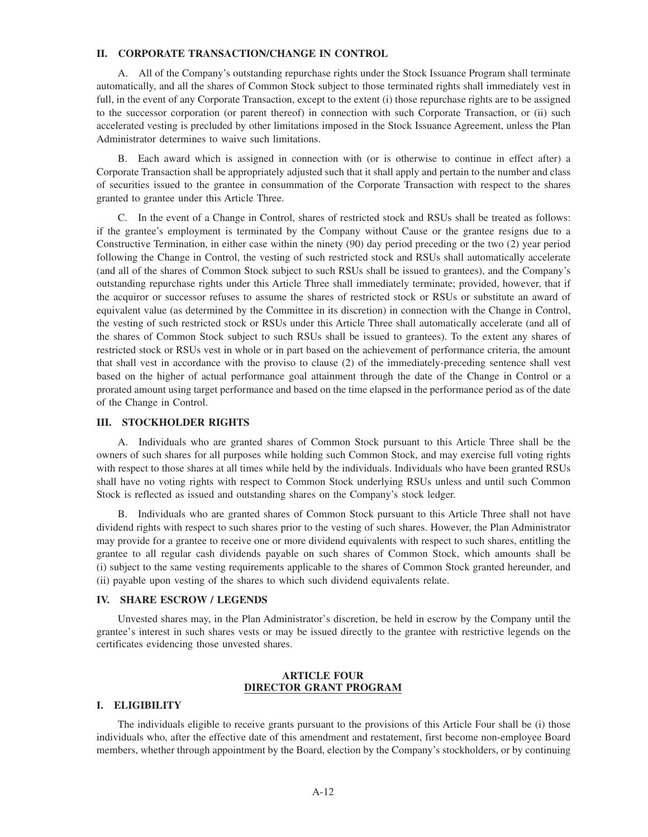## **II. CORPORATE TRANSACTION/CHANGE IN CONTROL**

A. All of the Company's outstanding repurchase rights under the Stock Issuance Program shall terminate automatically, and all the shares of Common Stock subject to those terminated rights shall immediately vest in full, in the event of any Corporate Transaction, except to the extent (i) those repurchase rights are to be assigned to the successor corporation (or parent thereof) in connection with such Corporate Transaction, or (ii) such accelerated vesting is precluded by other limitations imposed in the Stock Issuance Agreement, unless the Plan Administrator determines to waive such limitations.

B. Each award which is assigned in connection with (or is otherwise to continue in effect after) a Corporate Transaction shall be appropriately adjusted such that it shall apply and pertain to the number and class of securities issued to the grantee in consummation of the Corporate Transaction with respect to the shares granted to grantee under this Article Three.

C. In the event of a Change in Control, shares of restricted stock and RSUs shall be treated as follows: if the grantee's employment is terminated by the Company without Cause or the grantee resigns due to a Constructive Termination, in either case within the ninety (90) day period preceding or the two (2) year period following the Change in Control, the vesting of such restricted stock and RSUs shall automatically accelerate (and all of the shares of Common Stock subject to such RSUs shall be issued to grantees), and the Company's outstanding repurchase rights under this Article Three shall immediately terminate; provided, however, that if the acquiror or successor refuses to assume the shares of restricted stock or RSUs or substitute an award of equivalent value (as determined by the Committee in its discretion) in connection with the Change in Control, the vesting of such restricted stock or RSUs under this Article Three shall automatically accelerate (and all of the shares of Common Stock subject to such RSUs shall be issued to grantees). To the extent any shares of restricted stock or RSUs vest in whole or in part based on the achievement of performance criteria, the amount that shall vest in accordance with the proviso to clause (2) of the immediately-preceding sentence shall vest based on the higher of actual performance goal attainment through the date of the Change in Control or a prorated amount using target performance and based on the time elapsed in the performance period as of the date of the Change in Control.

#### **III. STOCKHOLDER RIGHTS**

A. Individuals who are granted shares of Common Stock pursuant to this Article Three shall be the owners of such shares for all purposes while holding such Common Stock, and may exercise full voting rights with respect to those shares at all times while held by the individuals. Individuals who have been granted RSUs shall have no voting rights with respect to Common Stock underlying RSUs unless and until such Common Stock is reflected as issued and outstanding shares on the Company's stock ledger.

B. Individuals who are granted shares of Common Stock pursuant to this Article Three shall not have dividend rights with respect to such shares prior to the vesting of such shares. However, the Plan Administrator may provide for a grantee to receive one or more dividend equivalents with respect to such shares, entitling the grantee to all regular cash dividends payable on such shares of Common Stock, which amounts shall be (i) subject to the same vesting requirements applicable to the shares of Common Stock granted hereunder, and (ii) payable upon vesting of the shares to which such dividend equivalents relate.

#### **IV. SHARE ESCROW / LEGENDS**

Unvested shares may, in the Plan Administrator's discretion, be held in escrow by the Company until the grantee's interest in such shares vests or may be issued directly to the grantee with restrictive legends on the certificates evidencing those unvested shares.

## **ARTICLE FOUR DIRECTOR GRANT PROGRAM**

#### **I. ELIGIBILITY**

The individuals eligible to receive grants pursuant to the provisions of this Article Four shall be (i) those individuals who, after the effective date of this amendment and restatement, first become non-employee Board members, whether through appointment by the Board, election by the Company's stockholders, or by continuing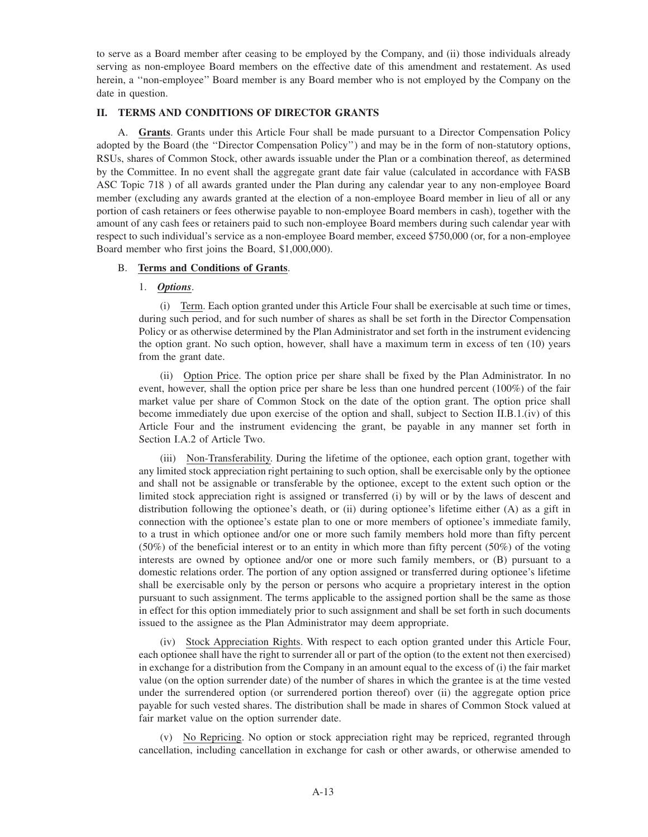to serve as a Board member after ceasing to be employed by the Company, and (ii) those individuals already serving as non-employee Board members on the effective date of this amendment and restatement. As used herein, a ''non-employee'' Board member is any Board member who is not employed by the Company on the date in question.

# **II. TERMS AND CONDITIONS OF DIRECTOR GRANTS**

A. **Grants**. Grants under this Article Four shall be made pursuant to a Director Compensation Policy adopted by the Board (the ''Director Compensation Policy'') and may be in the form of non-statutory options, RSUs, shares of Common Stock, other awards issuable under the Plan or a combination thereof, as determined by the Committee. In no event shall the aggregate grant date fair value (calculated in accordance with FASB ASC Topic 718 ) of all awards granted under the Plan during any calendar year to any non-employee Board member (excluding any awards granted at the election of a non-employee Board member in lieu of all or any portion of cash retainers or fees otherwise payable to non-employee Board members in cash), together with the amount of any cash fees or retainers paid to such non-employee Board members during such calendar year with respect to such individual's service as a non-employee Board member, exceed \$750,000 (or, for a non-employee Board member who first joins the Board, \$1,000,000).

## B. **Terms and Conditions of Grants**.

## 1. *Options*.

(i) Term. Each option granted under this Article Four shall be exercisable at such time or times, during such period, and for such number of shares as shall be set forth in the Director Compensation Policy or as otherwise determined by the Plan Administrator and set forth in the instrument evidencing the option grant. No such option, however, shall have a maximum term in excess of ten (10) years from the grant date.

(ii) Option Price. The option price per share shall be fixed by the Plan Administrator. In no event, however, shall the option price per share be less than one hundred percent (100%) of the fair market value per share of Common Stock on the date of the option grant. The option price shall become immediately due upon exercise of the option and shall, subject to Section II.B.1.(iv) of this Article Four and the instrument evidencing the grant, be payable in any manner set forth in Section I.A.2 of Article Two.

(iii) Non-Transferability. During the lifetime of the optionee, each option grant, together with any limited stock appreciation right pertaining to such option, shall be exercisable only by the optionee and shall not be assignable or transferable by the optionee, except to the extent such option or the limited stock appreciation right is assigned or transferred (i) by will or by the laws of descent and distribution following the optionee's death, or (ii) during optionee's lifetime either (A) as a gift in connection with the optionee's estate plan to one or more members of optionee's immediate family, to a trust in which optionee and/or one or more such family members hold more than fifty percent (50%) of the beneficial interest or to an entity in which more than fifty percent (50%) of the voting interests are owned by optionee and/or one or more such family members, or (B) pursuant to a domestic relations order. The portion of any option assigned or transferred during optionee's lifetime shall be exercisable only by the person or persons who acquire a proprietary interest in the option pursuant to such assignment. The terms applicable to the assigned portion shall be the same as those in effect for this option immediately prior to such assignment and shall be set forth in such documents issued to the assignee as the Plan Administrator may deem appropriate.

(iv) Stock Appreciation Rights. With respect to each option granted under this Article Four, each optionee shall have the right to surrender all or part of the option (to the extent not then exercised) in exchange for a distribution from the Company in an amount equal to the excess of (i) the fair market value (on the option surrender date) of the number of shares in which the grantee is at the time vested under the surrendered option (or surrendered portion thereof) over (ii) the aggregate option price payable for such vested shares. The distribution shall be made in shares of Common Stock valued at fair market value on the option surrender date.

(v) No Repricing. No option or stock appreciation right may be repriced, regranted through cancellation, including cancellation in exchange for cash or other awards, or otherwise amended to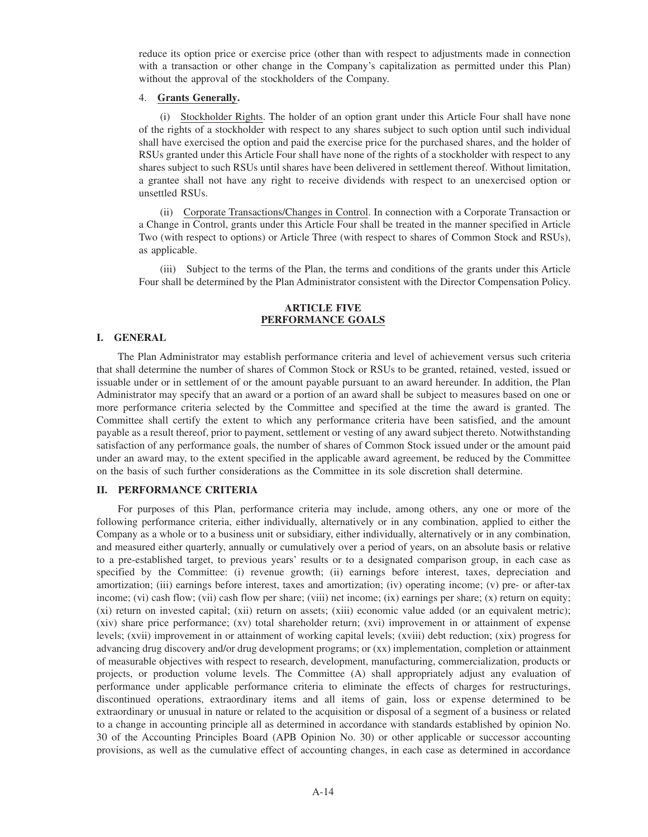reduce its option price or exercise price (other than with respect to adjustments made in connection with a transaction or other change in the Company's capitalization as permitted under this Plan) without the approval of the stockholders of the Company.

## 4. **Grants Generally.**

(i) Stockholder Rights. The holder of an option grant under this Article Four shall have none of the rights of a stockholder with respect to any shares subject to such option until such individual shall have exercised the option and paid the exercise price for the purchased shares, and the holder of RSUs granted under this Article Four shall have none of the rights of a stockholder with respect to any shares subject to such RSUs until shares have been delivered in settlement thereof. Without limitation, a grantee shall not have any right to receive dividends with respect to an unexercised option or unsettled RSUs.

(ii) Corporate Transactions/Changes in Control. In connection with a Corporate Transaction or a Change in Control, grants under this Article Four shall be treated in the manner specified in Article Two (with respect to options) or Article Three (with respect to shares of Common Stock and RSUs), as applicable.

(iii) Subject to the terms of the Plan, the terms and conditions of the grants under this Article Four shall be determined by the Plan Administrator consistent with the Director Compensation Policy.

## **ARTICLE FIVE PERFORMANCE GOALS**

## **I. GENERAL**

The Plan Administrator may establish performance criteria and level of achievement versus such criteria that shall determine the number of shares of Common Stock or RSUs to be granted, retained, vested, issued or issuable under or in settlement of or the amount payable pursuant to an award hereunder. In addition, the Plan Administrator may specify that an award or a portion of an award shall be subject to measures based on one or more performance criteria selected by the Committee and specified at the time the award is granted. The Committee shall certify the extent to which any performance criteria have been satisfied, and the amount payable as a result thereof, prior to payment, settlement or vesting of any award subject thereto. Notwithstanding satisfaction of any performance goals, the number of shares of Common Stock issued under or the amount paid under an award may, to the extent specified in the applicable award agreement, be reduced by the Committee on the basis of such further considerations as the Committee in its sole discretion shall determine.

## **II. PERFORMANCE CRITERIA**

For purposes of this Plan, performance criteria may include, among others, any one or more of the following performance criteria, either individually, alternatively or in any combination, applied to either the Company as a whole or to a business unit or subsidiary, either individually, alternatively or in any combination, and measured either quarterly, annually or cumulatively over a period of years, on an absolute basis or relative to a pre-established target, to previous years' results or to a designated comparison group, in each case as specified by the Committee: (i) revenue growth; (ii) earnings before interest, taxes, depreciation and amortization; (iii) earnings before interest, taxes and amortization; (iv) operating income; (v) pre- or after-tax income; (vi) cash flow; (vii) cash flow per share; (viii) net income; (ix) earnings per share; (x) return on equity; (xi) return on invested capital; (xii) return on assets; (xiii) economic value added (or an equivalent metric); (xiv) share price performance; (xv) total shareholder return; (xvi) improvement in or attainment of expense levels; (xvii) improvement in or attainment of working capital levels; (xviii) debt reduction; (xix) progress for advancing drug discovery and/or drug development programs; or (xx) implementation, completion or attainment of measurable objectives with respect to research, development, manufacturing, commercialization, products or projects, or production volume levels. The Committee (A) shall appropriately adjust any evaluation of performance under applicable performance criteria to eliminate the effects of charges for restructurings, discontinued operations, extraordinary items and all items of gain, loss or expense determined to be extraordinary or unusual in nature or related to the acquisition or disposal of a segment of a business or related to a change in accounting principle all as determined in accordance with standards established by opinion No. 30 of the Accounting Principles Board (APB Opinion No. 30) or other applicable or successor accounting provisions, as well as the cumulative effect of accounting changes, in each case as determined in accordance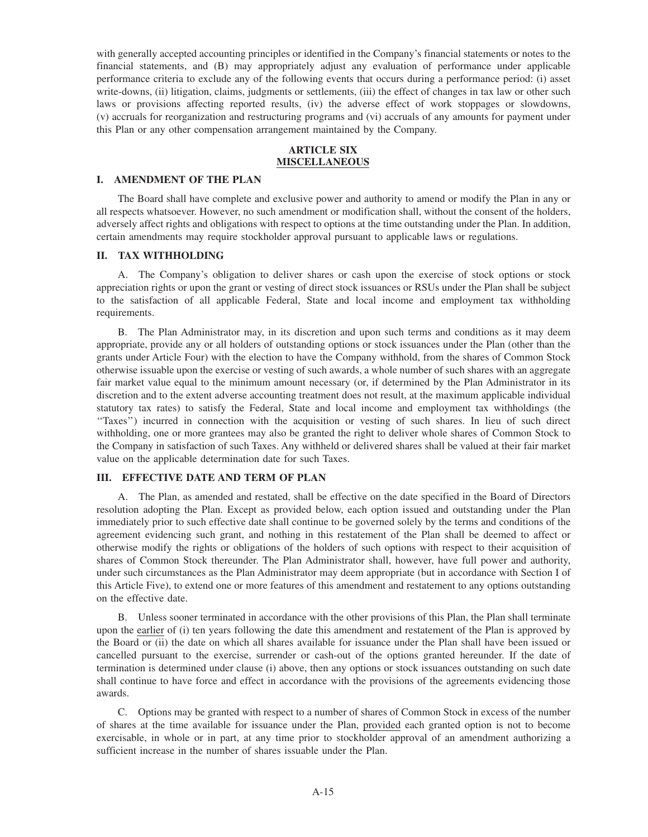with generally accepted accounting principles or identified in the Company's financial statements or notes to the financial statements, and (B) may appropriately adjust any evaluation of performance under applicable performance criteria to exclude any of the following events that occurs during a performance period: (i) asset write-downs, (ii) litigation, claims, judgments or settlements, (iii) the effect of changes in tax law or other such laws or provisions affecting reported results, (iv) the adverse effect of work stoppages or slowdowns, (v) accruals for reorganization and restructuring programs and (vi) accruals of any amounts for payment under this Plan or any other compensation arrangement maintained by the Company.

## **ARTICLE SIX MISCELLANEOUS**

## **I. AMENDMENT OF THE PLAN**

The Board shall have complete and exclusive power and authority to amend or modify the Plan in any or all respects whatsoever. However, no such amendment or modification shall, without the consent of the holders, adversely affect rights and obligations with respect to options at the time outstanding under the Plan. In addition, certain amendments may require stockholder approval pursuant to applicable laws or regulations.

## **II. TAX WITHHOLDING**

A. The Company's obligation to deliver shares or cash upon the exercise of stock options or stock appreciation rights or upon the grant or vesting of direct stock issuances or RSUs under the Plan shall be subject to the satisfaction of all applicable Federal, State and local income and employment tax withholding requirements.

B. The Plan Administrator may, in its discretion and upon such terms and conditions as it may deem appropriate, provide any or all holders of outstanding options or stock issuances under the Plan (other than the grants under Article Four) with the election to have the Company withhold, from the shares of Common Stock otherwise issuable upon the exercise or vesting of such awards, a whole number of such shares with an aggregate fair market value equal to the minimum amount necessary (or, if determined by the Plan Administrator in its discretion and to the extent adverse accounting treatment does not result, at the maximum applicable individual statutory tax rates) to satisfy the Federal, State and local income and employment tax withholdings (the ''Taxes'') incurred in connection with the acquisition or vesting of such shares. In lieu of such direct withholding, one or more grantees may also be granted the right to deliver whole shares of Common Stock to the Company in satisfaction of such Taxes. Any withheld or delivered shares shall be valued at their fair market value on the applicable determination date for such Taxes.

## **III. EFFECTIVE DATE AND TERM OF PLAN**

A. The Plan, as amended and restated, shall be effective on the date specified in the Board of Directors resolution adopting the Plan. Except as provided below, each option issued and outstanding under the Plan immediately prior to such effective date shall continue to be governed solely by the terms and conditions of the agreement evidencing such grant, and nothing in this restatement of the Plan shall be deemed to affect or otherwise modify the rights or obligations of the holders of such options with respect to their acquisition of shares of Common Stock thereunder. The Plan Administrator shall, however, have full power and authority, under such circumstances as the Plan Administrator may deem appropriate (but in accordance with Section I of this Article Five), to extend one or more features of this amendment and restatement to any options outstanding on the effective date.

B. Unless sooner terminated in accordance with the other provisions of this Plan, the Plan shall terminate upon the earlier of (i) ten years following the date this amendment and restatement of the Plan is approved by the Board or (ii) the date on which all shares available for issuance under the Plan shall have been issued or cancelled pursuant to the exercise, surrender or cash-out of the options granted hereunder. If the date of termination is determined under clause (i) above, then any options or stock issuances outstanding on such date shall continue to have force and effect in accordance with the provisions of the agreements evidencing those awards.

C. Options may be granted with respect to a number of shares of Common Stock in excess of the number of shares at the time available for issuance under the Plan, provided each granted option is not to become exercisable, in whole or in part, at any time prior to stockholder approval of an amendment authorizing a sufficient increase in the number of shares issuable under the Plan.